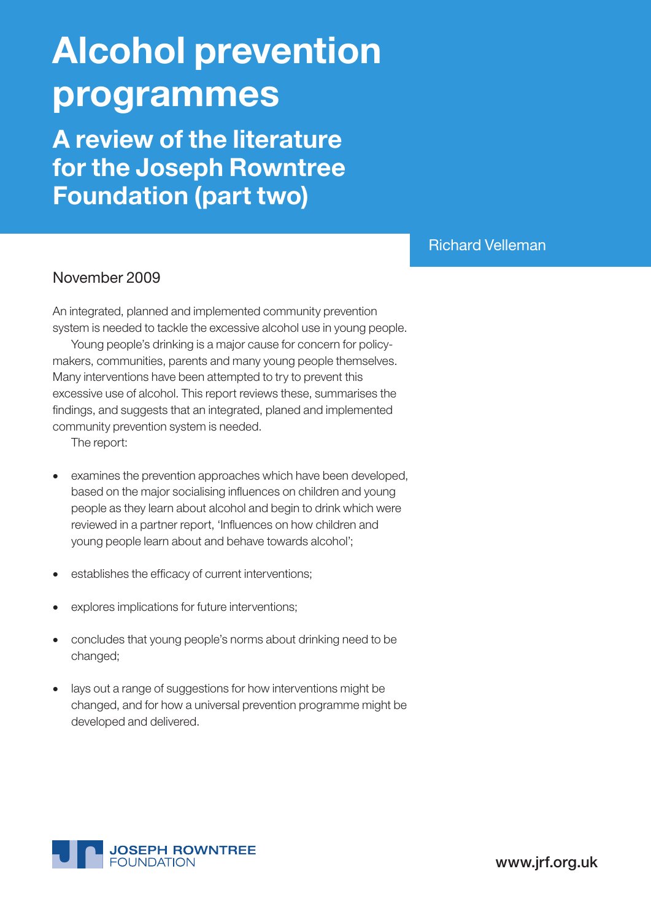# Alcohol prevention programmes

A review of the literature for the Joseph Rowntree Foundation (part two)

## Richard Velleman

### November 2009

An integrated, planned and implemented community prevention system is needed to tackle the excessive alcohol use in young people.

Young people's drinking is a major cause for concern for policymakers, communities, parents and many young people themselves. Many interventions have been attempted to try to prevent this excessive use of alcohol. This report reviews these, summarises the findings, and suggests that an integrated, planed and implemented community prevention system is needed.

The report:

- examines the prevention approaches which have been developed, based on the major socialising influences on children and young people as they learn about alcohol and begin to drink which were reviewed in a partner report, 'Influences on how children and young people learn about and behave towards alcohol';
- establishes the efficacy of current interventions;
- explores implications for future interventions;
- concludes that young people's norms about drinking need to be changed;
- lays out a range of suggestions for how interventions might be changed, and for how a universal prevention programme might be developed and delivered.



www.jrf.org.uk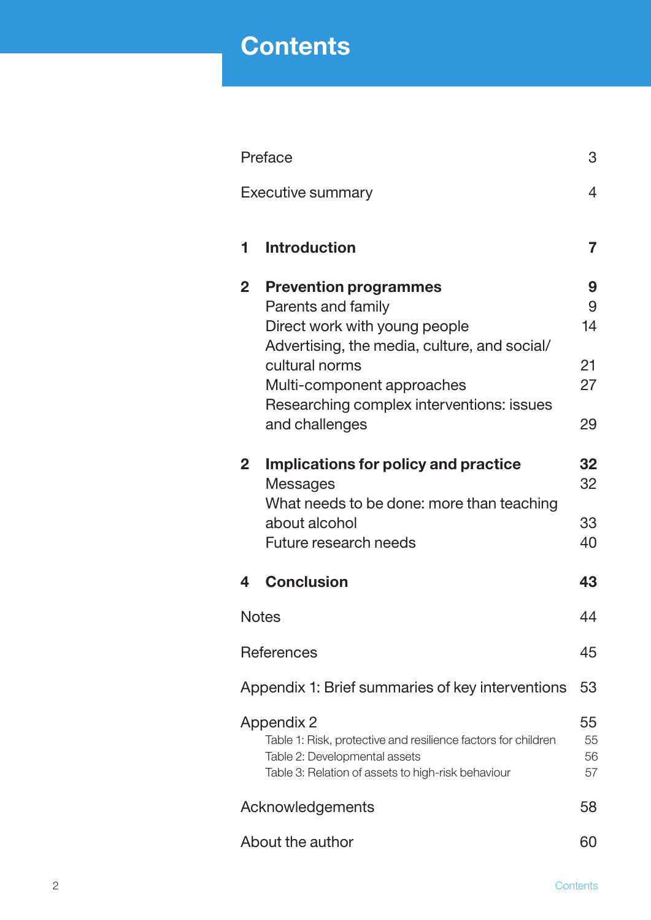## **Contents**

| Preface                                                                                                                                                                         |                                                  | 3  |  |
|---------------------------------------------------------------------------------------------------------------------------------------------------------------------------------|--------------------------------------------------|----|--|
| Executive summary                                                                                                                                                               |                                                  |    |  |
|                                                                                                                                                                                 |                                                  |    |  |
| 1                                                                                                                                                                               | <b>Introduction</b>                              | 7  |  |
| $\mathbf{2}$                                                                                                                                                                    | <b>Prevention programmes</b>                     | 9  |  |
|                                                                                                                                                                                 | Parents and family                               | 9  |  |
|                                                                                                                                                                                 | Direct work with young people                    | 14 |  |
|                                                                                                                                                                                 | Advertising, the media, culture, and social/     |    |  |
|                                                                                                                                                                                 | cultural norms                                   | 21 |  |
|                                                                                                                                                                                 | Multi-component approaches                       | 27 |  |
|                                                                                                                                                                                 | Researching complex interventions: issues        |    |  |
|                                                                                                                                                                                 | and challenges                                   | 29 |  |
|                                                                                                                                                                                 |                                                  |    |  |
| $\mathbf{2}$                                                                                                                                                                    | Implications for policy and practice             | 32 |  |
|                                                                                                                                                                                 | Messages                                         | 32 |  |
|                                                                                                                                                                                 | What needs to be done: more than teaching        |    |  |
|                                                                                                                                                                                 | about alcohol                                    | 33 |  |
|                                                                                                                                                                                 | Future research needs                            | 40 |  |
| 4                                                                                                                                                                               | <b>Conclusion</b>                                | 43 |  |
|                                                                                                                                                                                 | <b>Notes</b>                                     |    |  |
|                                                                                                                                                                                 | <b>References</b>                                |    |  |
|                                                                                                                                                                                 | Appendix 1: Brief summaries of key interventions | 53 |  |
| 55<br><b>Appendix 2</b><br>Table 1: Risk, protective and resilience factors for children<br>Table 2: Developmental assets<br>Table 3: Relation of assets to high-risk behaviour |                                                  |    |  |
| Acknowledgements                                                                                                                                                                |                                                  | 58 |  |
| About the author                                                                                                                                                                |                                                  | 60 |  |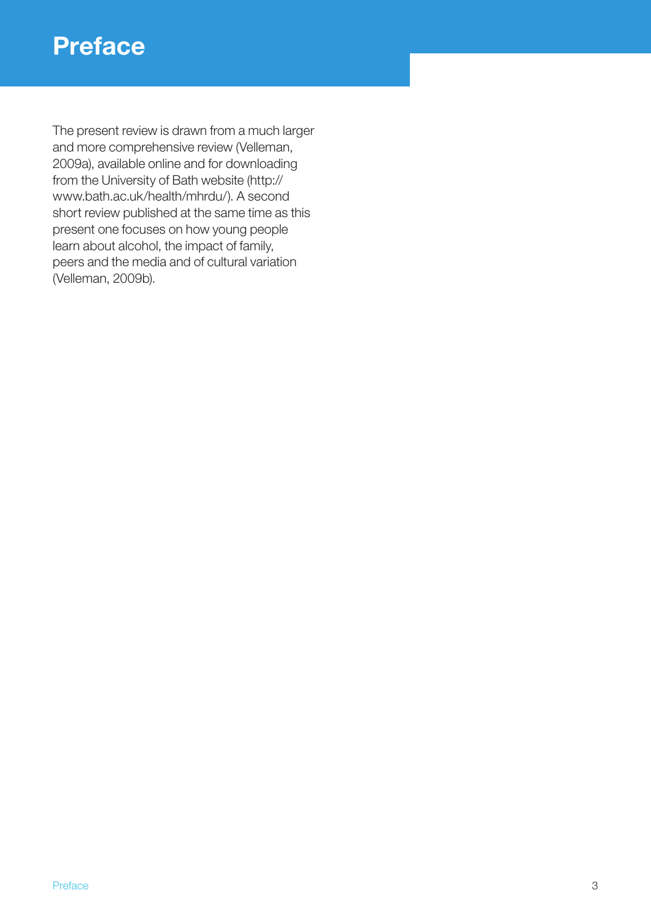The present review is drawn from a much larger and more comprehensive review (Velleman, 2009a), available online and for downloading from the University of Bath website (http:// www.bath.ac.uk/health/mhrdu/). A second short review published at the same time as this present one focuses on how young people learn about alcohol, the impact of family, peers and the media and of cultural variation (Velleman, 2009b).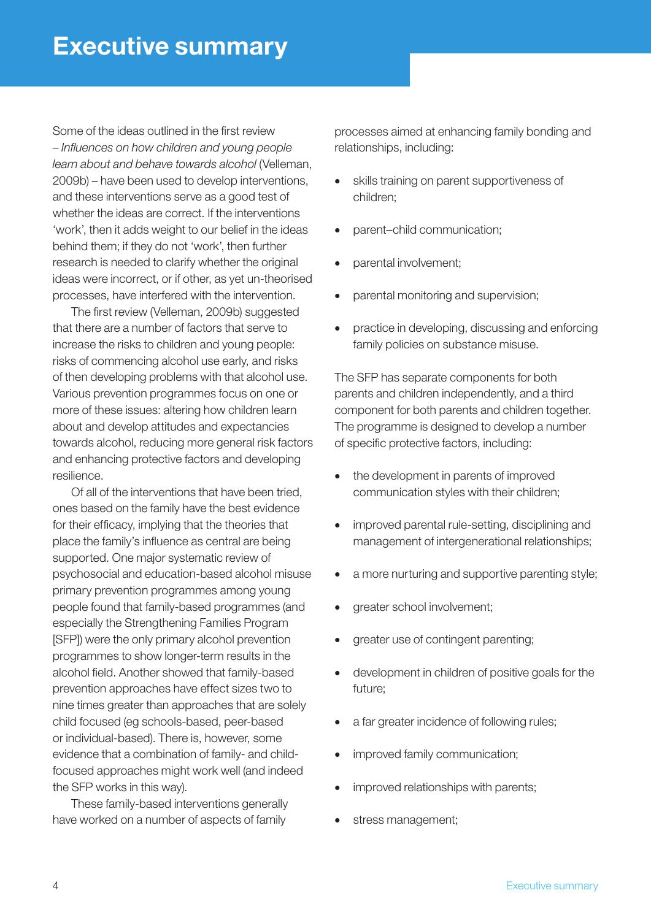Some of the ideas outlined in the first review – *Influences on how children and young people learn about and behave towards alcohol* (Velleman, 2009b) – have been used to develop interventions, and these interventions serve as a good test of whether the ideas are correct. If the interventions 'work', then it adds weight to our belief in the ideas behind them; if they do not 'work', then further research is needed to clarify whether the original ideas were incorrect, or if other, as yet un-theorised processes, have interfered with the intervention.

The first review (Velleman, 2009b) suggested that there are a number of factors that serve to increase the risks to children and young people: risks of commencing alcohol use early, and risks of then developing problems with that alcohol use. Various prevention programmes focus on one or more of these issues: altering how children learn about and develop attitudes and expectancies towards alcohol, reducing more general risk factors and enhancing protective factors and developing resilience.

Of all of the interventions that have been tried, ones based on the family have the best evidence for their efficacy, implying that the theories that place the family's influence as central are being supported. One major systematic review of psychosocial and education-based alcohol misuse primary prevention programmes among young people found that family-based programmes (and especially the Strengthening Families Program [SFP]) were the only primary alcohol prevention programmes to show longer-term results in the alcohol field. Another showed that family-based prevention approaches have effect sizes two to nine times greater than approaches that are solely child focused (eg schools-based, peer-based or individual-based). There is, however, some evidence that a combination of family- and childfocused approaches might work well (and indeed the SFP works in this way).

These family-based interventions generally have worked on a number of aspects of family processes aimed at enhancing family bonding and relationships, including:

- • skills training on parent supportiveness of children;
- parent–child communication;
- parental involvement;
- parental monitoring and supervision;
- practice in developing, discussing and enforcing family policies on substance misuse.

The SFP has separate components for both parents and children independently, and a third component for both parents and children together. The programme is designed to develop a number of specific protective factors, including:

- the development in parents of improved communication styles with their children;
- improved parental rule-setting, disciplining and management of intergenerational relationships;
- a more nurturing and supportive parenting style;
- greater school involvement;
- greater use of contingent parenting;
- development in children of positive goals for the future;
- a far greater incidence of following rules;
- improved family communication;
- improved relationships with parents;
- stress management;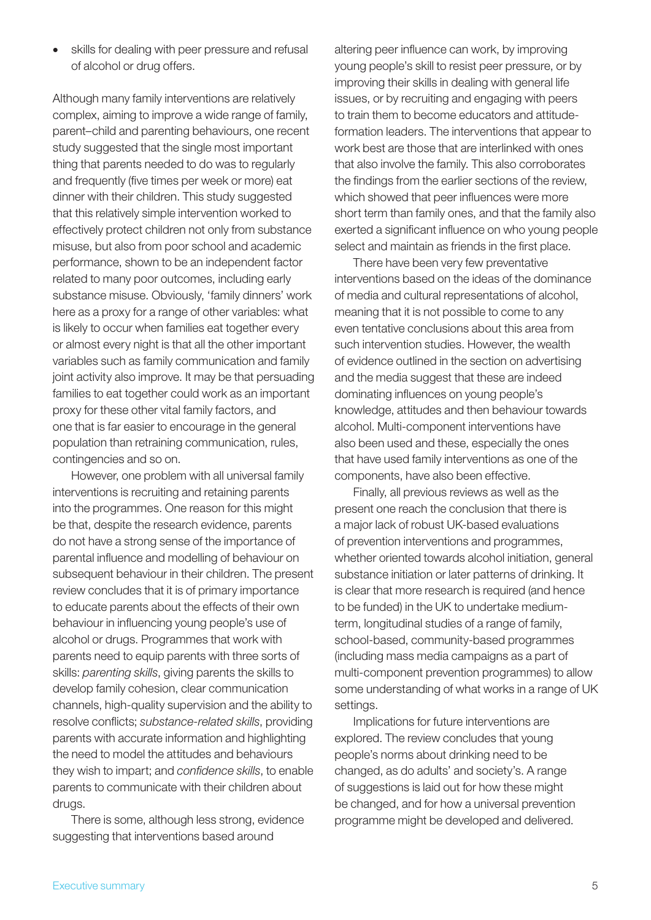skills for dealing with peer pressure and refusal of alcohol or drug offers.

Although many family interventions are relatively complex, aiming to improve a wide range of family, parent–child and parenting behaviours, one recent study suggested that the single most important thing that parents needed to do was to regularly and frequently (five times per week or more) eat dinner with their children. This study suggested that this relatively simple intervention worked to effectively protect children not only from substance misuse, but also from poor school and academic performance, shown to be an independent factor related to many poor outcomes, including early substance misuse. Obviously, 'family dinners' work here as a proxy for a range of other variables: what is likely to occur when families eat together every or almost every night is that all the other important variables such as family communication and family joint activity also improve. It may be that persuading families to eat together could work as an important proxy for these other vital family factors, and one that is far easier to encourage in the general population than retraining communication, rules, contingencies and so on.

However, one problem with all universal family interventions is recruiting and retaining parents into the programmes. One reason for this might be that, despite the research evidence, parents do not have a strong sense of the importance of parental influence and modelling of behaviour on subsequent behaviour in their children. The present review concludes that it is of primary importance to educate parents about the effects of their own behaviour in influencing young people's use of alcohol or drugs. Programmes that work with parents need to equip parents with three sorts of skills: *parenting skills*, giving parents the skills to develop family cohesion, clear communication channels, high-quality supervision and the ability to resolve conflicts; *substance-related skills*, providing parents with accurate information and highlighting the need to model the attitudes and behaviours they wish to impart; and *confidence skills*, to enable parents to communicate with their children about drugs.

There is some, although less strong, evidence suggesting that interventions based around

altering peer influence can work, by improving young people's skill to resist peer pressure, or by improving their skills in dealing with general life issues, or by recruiting and engaging with peers to train them to become educators and attitudeformation leaders. The interventions that appear to work best are those that are interlinked with ones that also involve the family. This also corroborates the findings from the earlier sections of the review, which showed that peer influences were more short term than family ones, and that the family also exerted a significant influence on who young people select and maintain as friends in the first place.

There have been very few preventative interventions based on the ideas of the dominance of media and cultural representations of alcohol, meaning that it is not possible to come to any even tentative conclusions about this area from such intervention studies. However, the wealth of evidence outlined in the section on advertising and the media suggest that these are indeed dominating influences on young people's knowledge, attitudes and then behaviour towards alcohol. Multi-component interventions have also been used and these, especially the ones that have used family interventions as one of the components, have also been effective.

Finally, all previous reviews as well as the present one reach the conclusion that there is a major lack of robust UK-based evaluations of prevention interventions and programmes, whether oriented towards alcohol initiation, general substance initiation or later patterns of drinking. It is clear that more research is required (and hence to be funded) in the UK to undertake mediumterm, longitudinal studies of a range of family, school-based, community-based programmes (including mass media campaigns as a part of multi-component prevention programmes) to allow some understanding of what works in a range of UK settings.

Implications for future interventions are explored. The review concludes that young people's norms about drinking need to be changed, as do adults' and society's. A range of suggestions is laid out for how these might be changed, and for how a universal prevention programme might be developed and delivered.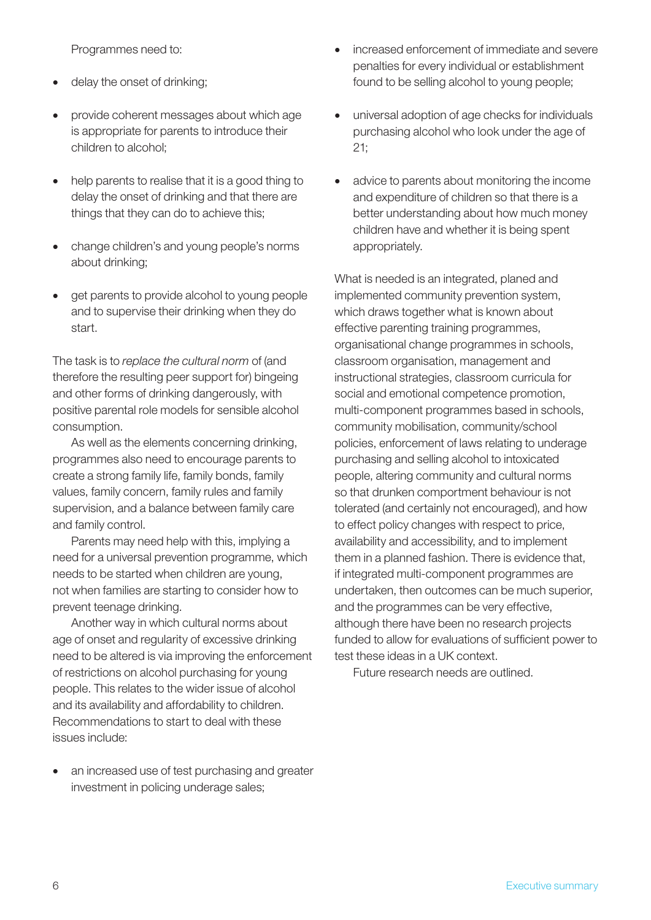Programmes need to:

- delay the onset of drinking;
- provide coherent messages about which age is appropriate for parents to introduce their children to alcohol;
- help parents to realise that it is a good thing to delay the onset of drinking and that there are things that they can do to achieve this;
- change children's and young people's norms about drinking;
- get parents to provide alcohol to young people and to supervise their drinking when they do start.

The task is to *replace the cultural norm* of (and therefore the resulting peer support for) bingeing and other forms of drinking dangerously, with positive parental role models for sensible alcohol consumption.

As well as the elements concerning drinking, programmes also need to encourage parents to create a strong family life, family bonds, family values, family concern, family rules and family supervision, and a balance between family care and family control.

Parents may need help with this, implying a need for a universal prevention programme, which needs to be started when children are young, not when families are starting to consider how to prevent teenage drinking.

Another way in which cultural norms about age of onset and regularity of excessive drinking need to be altered is via improving the enforcement of restrictions on alcohol purchasing for young people. This relates to the wider issue of alcohol and its availability and affordability to children. Recommendations to start to deal with these issues include:

an increased use of test purchasing and greater investment in policing underage sales;

- increased enforcement of immediate and severe penalties for every individual or establishment found to be selling alcohol to young people;
- universal adoption of age checks for individuals purchasing alcohol who look under the age of 21;
- advice to parents about monitoring the income and expenditure of children so that there is a better understanding about how much money children have and whether it is being spent appropriately.

What is needed is an integrated, planed and implemented community prevention system, which draws together what is known about effective parenting training programmes, organisational change programmes in schools, classroom organisation, management and instructional strategies, classroom curricula for social and emotional competence promotion, multi-component programmes based in schools, community mobilisation, community/school policies, enforcement of laws relating to underage purchasing and selling alcohol to intoxicated people, altering community and cultural norms so that drunken comportment behaviour is not tolerated (and certainly not encouraged), and how to effect policy changes with respect to price, availability and accessibility, and to implement them in a planned fashion. There is evidence that, if integrated multi-component programmes are undertaken, then outcomes can be much superior, and the programmes can be very effective, although there have been no research projects funded to allow for evaluations of sufficient power to test these ideas in a UK context.

Future research needs are outlined.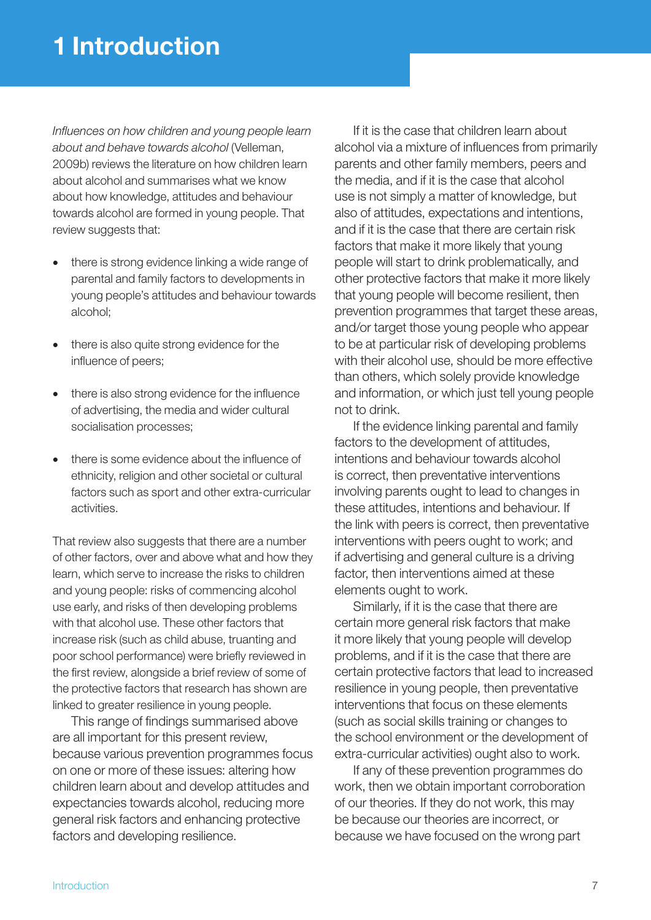## 1 Introduction

*Influences on how children and young people learn about and behave towards alcohol* (Velleman, 2009b) reviews the literature on how children learn about alcohol and summarises what we know about how knowledge, attitudes and behaviour towards alcohol are formed in young people. That review suggests that:

- there is strong evidence linking a wide range of parental and family factors to developments in young people's attitudes and behaviour towards alcohol;
- there is also quite strong evidence for the influence of peers;
- there is also strong evidence for the influence of advertising, the media and wider cultural socialisation processes;
- there is some evidence about the influence of ethnicity, religion and other societal or cultural factors such as sport and other extra-curricular activities.

That review also suggests that there are a number of other factors, over and above what and how they learn, which serve to increase the risks to children and young people: risks of commencing alcohol use early, and risks of then developing problems with that alcohol use. These other factors that increase risk (such as child abuse, truanting and poor school performance) were briefly reviewed in the first review, alongside a brief review of some of the protective factors that research has shown are linked to greater resilience in young people.

This range of findings summarised above are all important for this present review, because various prevention programmes focus on one or more of these issues: altering how children learn about and develop attitudes and expectancies towards alcohol, reducing more general risk factors and enhancing protective factors and developing resilience.

If it is the case that children learn about alcohol via a mixture of influences from primarily parents and other family members, peers and the media, and if it is the case that alcohol use is not simply a matter of knowledge, but also of attitudes, expectations and intentions, and if it is the case that there are certain risk factors that make it more likely that young people will start to drink problematically, and other protective factors that make it more likely that young people will become resilient, then prevention programmes that target these areas, and/or target those young people who appear to be at particular risk of developing problems with their alcohol use, should be more effective than others, which solely provide knowledge and information, or which just tell young people not to drink.

If the evidence linking parental and family factors to the development of attitudes, intentions and behaviour towards alcohol is correct, then preventative interventions involving parents ought to lead to changes in these attitudes, intentions and behaviour. If the link with peers is correct, then preventative interventions with peers ought to work; and if advertising and general culture is a driving factor, then interventions aimed at these elements ought to work.

Similarly, if it is the case that there are certain more general risk factors that make it more likely that young people will develop problems, and if it is the case that there are certain protective factors that lead to increased resilience in young people, then preventative interventions that focus on these elements (such as social skills training or changes to the school environment or the development of extra-curricular activities) ought also to work.

If any of these prevention programmes do work, then we obtain important corroboration of our theories. If they do not work, this may be because our theories are incorrect, or because we have focused on the wrong part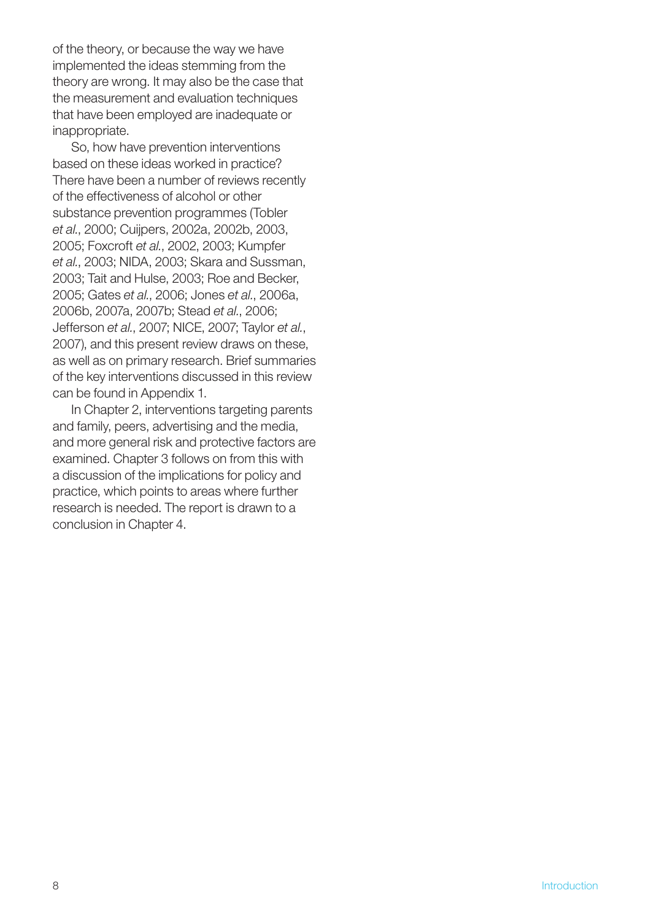of the theory, or because the way we have implemented the ideas stemming from the theory are wrong. It may also be the case that the measurement and evaluation techniques that have been employed are inadequate or inappropriate.

So, how have prevention interventions based on these ideas worked in practice? There have been a number of reviews recently of the effectiveness of alcohol or other substance prevention programmes (Tobler *et al.*, 2000; Cuijpers, 2002a, 2002b, 2003, 2005; Foxcroft *et al.*, 2002, 2003; Kumpfer *et al.*, 2003; NIDA, 2003; Skara and Sussman, 2003; Tait and Hulse, 2003; Roe and Becker, 2005; Gates *et al.*, 2006; Jones *et al.*, 2006a, 2006b, 2007a, 2007b; Stead *et al.*, 2006; Jefferson *et al.*, 2007; NICE, 2007; Taylor *et al.*, 2007), and this present review draws on these, as well as on primary research. Brief summaries of the key interventions discussed in this review can be found in Appendix 1.

In Chapter 2, interventions targeting parents and family, peers, advertising and the media, and more general risk and protective factors are examined. Chapter 3 follows on from this with a discussion of the implications for policy and practice, which points to areas where further research is needed. The report is drawn to a conclusion in Chapter 4.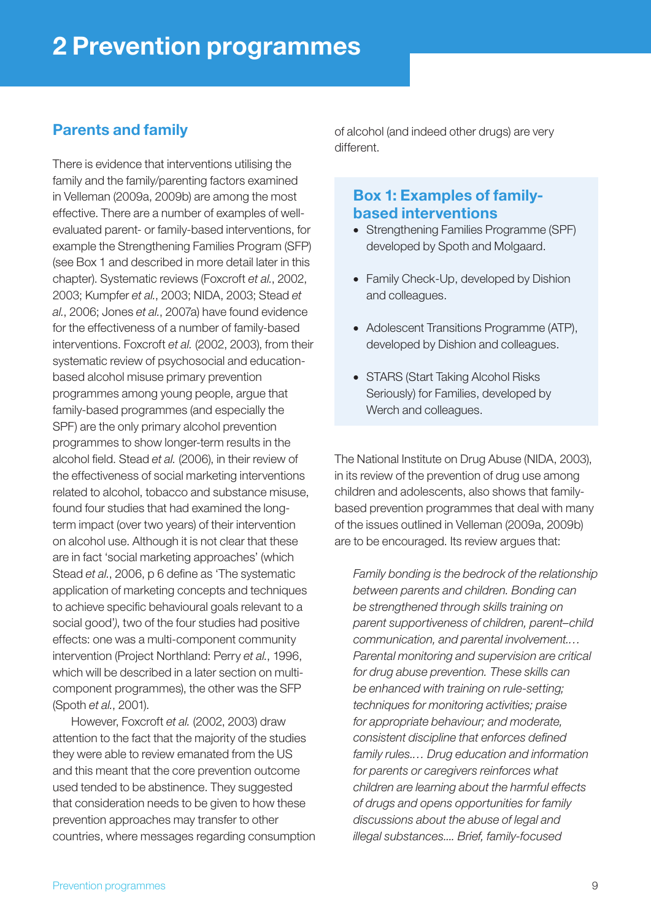## Parents and family

There is evidence that interventions utilising the family and the family/parenting factors examined in Velleman (2009a, 2009b) are among the most effective. There are a number of examples of wellevaluated parent- or family-based interventions, for example the Strengthening Families Program (SFP) (see Box 1 and described in more detail later in this chapter). Systematic reviews (Foxcroft *et al.*, 2002, 2003; Kumpfer *et al.*, 2003; NIDA, 2003; Stead *et al.*, 2006; Jones *et al.*, 2007a) have found evidence for the effectiveness of a number of family-based interventions. Foxcroft *et al.* (2002, 2003), from their systematic review of psychosocial and educationbased alcohol misuse primary prevention programmes among young people, argue that family-based programmes (and especially the SPF) are the only primary alcohol prevention programmes to show longer-term results in the alcohol field. Stead *et al.* (2006), in their review of the effectiveness of social marketing interventions related to alcohol, tobacco and substance misuse, found four studies that had examined the longterm impact (over two years) of their intervention on alcohol use. Although it is not clear that these are in fact 'social marketing approaches' (which Stead *et al.*, 2006, p 6 define as 'The systematic application of marketing concepts and techniques to achieve specific behavioural goals relevant to a social good'*)*, two of the four studies had positive effects: one was a multi-component community intervention (Project Northland: Perry *et al.*, 1996, which will be described in a later section on multicomponent programmes), the other was the SFP (Spoth *et al.*, 2001).

However, Foxcroft *et al.* (2002, 2003) draw attention to the fact that the majority of the studies they were able to review emanated from the US and this meant that the core prevention outcome used tended to be abstinence. They suggested that consideration needs to be given to how these prevention approaches may transfer to other countries, where messages regarding consumption of alcohol (and indeed other drugs) are very different.

## Box 1: Examples of familybased interventions

- Strengthening Families Programme (SPF) developed by Spoth and Molgaard.
- Family Check-Up, developed by Dishion and colleagues.
- Adolescent Transitions Programme (ATP), developed by Dishion and colleagues.
- STARS (Start Taking Alcohol Risks Seriously) for Families, developed by Werch and colleagues.

The National Institute on Drug Abuse (NIDA, 2003), in its review of the prevention of drug use among children and adolescents, also shows that familybased prevention programmes that deal with many of the issues outlined in Velleman (2009a, 2009b) are to be encouraged. Its review argues that:

*Family bonding is the bedrock of the relationship between parents and children. Bonding can be strengthened through skills training on parent supportiveness of children, parent–child communication, and parental involvement.… Parental monitoring and supervision are critical for drug abuse prevention. These skills can be enhanced with training on rule-setting; techniques for monitoring activities; praise for appropriate behaviour; and moderate, consistent discipline that enforces defined family rules.… Drug education and information for parents or caregivers reinforces what children are learning about the harmful effects of drugs and opens opportunities for family discussions about the abuse of legal and illegal substances.... Brief, family-focused*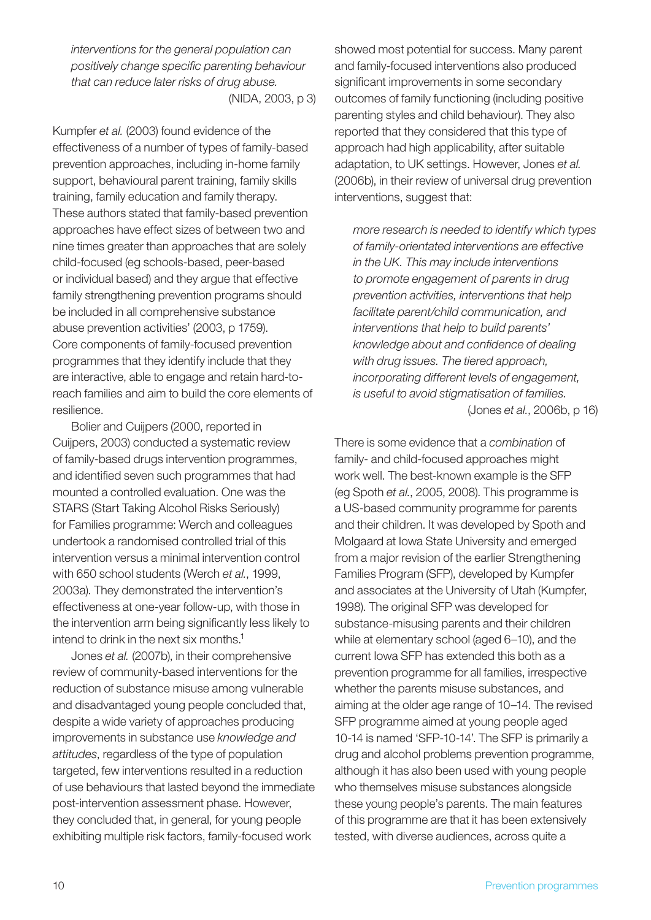*interventions for the general population can positively change specific parenting behaviour that can reduce later risks of drug abuse.*  (NIDA, 2003, p 3)

Kumpfer *et al.* (2003) found evidence of the effectiveness of a number of types of family-based prevention approaches, including in-home family support, behavioural parent training, family skills training, family education and family therapy. These authors stated that family-based prevention approaches have effect sizes of between two and nine times greater than approaches that are solely child-focused (eg schools-based, peer-based or individual based) and they argue that effective family strengthening prevention programs should be included in all comprehensive substance abuse prevention activities' (2003, p 1759). Core components of family-focused prevention programmes that they identify include that they are interactive, able to engage and retain hard-toreach families and aim to build the core elements of resilience.

Bolier and Cuijpers (2000, reported in Cuijpers, 2003) conducted a systematic review of family-based drugs intervention programmes, and identified seven such programmes that had mounted a controlled evaluation. One was the STARS (Start Taking Alcohol Risks Seriously) for Families programme: Werch and colleagues undertook a randomised controlled trial of this intervention versus a minimal intervention control with 650 school students (Werch *et al.*, 1999, 2003a). They demonstrated the intervention's effectiveness at one-year follow-up, with those in the intervention arm being significantly less likely to intend to drink in the next six months.<sup>1</sup>

Jones *et al.* (2007b), in their comprehensive review of community-based interventions for the reduction of substance misuse among vulnerable and disadvantaged young people concluded that, despite a wide variety of approaches producing improvements in substance use *knowledge and attitudes*, regardless of the type of population targeted, few interventions resulted in a reduction of use behaviours that lasted beyond the immediate post-intervention assessment phase. However, they concluded that, in general, for young people exhibiting multiple risk factors, family-focused work

showed most potential for success. Many parent and family-focused interventions also produced significant improvements in some secondary outcomes of family functioning (including positive parenting styles and child behaviour). They also reported that they considered that this type of approach had high applicability, after suitable adaptation, to UK settings. However, Jones *et al.* (2006b), in their review of universal drug prevention interventions, suggest that:

*more research is needed to identify which types of family-orientated interventions are effective in the UK. This may include interventions to promote engagement of parents in drug prevention activities, interventions that help facilitate parent/child communication, and interventions that help to build parents' knowledge about and confidence of dealing with drug issues. The tiered approach, incorporating different levels of engagement, is useful to avoid stigmatisation of families.* (Jones *et al.*, 2006b, p 16)

There is some evidence that a *combination* of family- and child-focused approaches might work well. The best-known example is the SFP (eg Spoth *et al.*, 2005, 2008). This programme is a US-based community programme for parents and their children. It was developed by Spoth and Molgaard at Iowa State University and emerged from a major revision of the earlier Strengthening Families Program (SFP), developed by Kumpfer and associates at the University of Utah (Kumpfer, 1998). The original SFP was developed for substance-misusing parents and their children while at elementary school (aged 6–10), and the current Iowa SFP has extended this both as a prevention programme for all families, irrespective whether the parents misuse substances, and aiming at the older age range of 10–14. The revised SFP programme aimed at young people aged 10-14 is named 'SFP-10-14'. The SFP is primarily a drug and alcohol problems prevention programme, although it has also been used with young people who themselves misuse substances alongside these young people's parents. The main features of this programme are that it has been extensively tested, with diverse audiences, across quite a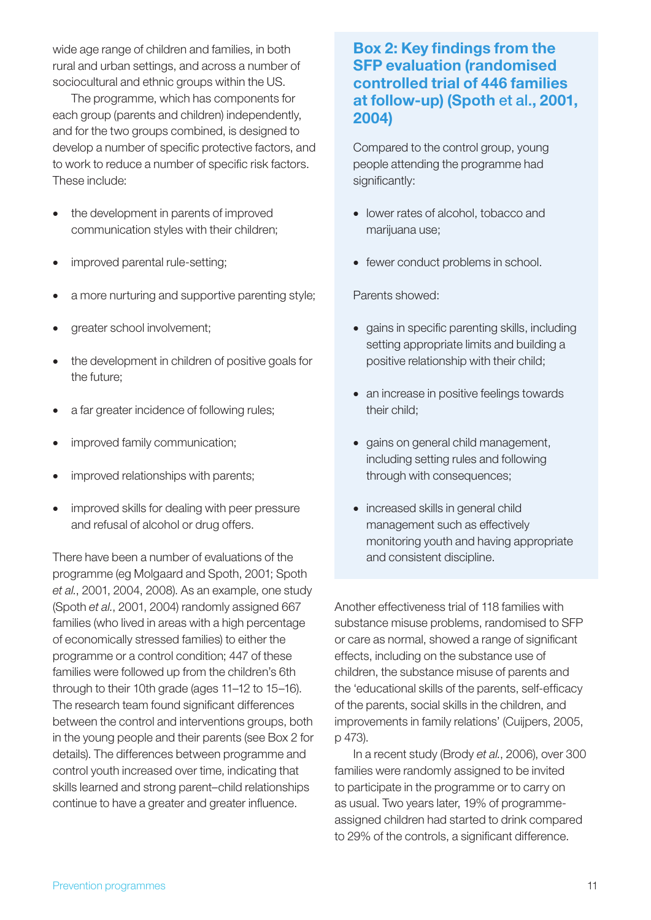wide age range of children and families, in both rural and urban settings, and across a number of sociocultural and ethnic groups within the US.

The programme, which has components for each group (parents and children) independently, and for the two groups combined, is designed to develop a number of specific protective factors, and to work to reduce a number of specific risk factors. These include:

- the development in parents of improved communication styles with their children;
- improved parental rule-setting;
- a more nurturing and supportive parenting style;
- greater school involvement;
- the development in children of positive goals for the future;
- a far greater incidence of following rules;
- improved family communication;
- improved relationships with parents;
- improved skills for dealing with peer pressure and refusal of alcohol or drug offers.

There have been a number of evaluations of the programme (eg Molgaard and Spoth, 2001; Spoth *et al.*, 2001, 2004, 2008). As an example, one study (Spoth *et al.*, 2001, 2004) randomly assigned 667 families (who lived in areas with a high percentage of economically stressed families) to either the programme or a control condition; 447 of these families were followed up from the children's 6th through to their 10th grade (ages 11–12 to 15–16). The research team found significant differences between the control and interventions groups, both in the young people and their parents (see Box 2 for details). The differences between programme and control youth increased over time, indicating that skills learned and strong parent–child relationships continue to have a greater and greater influence.

## Box 2: Key findings from the SFP evaluation (randomised controlled trial of 446 families at follow-up) (Spoth et al., 2001, 2004)

Compared to the control group, young people attending the programme had significantly:

- lower rates of alcohol, tobacco and marijuana use;
- fewer conduct problems in school.

Parents showed:

- gains in specific parenting skills, including setting appropriate limits and building a positive relationship with their child;
- an increase in positive feelings towards their child;
- gains on general child management, including setting rules and following through with consequences;
- increased skills in general child management such as effectively monitoring youth and having appropriate and consistent discipline.

Another effectiveness trial of 118 families with substance misuse problems, randomised to SFP or care as normal, showed a range of significant effects, including on the substance use of children, the substance misuse of parents and the 'educational skills of the parents, self-efficacy of the parents, social skills in the children, and improvements in family relations' (Cuijpers, 2005, p 473).

In a recent study (Brody *et al.*, 2006), over 300 families were randomly assigned to be invited to participate in the programme or to carry on as usual. Two years later, 19% of programmeassigned children had started to drink compared to 29% of the controls, a significant difference.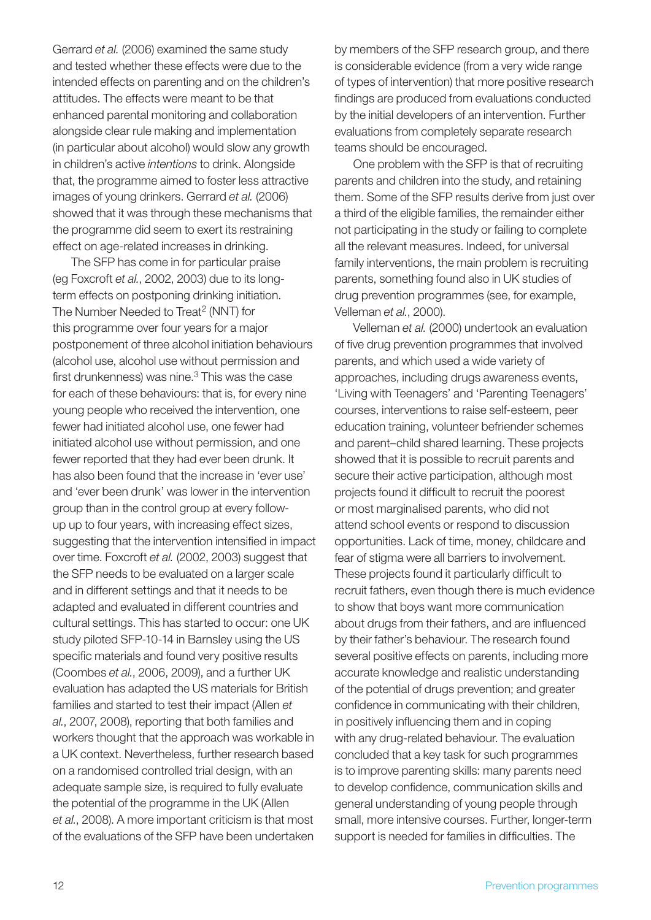Gerrard *et al.* (2006) examined the same study and tested whether these effects were due to the intended effects on parenting and on the children's attitudes. The effects were meant to be that enhanced parental monitoring and collaboration alongside clear rule making and implementation (in particular about alcohol) would slow any growth in children's active *intentions* to drink. Alongside that, the programme aimed to foster less attractive images of young drinkers. Gerrard *et al.* (2006) showed that it was through these mechanisms that the programme did seem to exert its restraining effect on age-related increases in drinking.

The SFP has come in for particular praise (eg Foxcroft *et al.*, 2002, 2003) due to its longterm effects on postponing drinking initiation. The Number Needed to Treat<sup>2</sup> (NNT) for this programme over four years for a major postponement of three alcohol initiation behaviours (alcohol use, alcohol use without permission and first drunkenness) was nine. $3$  This was the case for each of these behaviours: that is, for every nine young people who received the intervention, one fewer had initiated alcohol use, one fewer had initiated alcohol use without permission, and one fewer reported that they had ever been drunk. It has also been found that the increase in 'ever use' and 'ever been drunk' was lower in the intervention group than in the control group at every followup up to four years, with increasing effect sizes, suggesting that the intervention intensified in impact over time. Foxcroft *et al.* (2002, 2003) suggest that the SFP needs to be evaluated on a larger scale and in different settings and that it needs to be adapted and evaluated in different countries and cultural settings. This has started to occur: one UK study piloted SFP-10-14 in Barnsley using the US specific materials and found very positive results (Coombes *et al.*, 2006, 2009), and a further UK evaluation has adapted the US materials for British families and started to test their impact (Allen *et al.*, 2007, 2008), reporting that both families and workers thought that the approach was workable in a UK context. Nevertheless, further research based on a randomised controlled trial design, with an adequate sample size, is required to fully evaluate the potential of the programme in the UK (Allen *et al.*, 2008). A more important criticism is that most of the evaluations of the SFP have been undertaken

by members of the SFP research group, and there is considerable evidence (from a very wide range of types of intervention) that more positive research findings are produced from evaluations conducted by the initial developers of an intervention. Further evaluations from completely separate research teams should be encouraged.

One problem with the SFP is that of recruiting parents and children into the study, and retaining them. Some of the SFP results derive from just over a third of the eligible families, the remainder either not participating in the study or failing to complete all the relevant measures. Indeed, for universal family interventions, the main problem is recruiting parents, something found also in UK studies of drug prevention programmes (see, for example, Velleman *et al.*, 2000).

Velleman *et al.* (2000) undertook an evaluation of five drug prevention programmes that involved parents, and which used a wide variety of approaches, including drugs awareness events, 'Living with Teenagers' and 'Parenting Teenagers' courses, interventions to raise self-esteem, peer education training, volunteer befriender schemes and parent–child shared learning. These projects showed that it is possible to recruit parents and secure their active participation, although most projects found it difficult to recruit the poorest or most marginalised parents, who did not attend school events or respond to discussion opportunities. Lack of time, money, childcare and fear of stigma were all barriers to involvement. These projects found it particularly difficult to recruit fathers, even though there is much evidence to show that boys want more communication about drugs from their fathers, and are influenced by their father's behaviour. The research found several positive effects on parents, including more accurate knowledge and realistic understanding of the potential of drugs prevention; and greater confidence in communicating with their children, in positively influencing them and in coping with any drug-related behaviour. The evaluation concluded that a key task for such programmes is to improve parenting skills: many parents need to develop confidence, communication skills and general understanding of young people through small, more intensive courses. Further, longer-term support is needed for families in difficulties. The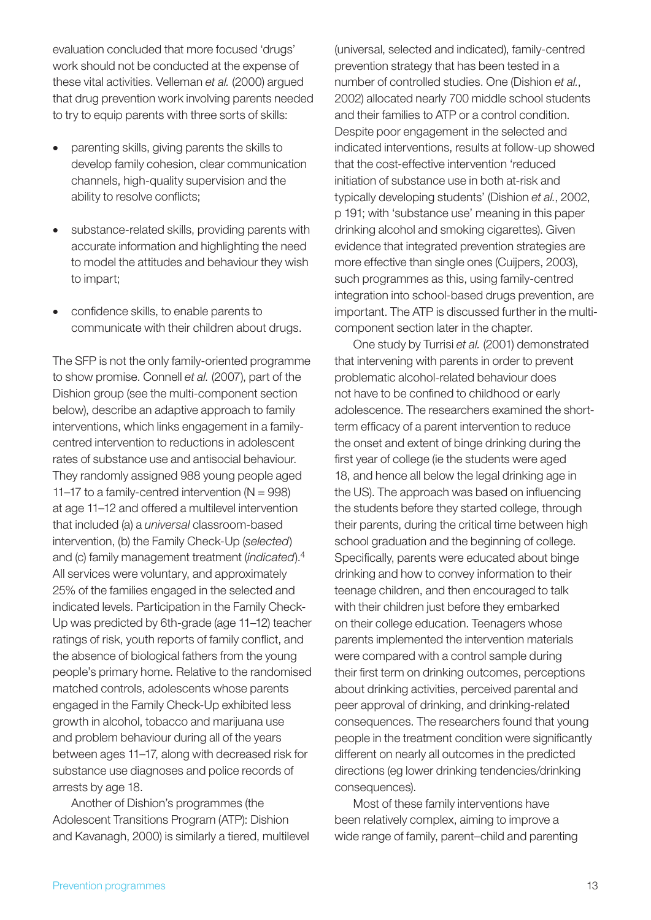evaluation concluded that more focused 'drugs' work should not be conducted at the expense of these vital activities. Velleman *et al.* (2000) argued that drug prevention work involving parents needed to try to equip parents with three sorts of skills:

- parenting skills, giving parents the skills to develop family cohesion, clear communication channels, high-quality supervision and the ability to resolve conflicts;
- substance-related skills, providing parents with accurate information and highlighting the need to model the attitudes and behaviour they wish to impart;
- confidence skills, to enable parents to communicate with their children about drugs.

The SFP is not the only family-oriented programme to show promise. Connell *et al.* (2007), part of the Dishion group (see the multi-component section below), describe an adaptive approach to family interventions, which links engagement in a familycentred intervention to reductions in adolescent rates of substance use and antisocial behaviour. They randomly assigned 988 young people aged 11–17 to a family-centred intervention  $(N = 998)$ at age 11–12 and offered a multilevel intervention that included (a) a *universal* classroom-based intervention, (b) the Family Check-Up (*selected*) and (c) family management treatment (*indicated*).4 All services were voluntary, and approximately 25% of the families engaged in the selected and indicated levels. Participation in the Family Check-Up was predicted by 6th-grade (age 11–12) teacher ratings of risk, youth reports of family conflict, and the absence of biological fathers from the young people's primary home. Relative to the randomised matched controls, adolescents whose parents engaged in the Family Check-Up exhibited less growth in alcohol, tobacco and marijuana use and problem behaviour during all of the years between ages 11–17, along with decreased risk for substance use diagnoses and police records of arrests by age 18.

Another of Dishion's programmes (the Adolescent Transitions Program (ATP): Dishion and Kavanagh, 2000) is similarly a tiered, multilevel

(universal, selected and indicated), family-centred prevention strategy that has been tested in a number of controlled studies. One (Dishion *et al.*, 2002) allocated nearly 700 middle school students and their families to ATP or a control condition. Despite poor engagement in the selected and indicated interventions, results at follow-up showed that the cost-effective intervention 'reduced initiation of substance use in both at-risk and typically developing students' (Dishion *et al.*, 2002, p 191; with 'substance use' meaning in this paper drinking alcohol and smoking cigarettes). Given evidence that integrated prevention strategies are more effective than single ones (Cuijpers, 2003), such programmes as this, using family-centred integration into school-based drugs prevention, are important. The ATP is discussed further in the multicomponent section later in the chapter.

One study by Turrisi *et al.* (2001) demonstrated that intervening with parents in order to prevent problematic alcohol-related behaviour does not have to be confined to childhood or early adolescence. The researchers examined the shortterm efficacy of a parent intervention to reduce the onset and extent of binge drinking during the first year of college (ie the students were aged 18, and hence all below the legal drinking age in the US). The approach was based on influencing the students before they started college, through their parents, during the critical time between high school graduation and the beginning of college. Specifically, parents were educated about binge drinking and how to convey information to their teenage children, and then encouraged to talk with their children just before they embarked on their college education. Teenagers whose parents implemented the intervention materials were compared with a control sample during their first term on drinking outcomes, perceptions about drinking activities, perceived parental and peer approval of drinking, and drinking-related consequences. The researchers found that young people in the treatment condition were significantly different on nearly all outcomes in the predicted directions (eg lower drinking tendencies/drinking consequences).

Most of these family interventions have been relatively complex, aiming to improve a wide range of family, parent–child and parenting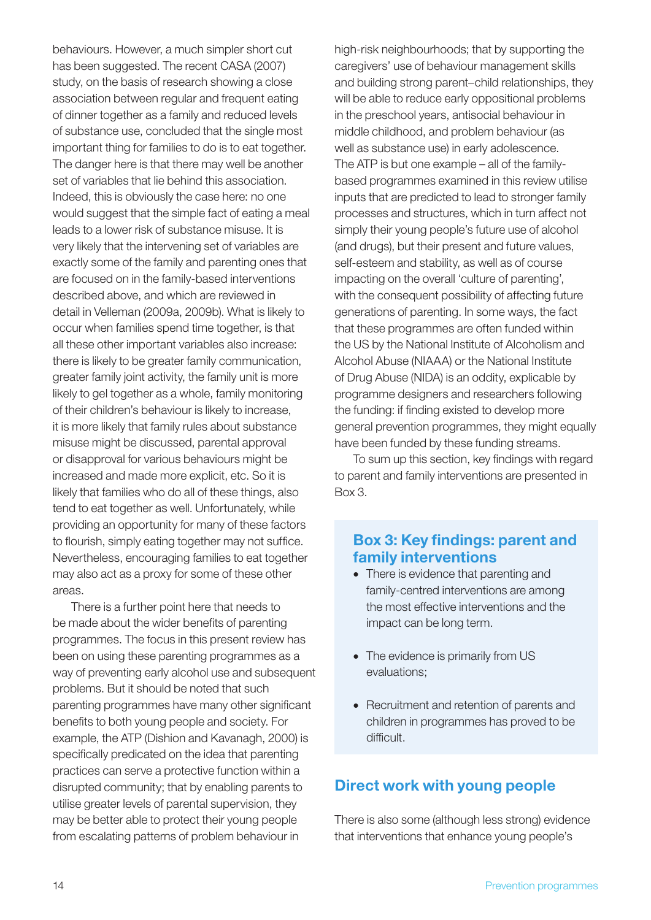behaviours. However, a much simpler short cut has been suggested. The recent CASA (2007) study, on the basis of research showing a close association between regular and frequent eating of dinner together as a family and reduced levels of substance use, concluded that the single most important thing for families to do is to eat together. The danger here is that there may well be another set of variables that lie behind this association. Indeed, this is obviously the case here: no one would suggest that the simple fact of eating a meal leads to a lower risk of substance misuse. It is very likely that the intervening set of variables are exactly some of the family and parenting ones that are focused on in the family-based interventions described above, and which are reviewed in detail in Velleman (2009a, 2009b). What is likely to occur when families spend time together, is that all these other important variables also increase: there is likely to be greater family communication, greater family joint activity, the family unit is more likely to gel together as a whole, family monitoring of their children's behaviour is likely to increase, it is more likely that family rules about substance misuse might be discussed, parental approval or disapproval for various behaviours might be increased and made more explicit, etc. So it is likely that families who do all of these things, also tend to eat together as well. Unfortunately, while providing an opportunity for many of these factors to flourish, simply eating together may not suffice. Nevertheless, encouraging families to eat together may also act as a proxy for some of these other areas.

There is a further point here that needs to be made about the wider benefits of parenting programmes. The focus in this present review has been on using these parenting programmes as a way of preventing early alcohol use and subsequent problems. But it should be noted that such parenting programmes have many other significant benefits to both young people and society. For example, the ATP (Dishion and Kavanagh, 2000) is specifically predicated on the idea that parenting practices can serve a protective function within a disrupted community; that by enabling parents to utilise greater levels of parental supervision, they may be better able to protect their young people from escalating patterns of problem behaviour in

high-risk neighbourhoods; that by supporting the caregivers' use of behaviour management skills and building strong parent–child relationships, they will be able to reduce early oppositional problems in the preschool years, antisocial behaviour in middle childhood, and problem behaviour (as well as substance use) in early adolescence. The ATP is but one example – all of the familybased programmes examined in this review utilise inputs that are predicted to lead to stronger family processes and structures, which in turn affect not simply their young people's future use of alcohol (and drugs), but their present and future values, self-esteem and stability, as well as of course impacting on the overall 'culture of parenting', with the consequent possibility of affecting future generations of parenting. In some ways, the fact that these programmes are often funded within the US by the National Institute of Alcoholism and Alcohol Abuse (NIAAA) or the National Institute of Drug Abuse (NIDA) is an oddity, explicable by programme designers and researchers following the funding: if finding existed to develop more general prevention programmes, they might equally have been funded by these funding streams.

To sum up this section, key findings with regard to parent and family interventions are presented in Box 3.

## Box 3: Key findings: parent and family interventions

- There is evidence that parenting and family-centred interventions are among the most effective interventions and the impact can be long term.
- The evidence is primarily from US evaluations;
- Recruitment and retention of parents and children in programmes has proved to be difficult.

### Direct work with young people

There is also some (although less strong) evidence that interventions that enhance young people's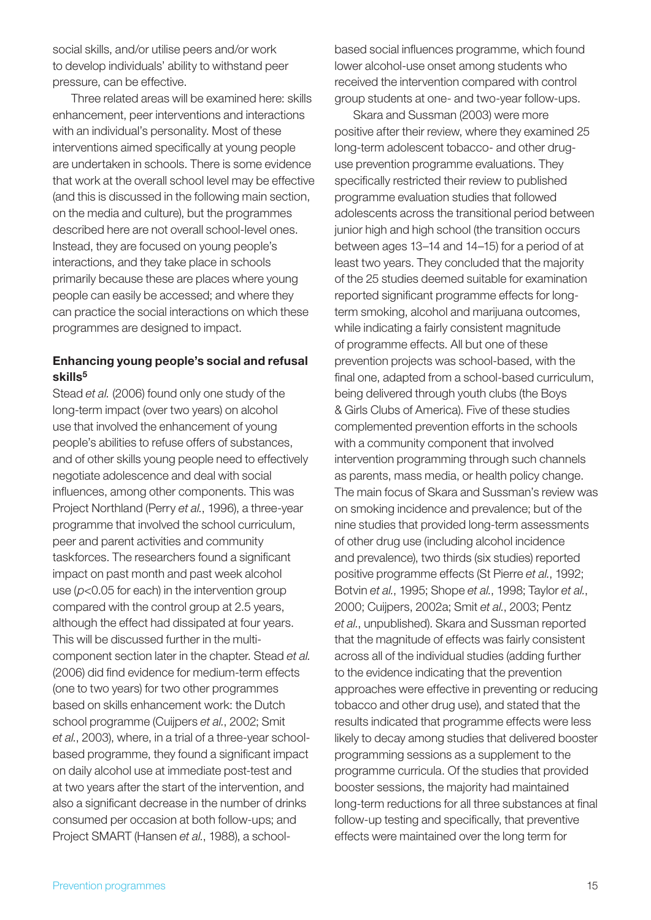social skills, and/or utilise peers and/or work to develop individuals' ability to withstand peer pressure, can be effective.

Three related areas will be examined here: skills enhancement, peer interventions and interactions with an individual's personality. Most of these interventions aimed specifically at young people are undertaken in schools. There is some evidence that work at the overall school level may be effective (and this is discussed in the following main section, on the media and culture), but the programmes described here are not overall school-level ones. Instead, they are focused on young people's interactions, and they take place in schools primarily because these are places where young people can easily be accessed; and where they can practice the social interactions on which these programmes are designed to impact.

#### Enhancing young people's social and refusal skills<sup>5</sup>

Stead *et al.* (2006) found only one study of the long-term impact (over two years) on alcohol use that involved the enhancement of young people's abilities to refuse offers of substances, and of other skills young people need to effectively negotiate adolescence and deal with social influences, among other components. This was Project Northland (Perry *et al.*, 1996), a three-year programme that involved the school curriculum, peer and parent activities and community taskforces. The researchers found a significant impact on past month and past week alcohol use (*p*<0.05 for each) in the intervention group compared with the control group at 2.5 years, although the effect had dissipated at four years. This will be discussed further in the multicomponent section later in the chapter. Stead *et al.* (2006) did find evidence for medium-term effects (one to two years) for two other programmes based on skills enhancement work: the Dutch school programme (Cuijpers *et al.*, 2002; Smit *et al.*, 2003), where, in a trial of a three-year schoolbased programme, they found a significant impact on daily alcohol use at immediate post-test and at two years after the start of the intervention, and also a significant decrease in the number of drinks consumed per occasion at both follow-ups; and Project SMART (Hansen *et al.*, 1988), a schoolbased social influences programme, which found lower alcohol-use onset among students who received the intervention compared with control group students at one- and two-year follow-ups.

Skara and Sussman (2003) were more positive after their review, where they examined 25 long-term adolescent tobacco- and other druguse prevention programme evaluations. They specifically restricted their review to published programme evaluation studies that followed adolescents across the transitional period between junior high and high school (the transition occurs between ages 13–14 and 14–15) for a period of at least two years. They concluded that the majority of the 25 studies deemed suitable for examination reported significant programme effects for longterm smoking, alcohol and marijuana outcomes, while indicating a fairly consistent magnitude of programme effects. All but one of these prevention projects was school-based, with the final one, adapted from a school-based curriculum, being delivered through youth clubs (the Boys & Girls Clubs of America). Five of these studies complemented prevention efforts in the schools with a community component that involved intervention programming through such channels as parents, mass media, or health policy change. The main focus of Skara and Sussman's review was on smoking incidence and prevalence; but of the nine studies that provided long-term assessments of other drug use (including alcohol incidence and prevalence), two thirds (six studies) reported positive programme effects (St Pierre *et al.*, 1992; Botvin *et al.*, 1995; Shope *et al.*, 1998; Taylor *et al.*, 2000; Cuijpers, 2002a; Smit *et al.*, 2003; Pentz *et al.*, unpublished). Skara and Sussman reported that the magnitude of effects was fairly consistent across all of the individual studies (adding further to the evidence indicating that the prevention approaches were effective in preventing or reducing tobacco and other drug use), and stated that the results indicated that programme effects were less likely to decay among studies that delivered booster programming sessions as a supplement to the programme curricula. Of the studies that provided booster sessions, the majority had maintained long-term reductions for all three substances at final follow-up testing and specifically, that preventive effects were maintained over the long term for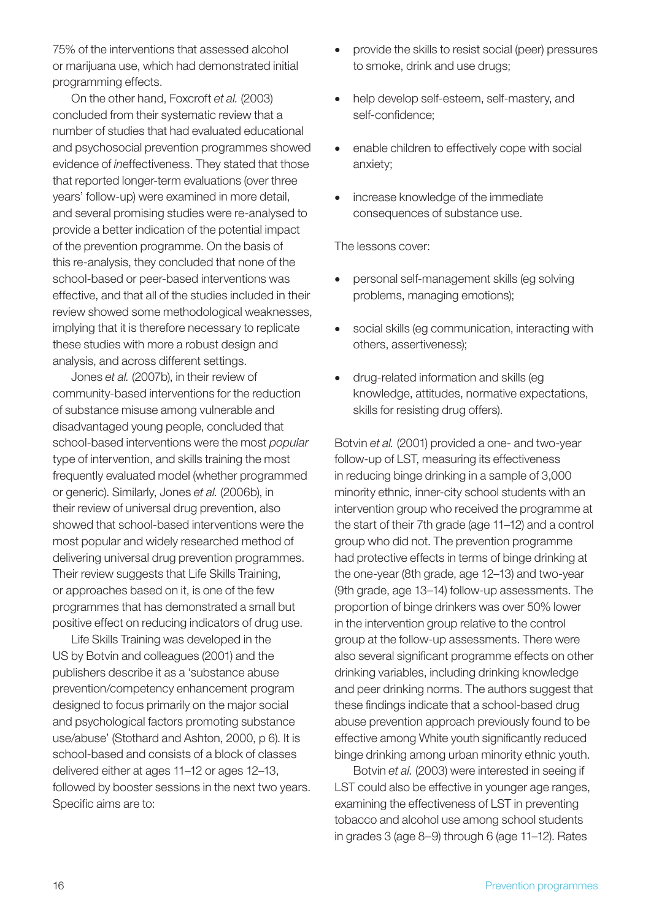75% of the interventions that assessed alcohol or marijuana use, which had demonstrated initial programming effects.

On the other hand, Foxcroft *et al.* (2003) concluded from their systematic review that a number of studies that had evaluated educational and psychosocial prevention programmes showed evidence of *in*effectiveness. They stated that those that reported longer-term evaluations (over three years' follow-up) were examined in more detail, and several promising studies were re-analysed to provide a better indication of the potential impact of the prevention programme. On the basis of this re-analysis, they concluded that none of the school-based or peer-based interventions was effective, and that all of the studies included in their review showed some methodological weaknesses, implying that it is therefore necessary to replicate these studies with more a robust design and analysis, and across different settings.

Jones *et al.* (2007b), in their review of community-based interventions for the reduction of substance misuse among vulnerable and disadvantaged young people, concluded that school-based interventions were the most *popular* type of intervention, and skills training the most frequently evaluated model (whether programmed or generic). Similarly, Jones *et al.* (2006b), in their review of universal drug prevention, also showed that school-based interventions were the most popular and widely researched method of delivering universal drug prevention programmes. Their review suggests that Life Skills Training, or approaches based on it, is one of the few programmes that has demonstrated a small but positive effect on reducing indicators of drug use.

Life Skills Training was developed in the US by Botvin and colleagues (2001) and the publishers describe it as a 'substance abuse prevention/competency enhancement program designed to focus primarily on the major social and psychological factors promoting substance use/abuse' (Stothard and Ashton, 2000, p 6). It is school-based and consists of a block of classes delivered either at ages 11–12 or ages 12–13, followed by booster sessions in the next two years. Specific aims are to:

- provide the skills to resist social (peer) pressures to smoke, drink and use drugs;
- help develop self-esteem, self-mastery, and self-confidence;
- enable children to effectively cope with social anxiety;
- increase knowledge of the immediate consequences of substance use.

The lessons cover:

- personal self-management skills (eg solving problems, managing emotions);
- social skills (eg communication, interacting with others, assertiveness);
- drug-related information and skills (eq knowledge, attitudes, normative expectations, skills for resisting drug offers).

Botvin *et al.* (2001) provided a one- and two-year follow-up of LST, measuring its effectiveness in reducing binge drinking in a sample of 3,000 minority ethnic, inner-city school students with an intervention group who received the programme at the start of their 7th grade (age 11–12) and a control group who did not. The prevention programme had protective effects in terms of binge drinking at the one-year (8th grade, age 12–13) and two-year (9th grade, age 13–14) follow-up assessments. The proportion of binge drinkers was over 50% lower in the intervention group relative to the control group at the follow-up assessments. There were also several significant programme effects on other drinking variables, including drinking knowledge and peer drinking norms. The authors suggest that these findings indicate that a school-based drug abuse prevention approach previously found to be effective among White youth significantly reduced binge drinking among urban minority ethnic youth.

Botvin *et al.* (2003) were interested in seeing if LST could also be effective in younger age ranges, examining the effectiveness of LST in preventing tobacco and alcohol use among school students in grades 3 (age 8–9) through 6 (age 11–12). Rates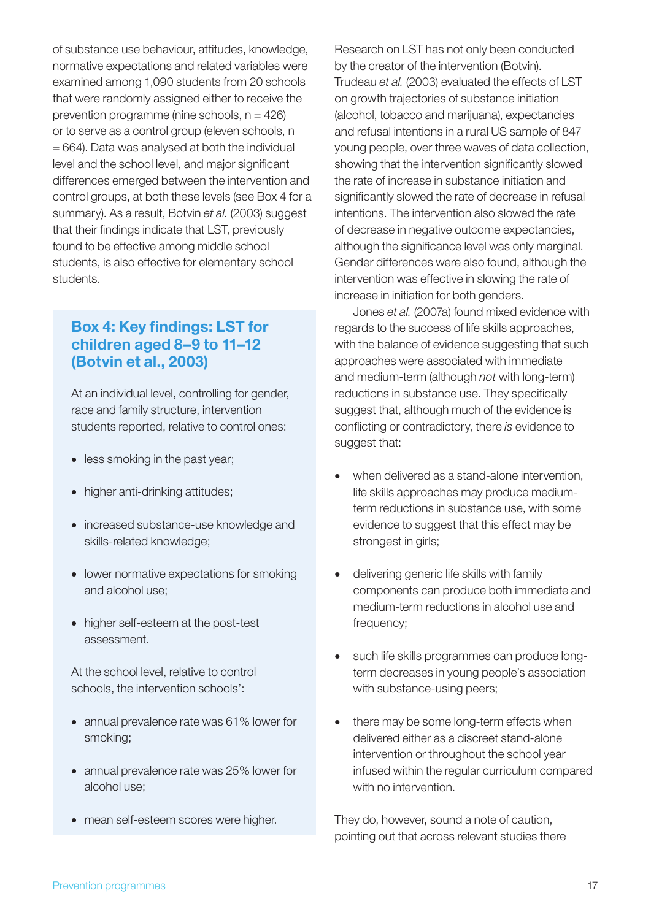of substance use behaviour, attitudes, knowledge, normative expectations and related variables were examined among 1,090 students from 20 schools that were randomly assigned either to receive the prevention programme (nine schools,  $n = 426$ ) or to serve as a control group (eleven schools, n  $= 664$ ). Data was analysed at both the individual level and the school level, and major significant differences emerged between the intervention and control groups, at both these levels (see Box 4 for a summary). As a result, Botvin *et al.* (2003) suggest that their findings indicate that LST, previously found to be effective among middle school students, is also effective for elementary school students.

### Box 4: Key findings: LST for children aged 8–9 to 11–12 (Botvin et al., 2003)

At an individual level, controlling for gender, race and family structure, intervention students reported, relative to control ones:

- less smoking in the past year;
- higher anti-drinking attitudes;
- increased substance-use knowledge and skills-related knowledge;
- lower normative expectations for smoking and alcohol use;
- higher self-esteem at the post-test assessment.

At the school level, relative to control schools, the intervention schools':

- annual prevalence rate was 61% lower for smoking;
- annual prevalence rate was 25% lower for alcohol use;
- mean self-esteem scores were higher.

Research on LST has not only been conducted by the creator of the intervention (Botvin). Trudeau *et al.* (2003) evaluated the effects of LST on growth trajectories of substance initiation (alcohol, tobacco and marijuana), expectancies and refusal intentions in a rural US sample of 847 young people, over three waves of data collection, showing that the intervention significantly slowed the rate of increase in substance initiation and significantly slowed the rate of decrease in refusal intentions. The intervention also slowed the rate of decrease in negative outcome expectancies, although the significance level was only marginal. Gender differences were also found, although the intervention was effective in slowing the rate of increase in initiation for both genders.

Jones *et al.* (2007a) found mixed evidence with regards to the success of life skills approaches, with the balance of evidence suggesting that such approaches were associated with immediate and medium-term (although *not* with long-term) reductions in substance use. They specifically suggest that, although much of the evidence is conflicting or contradictory, there *is* evidence to suggest that:

- when delivered as a stand-alone intervention, life skills approaches may produce mediumterm reductions in substance use, with some evidence to suggest that this effect may be strongest in girls;
- delivering generic life skills with family components can produce both immediate and medium-term reductions in alcohol use and frequency;
- such life skills programmes can produce longterm decreases in young people's association with substance-using peers;
- there may be some long-term effects when delivered either as a discreet stand-alone intervention or throughout the school year infused within the regular curriculum compared with no intervention.

They do, however, sound a note of caution, pointing out that across relevant studies there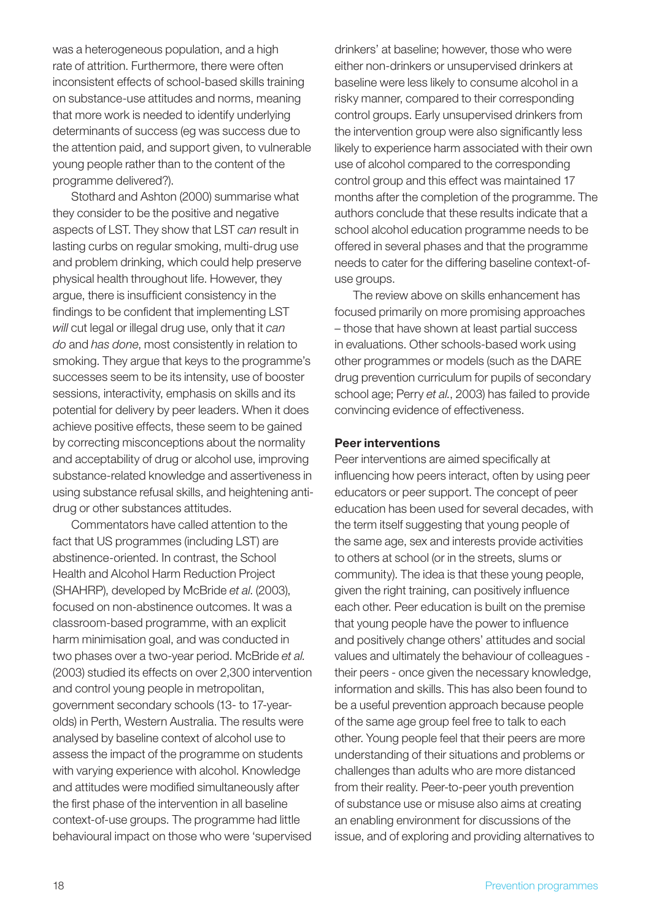was a heterogeneous population, and a high rate of attrition. Furthermore, there were often inconsistent effects of school-based skills training on substance-use attitudes and norms, meaning that more work is needed to identify underlying determinants of success (eg was success due to the attention paid, and support given, to vulnerable young people rather than to the content of the programme delivered?).

Stothard and Ashton (2000) summarise what they consider to be the positive and negative aspects of LST. They show that LST *can* result in lasting curbs on regular smoking, multi-drug use and problem drinking, which could help preserve physical health throughout life. However, they argue, there is insufficient consistency in the findings to be confident that implementing LST *will* cut legal or illegal drug use, only that it *can do* and *has done*, most consistently in relation to smoking. They argue that keys to the programme's successes seem to be its intensity, use of booster sessions, interactivity, emphasis on skills and its potential for delivery by peer leaders. When it does achieve positive effects, these seem to be gained by correcting misconceptions about the normality and acceptability of drug or alcohol use, improving substance-related knowledge and assertiveness in using substance refusal skills, and heightening antidrug or other substances attitudes.

Commentators have called attention to the fact that US programmes (including LST) are abstinence-oriented. In contrast, the School Health and Alcohol Harm Reduction Project (SHAHRP), developed by McBride *et al*. (2003), focused on non-abstinence outcomes. It was a classroom-based programme, with an explicit harm minimisation goal, and was conducted in two phases over a two-year period. McBride *et al.*  (2003) studied its effects on over 2,300 intervention and control young people in metropolitan, government secondary schools (13- to 17-yearolds) in Perth, Western Australia. The results were analysed by baseline context of alcohol use to assess the impact of the programme on students with varying experience with alcohol. Knowledge and attitudes were modified simultaneously after the first phase of the intervention in all baseline context-of-use groups. The programme had little behavioural impact on those who were 'supervised drinkers' at baseline; however, those who were either non-drinkers or unsupervised drinkers at baseline were less likely to consume alcohol in a risky manner, compared to their corresponding control groups. Early unsupervised drinkers from the intervention group were also significantly less likely to experience harm associated with their own use of alcohol compared to the corresponding control group and this effect was maintained 17 months after the completion of the programme. The authors conclude that these results indicate that a school alcohol education programme needs to be offered in several phases and that the programme needs to cater for the differing baseline context-ofuse groups.

The review above on skills enhancement has focused primarily on more promising approaches – those that have shown at least partial success in evaluations. Other schools-based work using other programmes or models (such as the DARE drug prevention curriculum for pupils of secondary school age; Perry *et al.*, 2003) has failed to provide convincing evidence of effectiveness.

#### Peer interventions

Peer interventions are aimed specifically at influencing how peers interact, often by using peer educators or peer support. The concept of peer education has been used for several decades, with the term itself suggesting that young people of the same age, sex and interests provide activities to others at school (or in the streets, slums or community). The idea is that these young people, given the right training, can positively influence each other. Peer education is built on the premise that young people have the power to influence and positively change others' attitudes and social values and ultimately the behaviour of colleagues their peers - once given the necessary knowledge, information and skills. This has also been found to be a useful prevention approach because people of the same age group feel free to talk to each other. Young people feel that their peers are more understanding of their situations and problems or challenges than adults who are more distanced from their reality. Peer-to-peer youth prevention of substance use or misuse also aims at creating an enabling environment for discussions of the issue, and of exploring and providing alternatives to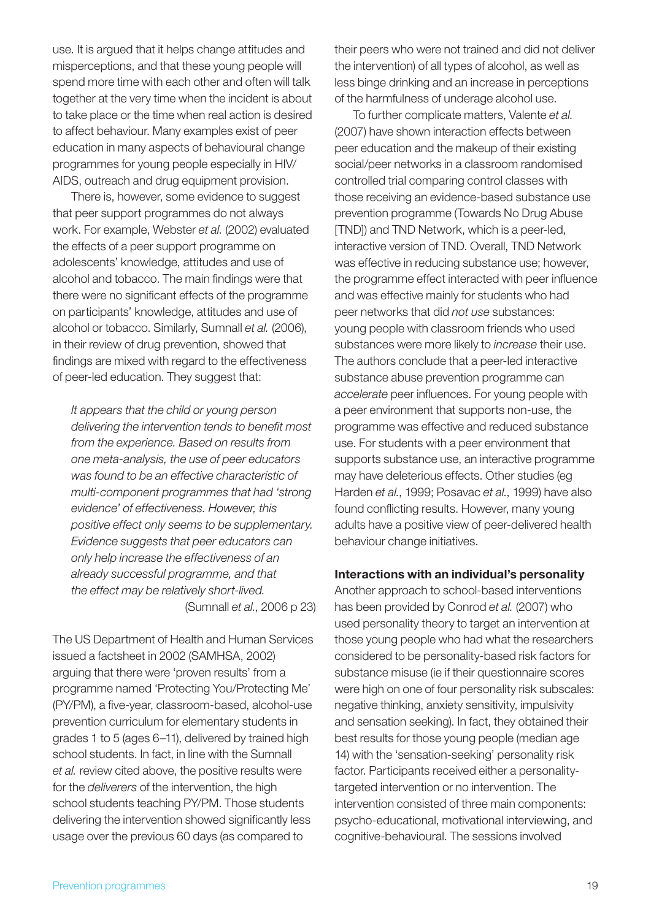use. It is argued that it helps change attitudes and misperceptions, and that these young people will spend more time with each other and often will talk together at the very time when the incident is about to take place or the time when real action is desired to affect behaviour. Many examples exist of peer education in many aspects of behavioural change programmes for young people especially in HIV/ AIDS, outreach and drug equipment provision.

There is, however, some evidence to suggest that peer support programmes do not always work. For example, Webster *et al.* (2002) evaluated the effects of a peer support programme on adolescents' knowledge, attitudes and use of alcohol and tobacco. The main findings were that there were no significant effects of the programme on participants' knowledge, attitudes and use of alcohol or tobacco. Similarly, Sumnall *et al.* (2006), in their review of drug prevention, showed that findings are mixed with regard to the effectiveness of peer-led education. They suggest that:

*It appears that the child or young person delivering the intervention tends to benefit most from the experience. Based on results from one meta-analysis, the use of peer educators was found to be an effective characteristic of multi-component programmes that had 'strong evidence' of effectiveness. However, this positive effect only seems to be supplementary. Evidence suggests that peer educators can only help increase the effectiveness of an already successful programme, and that the effect may be relatively short-lived.* (Sumnall *et al.*, 2006 p 23)

The US Department of Health and Human Services issued a factsheet in 2002 (SAMHSA, 2002) arguing that there were 'proven results' from a programme named 'Protecting You/Protecting Me' (PY/PM), a five-year, classroom-based, alcohol-use prevention curriculum for elementary students in grades 1 to 5 (ages 6–11), delivered by trained high school students. In fact, in line with the Sumnall *et al.* review cited above, the positive results were for the *deliverers* of the intervention, the high school students teaching PY/PM. Those students delivering the intervention showed significantly less usage over the previous 60 days (as compared to

their peers who were not trained and did not deliver the intervention) of all types of alcohol, as well as less binge drinking and an increase in perceptions of the harmfulness of underage alcohol use.

To further complicate matters, Valente *et al.*  (2007) have shown interaction effects between peer education and the makeup of their existing social/peer networks in a classroom randomised controlled trial comparing control classes with those receiving an evidence-based substance use prevention programme (Towards No Drug Abuse [TND]) and TND Network, which is a peer-led, interactive version of TND. Overall, TND Network was effective in reducing substance use; however, the programme effect interacted with peer influence and was effective mainly for students who had peer networks that did *not use* substances: young people with classroom friends who used substances were more likely to *increase* their use. The authors conclude that a peer-led interactive substance abuse prevention programme can *accelerate* peer influences. For young people with a peer environment that supports non-use, the programme was effective and reduced substance use. For students with a peer environment that supports substance use, an interactive programme may have deleterious effects. Other studies (eg Harden *et al.*, 1999; Posavac *et al.*, 1999) have also found conflicting results. However, many young adults have a positive view of peer-delivered health behaviour change initiatives.

#### Interactions with an individual's personality

Another approach to school-based interventions has been provided by Conrod *et al.* (2007) who used personality theory to target an intervention at those young people who had what the researchers considered to be personality-based risk factors for substance misuse (ie if their questionnaire scores were high on one of four personality risk subscales: negative thinking, anxiety sensitivity, impulsivity and sensation seeking). In fact, they obtained their best results for those young people (median age 14) with the 'sensation-seeking' personality risk factor. Participants received either a personalitytargeted intervention or no intervention. The intervention consisted of three main components: psycho-educational, motivational interviewing, and cognitive-behavioural. The sessions involved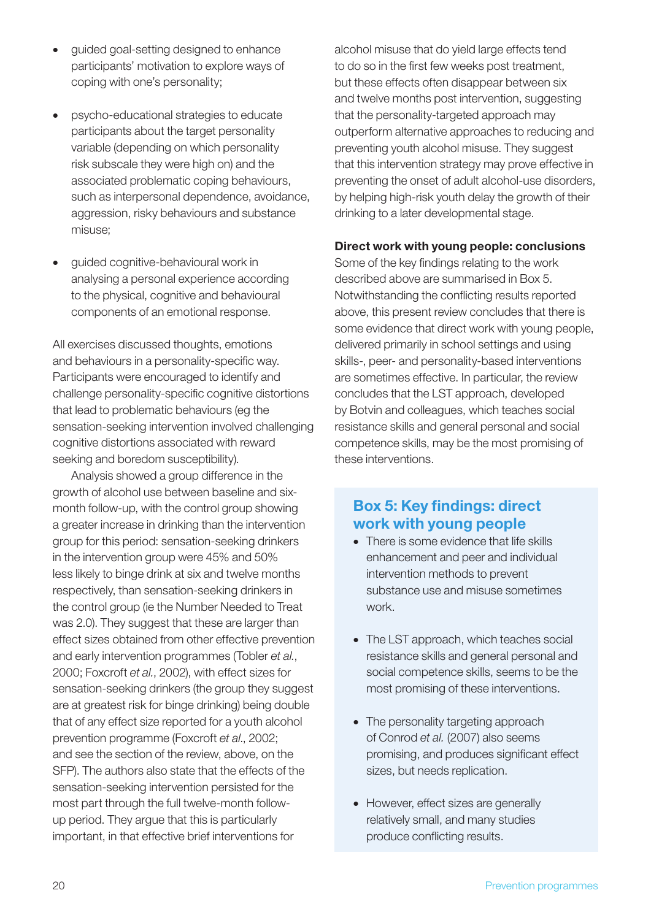- quided goal-setting designed to enhance participants' motivation to explore ways of coping with one's personality;
- psycho-educational strategies to educate participants about the target personality variable (depending on which personality risk subscale they were high on) and the associated problematic coping behaviours, such as interpersonal dependence, avoidance, aggression, risky behaviours and substance misuse;
- guided cognitive-behavioural work in analysing a personal experience according to the physical, cognitive and behavioural components of an emotional response.

All exercises discussed thoughts, emotions and behaviours in a personality-specific way. Participants were encouraged to identify and challenge personality-specific cognitive distortions that lead to problematic behaviours (eg the sensation-seeking intervention involved challenging cognitive distortions associated with reward seeking and boredom susceptibility).

Analysis showed a group difference in the growth of alcohol use between baseline and sixmonth follow-up, with the control group showing a greater increase in drinking than the intervention group for this period: sensation-seeking drinkers in the intervention group were 45% and 50% less likely to binge drink at six and twelve months respectively, than sensation-seeking drinkers in the control group (ie the Number Needed to Treat was 2.0). They suggest that these are larger than effect sizes obtained from other effective prevention and early intervention programmes (Tobler *et al.*, 2000; Foxcroft *et al.*, 2002), with effect sizes for sensation-seeking drinkers (the group they suggest are at greatest risk for binge drinking) being double that of any effect size reported for a youth alcohol prevention programme (Foxcroft *et al*., 2002; and see the section of the review, above, on the SFP). The authors also state that the effects of the sensation-seeking intervention persisted for the most part through the full twelve-month followup period. They argue that this is particularly important, in that effective brief interventions for

alcohol misuse that do yield large effects tend to do so in the first few weeks post treatment, but these effects often disappear between six and twelve months post intervention, suggesting that the personality-targeted approach may outperform alternative approaches to reducing and preventing youth alcohol misuse. They suggest that this intervention strategy may prove effective in preventing the onset of adult alcohol-use disorders, by helping high-risk youth delay the growth of their drinking to a later developmental stage.

#### Direct work with young people: conclusions

Some of the key findings relating to the work described above are summarised in Box 5. Notwithstanding the conflicting results reported above, this present review concludes that there is some evidence that direct work with young people, delivered primarily in school settings and using skills-, peer- and personality-based interventions are sometimes effective. In particular, the review concludes that the LST approach, developed by Botvin and colleagues, which teaches social resistance skills and general personal and social competence skills, may be the most promising of these interventions.

## Box 5: Key findings: direct work with young people

- There is some evidence that life skills enhancement and peer and individual intervention methods to prevent substance use and misuse sometimes work.
- The LST approach, which teaches social resistance skills and general personal and social competence skills, seems to be the most promising of these interventions.
- The personality targeting approach of Conrod *et al.* (2007) also seems promising, and produces significant effect sizes, but needs replication.
- However, effect sizes are generally relatively small, and many studies produce conflicting results.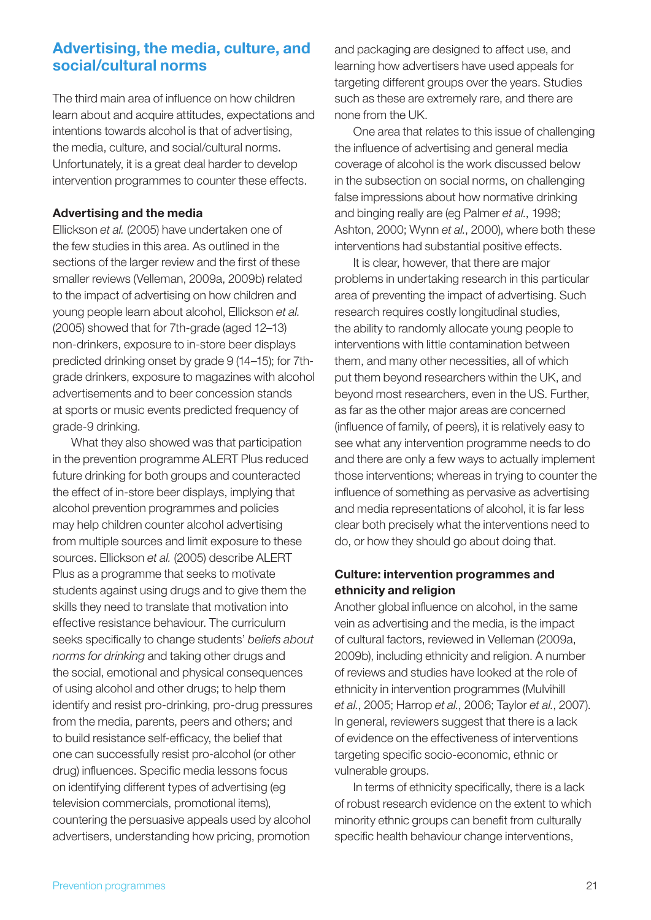## Advertising, the media, culture, and social/cultural norms

The third main area of influence on how children learn about and acquire attitudes, expectations and intentions towards alcohol is that of advertising, the media, culture, and social/cultural norms. Unfortunately, it is a great deal harder to develop intervention programmes to counter these effects.

#### Advertising and the media

Ellickson *et al.* (2005) have undertaken one of the few studies in this area. As outlined in the sections of the larger review and the first of these smaller reviews (Velleman, 2009a, 2009b) related to the impact of advertising on how children and young people learn about alcohol, Ellickson *et al.* (2005) showed that for 7th-grade (aged 12–13) non-drinkers, exposure to in-store beer displays predicted drinking onset by grade 9 (14–15); for 7thgrade drinkers, exposure to magazines with alcohol advertisements and to beer concession stands at sports or music events predicted frequency of grade-9 drinking.

What they also showed was that participation in the prevention programme ALERT Plus reduced future drinking for both groups and counteracted the effect of in-store beer displays, implying that alcohol prevention programmes and policies may help children counter alcohol advertising from multiple sources and limit exposure to these sources. Ellickson *et al.* (2005) describe ALERT Plus as a programme that seeks to motivate students against using drugs and to give them the skills they need to translate that motivation into effective resistance behaviour. The curriculum seeks specifically to change students' *beliefs about norms for drinking* and taking other drugs and the social, emotional and physical consequences of using alcohol and other drugs; to help them identify and resist pro-drinking, pro-drug pressures from the media, parents, peers and others; and to build resistance self-efficacy, the belief that one can successfully resist pro-alcohol (or other drug) influences. Specific media lessons focus on identifying different types of advertising (eg television commercials, promotional items), countering the persuasive appeals used by alcohol advertisers, understanding how pricing, promotion

and packaging are designed to affect use, and learning how advertisers have used appeals for targeting different groups over the years. Studies such as these are extremely rare, and there are none from the UK.

One area that relates to this issue of challenging the influence of advertising and general media coverage of alcohol is the work discussed below in the subsection on social norms, on challenging false impressions about how normative drinking and binging really are (eg Palmer *et al.*, 1998; Ashton, 2000; Wynn *et al.*, 2000), where both these interventions had substantial positive effects.

It is clear, however, that there are major problems in undertaking research in this particular area of preventing the impact of advertising. Such research requires costly longitudinal studies, the ability to randomly allocate young people to interventions with little contamination between them, and many other necessities, all of which put them beyond researchers within the UK, and beyond most researchers, even in the US. Further, as far as the other major areas are concerned (influence of family, of peers), it is relatively easy to see what any intervention programme needs to do and there are only a few ways to actually implement those interventions; whereas in trying to counter the influence of something as pervasive as advertising and media representations of alcohol, it is far less clear both precisely what the interventions need to do, or how they should go about doing that.

### Culture: intervention programmes and ethnicity and religion

Another global influence on alcohol, in the same vein as advertising and the media, is the impact of cultural factors, reviewed in Velleman (2009a, 2009b), including ethnicity and religion. A number of reviews and studies have looked at the role of ethnicity in intervention programmes (Mulvihill *et al.*, 2005; Harrop *et al.*, 2006; Taylor *et al.*, 2007). In general, reviewers suggest that there is a lack of evidence on the effectiveness of interventions targeting specific socio-economic, ethnic or vulnerable groups.

In terms of ethnicity specifically, there is a lack of robust research evidence on the extent to which minority ethnic groups can benefit from culturally specific health behaviour change interventions,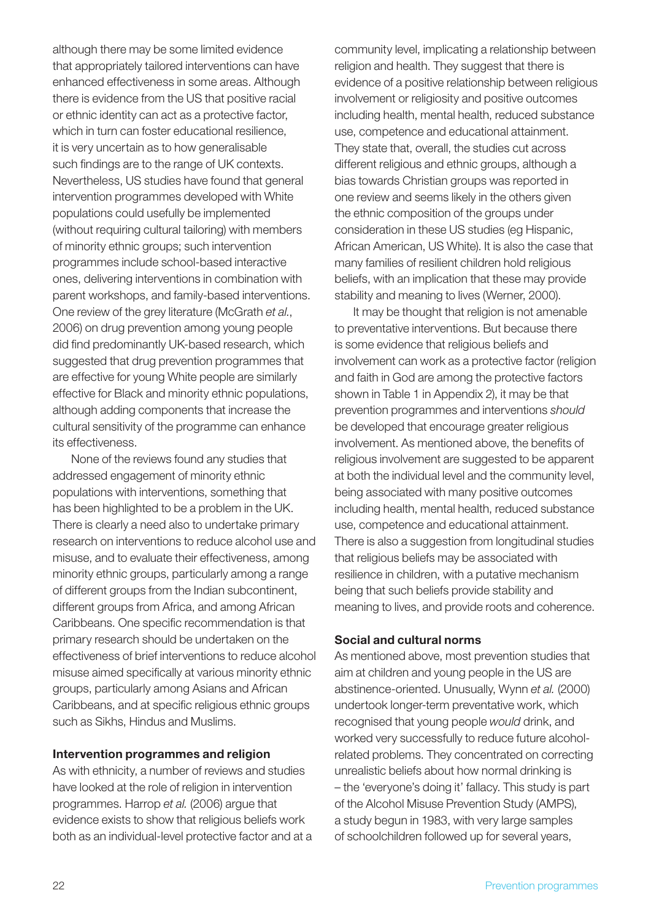although there may be some limited evidence that appropriately tailored interventions can have enhanced effectiveness in some areas. Although there is evidence from the US that positive racial or ethnic identity can act as a protective factor, which in turn can foster educational resilience, it is very uncertain as to how generalisable such findings are to the range of UK contexts. Nevertheless, US studies have found that general intervention programmes developed with White populations could usefully be implemented (without requiring cultural tailoring) with members of minority ethnic groups; such intervention programmes include school-based interactive ones, delivering interventions in combination with parent workshops, and family-based interventions. One review of the grey literature (McGrath *et al.*, 2006) on drug prevention among young people did find predominantly UK-based research, which suggested that drug prevention programmes that are effective for young White people are similarly effective for Black and minority ethnic populations, although adding components that increase the cultural sensitivity of the programme can enhance its effectiveness.

None of the reviews found any studies that addressed engagement of minority ethnic populations with interventions, something that has been highlighted to be a problem in the UK. There is clearly a need also to undertake primary research on interventions to reduce alcohol use and misuse, and to evaluate their effectiveness, among minority ethnic groups, particularly among a range of different groups from the Indian subcontinent, different groups from Africa, and among African Caribbeans. One specific recommendation is that primary research should be undertaken on the effectiveness of brief interventions to reduce alcohol misuse aimed specifically at various minority ethnic groups, particularly among Asians and African Caribbeans, and at specific religious ethnic groups such as Sikhs, Hindus and Muslims.

#### Intervention programmes and religion

As with ethnicity, a number of reviews and studies have looked at the role of religion in intervention programmes. Harrop *et al.* (2006) argue that evidence exists to show that religious beliefs work both as an individual-level protective factor and at a community level, implicating a relationship between religion and health. They suggest that there is evidence of a positive relationship between religious involvement or religiosity and positive outcomes including health, mental health, reduced substance use, competence and educational attainment. They state that, overall, the studies cut across different religious and ethnic groups, although a bias towards Christian groups was reported in one review and seems likely in the others given the ethnic composition of the groups under consideration in these US studies (eg Hispanic, African American, US White). It is also the case that many families of resilient children hold religious beliefs, with an implication that these may provide stability and meaning to lives (Werner, 2000).

It may be thought that religion is not amenable to preventative interventions. But because there is some evidence that religious beliefs and involvement can work as a protective factor (religion and faith in God are among the protective factors shown in Table 1 in Appendix 2), it may be that prevention programmes and interventions *should* be developed that encourage greater religious involvement. As mentioned above, the benefits of religious involvement are suggested to be apparent at both the individual level and the community level, being associated with many positive outcomes including health, mental health, reduced substance use, competence and educational attainment. There is also a suggestion from longitudinal studies that religious beliefs may be associated with resilience in children, with a putative mechanism being that such beliefs provide stability and meaning to lives, and provide roots and coherence.

#### Social and cultural norms

As mentioned above, most prevention studies that aim at children and young people in the US are abstinence-oriented. Unusually, Wynn *et al.* (2000) undertook longer-term preventative work, which recognised that young people *would* drink, and worked very successfully to reduce future alcoholrelated problems. They concentrated on correcting unrealistic beliefs about how normal drinking is – the 'everyone's doing it' fallacy. This study is part of the Alcohol Misuse Prevention Study (AMPS), a study begun in 1983, with very large samples of schoolchildren followed up for several years,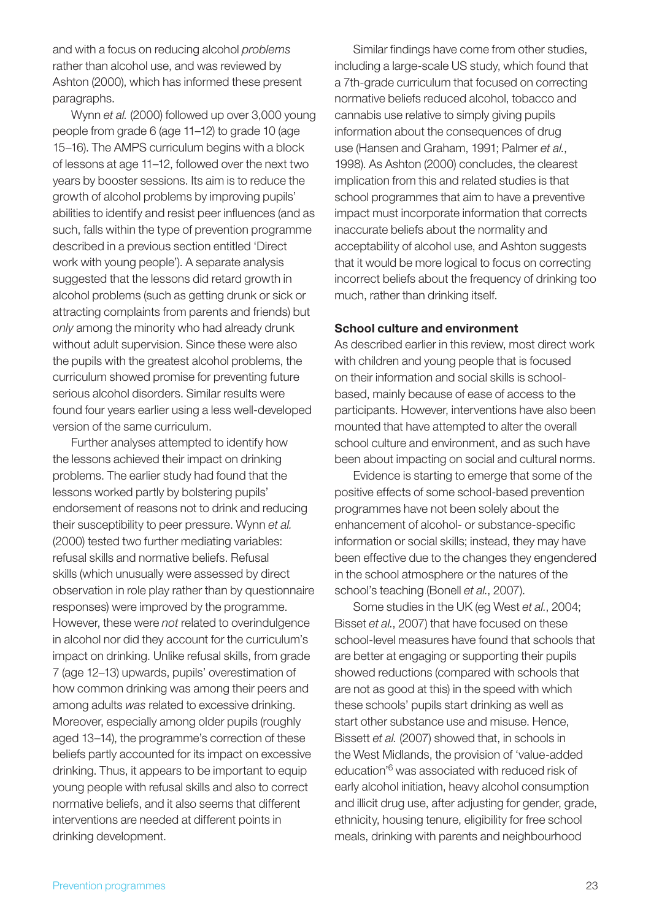and with a focus on reducing alcohol *problems* rather than alcohol use, and was reviewed by Ashton (2000), which has informed these present paragraphs.

Wynn *et al.* (2000) followed up over 3,000 young people from grade 6 (age 11–12) to grade 10 (age 15–16). The AMPS curriculum begins with a block of lessons at age 11–12, followed over the next two years by booster sessions. Its aim is to reduce the growth of alcohol problems by improving pupils' abilities to identify and resist peer influences (and as such, falls within the type of prevention programme described in a previous section entitled 'Direct work with young people'). A separate analysis suggested that the lessons did retard growth in alcohol problems (such as getting drunk or sick or attracting complaints from parents and friends) but *only* among the minority who had already drunk without adult supervision. Since these were also the pupils with the greatest alcohol problems, the curriculum showed promise for preventing future serious alcohol disorders. Similar results were found four years earlier using a less well-developed version of the same curriculum.

Further analyses attempted to identify how the lessons achieved their impact on drinking problems. The earlier study had found that the lessons worked partly by bolstering pupils' endorsement of reasons not to drink and reducing their susceptibility to peer pressure. Wynn *et al.* (2000) tested two further mediating variables: refusal skills and normative beliefs. Refusal skills (which unusually were assessed by direct observation in role play rather than by questionnaire responses) were improved by the programme. However, these were *not* related to overindulgence in alcohol nor did they account for the curriculum's impact on drinking. Unlike refusal skills, from grade 7 (age 12–13) upwards, pupils' overestimation of how common drinking was among their peers and among adults *was* related to excessive drinking. Moreover, especially among older pupils (roughly aged 13–14), the programme's correction of these beliefs partly accounted for its impact on excessive drinking. Thus, it appears to be important to equip young people with refusal skills and also to correct normative beliefs, and it also seems that different interventions are needed at different points in drinking development.

Similar findings have come from other studies, including a large-scale US study, which found that a 7th-grade curriculum that focused on correcting normative beliefs reduced alcohol, tobacco and cannabis use relative to simply giving pupils information about the consequences of drug use (Hansen and Graham, 1991; Palmer *et al.*, 1998). As Ashton (2000) concludes, the clearest implication from this and related studies is that school programmes that aim to have a preventive impact must incorporate information that corrects inaccurate beliefs about the normality and acceptability of alcohol use, and Ashton suggests that it would be more logical to focus on correcting incorrect beliefs about the frequency of drinking too much, rather than drinking itself.

#### School culture and environment

As described earlier in this review, most direct work with children and young people that is focused on their information and social skills is schoolbased, mainly because of ease of access to the participants. However, interventions have also been mounted that have attempted to alter the overall school culture and environment, and as such have been about impacting on social and cultural norms.

Evidence is starting to emerge that some of the positive effects of some school-based prevention programmes have not been solely about the enhancement of alcohol- or substance-specific information or social skills; instead, they may have been effective due to the changes they engendered in the school atmosphere or the natures of the school's teaching (Bonell *et al.*, 2007).

Some studies in the UK (eg West *et al.*, 2004; Bisset *et al.*, 2007) that have focused on these school-level measures have found that schools that are better at engaging or supporting their pupils showed reductions (compared with schools that are not as good at this) in the speed with which these schools' pupils start drinking as well as start other substance use and misuse. Hence, Bissett *et al.* (2007) showed that, in schools in the West Midlands, the provision of 'value-added education'6 was associated with reduced risk of early alcohol initiation, heavy alcohol consumption and illicit drug use, after adjusting for gender, grade, ethnicity, housing tenure, eligibility for free school meals, drinking with parents and neighbourhood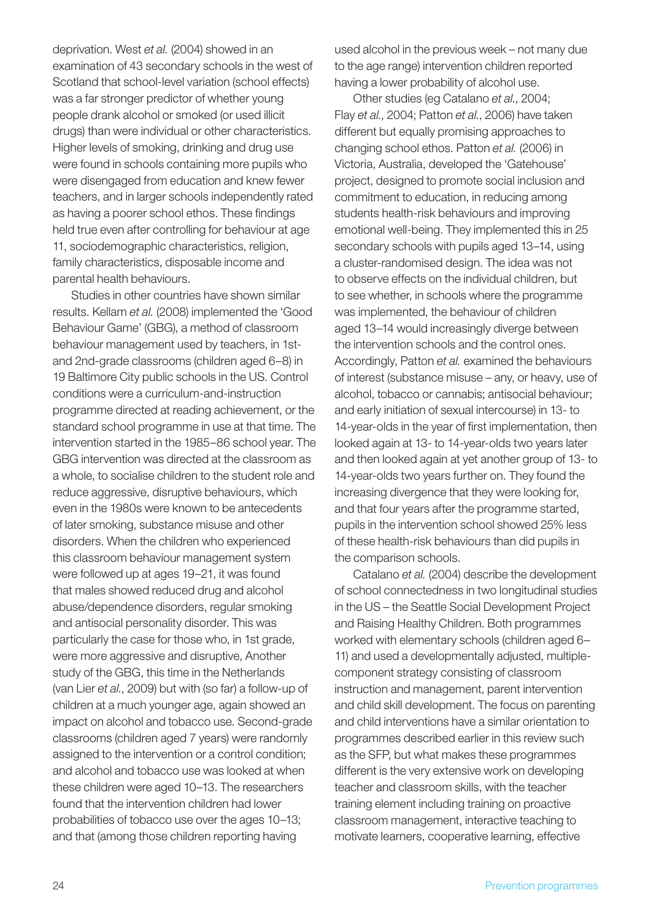deprivation. West *et al.* (2004) showed in an examination of 43 secondary schools in the west of Scotland that school-level variation (school effects) was a far stronger predictor of whether young people drank alcohol or smoked (or used illicit drugs) than were individual or other characteristics. Higher levels of smoking, drinking and drug use were found in schools containing more pupils who were disengaged from education and knew fewer teachers, and in larger schools independently rated as having a poorer school ethos. These findings held true even after controlling for behaviour at age 11, sociodemographic characteristics, religion, family characteristics, disposable income and parental health behaviours.

Studies in other countries have shown similar results. Kellam *et al.* (2008) implemented the 'Good Behaviour Game' (GBG), a method of classroom behaviour management used by teachers, in 1stand 2nd-grade classrooms (children aged 6–8) in 19 Baltimore City public schools in the US. Control conditions were a curriculum-and-instruction programme directed at reading achievement, or the standard school programme in use at that time. The intervention started in the 1985–86 school year. The GBG intervention was directed at the classroom as a whole, to socialise children to the student role and reduce aggressive, disruptive behaviours, which even in the 1980s were known to be antecedents of later smoking, substance misuse and other disorders. When the children who experienced this classroom behaviour management system were followed up at ages 19–21, it was found that males showed reduced drug and alcohol abuse/dependence disorders, regular smoking and antisocial personality disorder. This was particularly the case for those who, in 1st grade, were more aggressive and disruptive, Another study of the GBG, this time in the Netherlands (van Lier *et al.*, 2009) but with (so far) a follow-up of children at a much younger age, again showed an impact on alcohol and tobacco use. Second-grade classrooms (children aged 7 years) were randomly assigned to the intervention or a control condition; and alcohol and tobacco use was looked at when these children were aged 10–13. The researchers found that the intervention children had lower probabilities of tobacco use over the ages 10–13; and that (among those children reporting having

used alcohol in the previous week – not many due to the age range) intervention children reported having a lower probability of alcohol use.

Other studies (eg Catalano *et al.*, 2004; Flay *et al.*, 2004; Patton *et al.*, 2006) have taken different but equally promising approaches to changing school ethos. Patton *et al.* (2006) in Victoria, Australia, developed the 'Gatehouse' project, designed to promote social inclusion and commitment to education, in reducing among students health-risk behaviours and improving emotional well-being. They implemented this in 25 secondary schools with pupils aged 13–14, using a cluster-randomised design. The idea was not to observe effects on the individual children, but to see whether, in schools where the programme was implemented, the behaviour of children aged 13–14 would increasingly diverge between the intervention schools and the control ones. Accordingly, Patton *et al.* examined the behaviours of interest (substance misuse – any, or heavy, use of alcohol, tobacco or cannabis; antisocial behaviour; and early initiation of sexual intercourse) in 13- to 14-year-olds in the year of first implementation, then looked again at 13- to 14-year-olds two years later and then looked again at yet another group of 13- to 14-year-olds two years further on. They found the increasing divergence that they were looking for, and that four years after the programme started, pupils in the intervention school showed 25% less of these health-risk behaviours than did pupils in the comparison schools.

Catalano *et al.* (2004) describe the development of school connectedness in two longitudinal studies in the US – the Seattle Social Development Project and Raising Healthy Children. Both programmes worked with elementary schools (children aged 6– 11) and used a developmentally adjusted, multiplecomponent strategy consisting of classroom instruction and management, parent intervention and child skill development. The focus on parenting and child interventions have a similar orientation to programmes described earlier in this review such as the SFP, but what makes these programmes different is the very extensive work on developing teacher and classroom skills, with the teacher training element including training on proactive classroom management, interactive teaching to motivate learners, cooperative learning, effective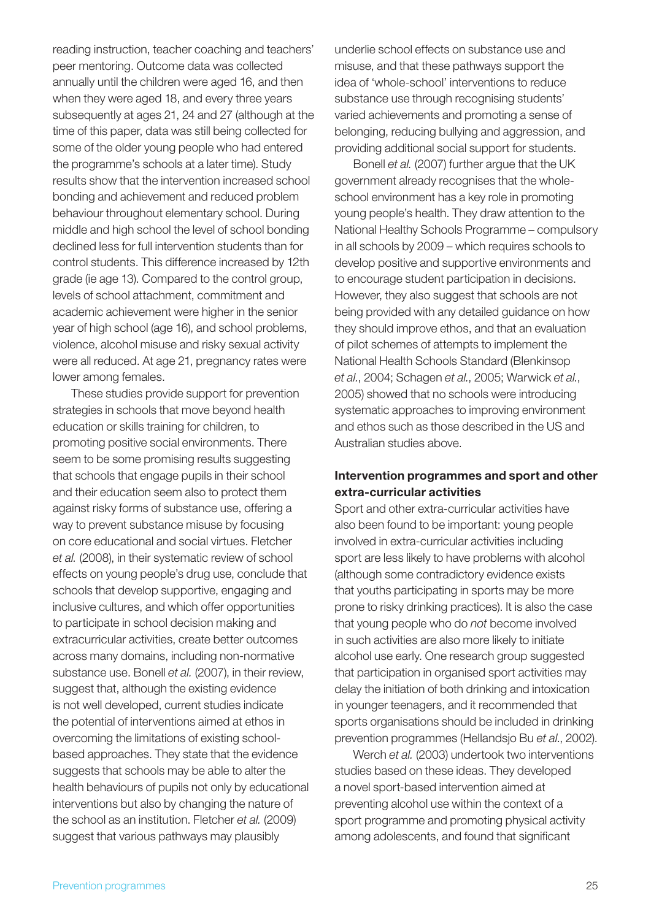reading instruction, teacher coaching and teachers' peer mentoring. Outcome data was collected annually until the children were aged 16, and then when they were aged 18, and every three years subsequently at ages 21, 24 and 27 (although at the time of this paper, data was still being collected for some of the older young people who had entered the programme's schools at a later time). Study results show that the intervention increased school bonding and achievement and reduced problem behaviour throughout elementary school. During middle and high school the level of school bonding declined less for full intervention students than for control students. This difference increased by 12th grade (ie age 13). Compared to the control group, levels of school attachment, commitment and academic achievement were higher in the senior year of high school (age 16), and school problems, violence, alcohol misuse and risky sexual activity were all reduced. At age 21, pregnancy rates were lower among females.

These studies provide support for prevention strategies in schools that move beyond health education or skills training for children, to promoting positive social environments. There seem to be some promising results suggesting that schools that engage pupils in their school and their education seem also to protect them against risky forms of substance use, offering a way to prevent substance misuse by focusing on core educational and social virtues. Fletcher *et al.* (2008), in their systematic review of school effects on young people's drug use, conclude that schools that develop supportive, engaging and inclusive cultures, and which offer opportunities to participate in school decision making and extracurricular activities, create better outcomes across many domains, including non-normative substance use. Bonell *et al.* (2007), in their review, suggest that, although the existing evidence is not well developed, current studies indicate the potential of interventions aimed at ethos in overcoming the limitations of existing schoolbased approaches. They state that the evidence suggests that schools may be able to alter the health behaviours of pupils not only by educational interventions but also by changing the nature of the school as an institution. Fletcher *et al.* (2009) suggest that various pathways may plausibly

underlie school effects on substance use and misuse, and that these pathways support the idea of 'whole-school' interventions to reduce substance use through recognising students' varied achievements and promoting a sense of belonging, reducing bullying and aggression, and providing additional social support for students.

Bonell *et al.* (2007) further argue that the UK government already recognises that the wholeschool environment has a key role in promoting young people's health. They draw attention to the National Healthy Schools Programme – compulsory in all schools by 2009 – which requires schools to develop positive and supportive environments and to encourage student participation in decisions. However, they also suggest that schools are not being provided with any detailed guidance on how they should improve ethos, and that an evaluation of pilot schemes of attempts to implement the National Health Schools Standard (Blenkinsop *et al.*, 2004; Schagen *et al.*, 2005; Warwick *et al.*, 2005) showed that no schools were introducing systematic approaches to improving environment and ethos such as those described in the US and Australian studies above.

#### Intervention programmes and sport and other extra-curricular activities

Sport and other extra-curricular activities have also been found to be important: young people involved in extra-curricular activities including sport are less likely to have problems with alcohol (although some contradictory evidence exists that youths participating in sports may be more prone to risky drinking practices). It is also the case that young people who do *not* become involved in such activities are also more likely to initiate alcohol use early. One research group suggested that participation in organised sport activities may delay the initiation of both drinking and intoxication in younger teenagers, and it recommended that sports organisations should be included in drinking prevention programmes (Hellandsjo Bu *et al*., 2002).

Werch *et al.* (2003) undertook two interventions studies based on these ideas. They developed a novel sport-based intervention aimed at preventing alcohol use within the context of a sport programme and promoting physical activity among adolescents, and found that significant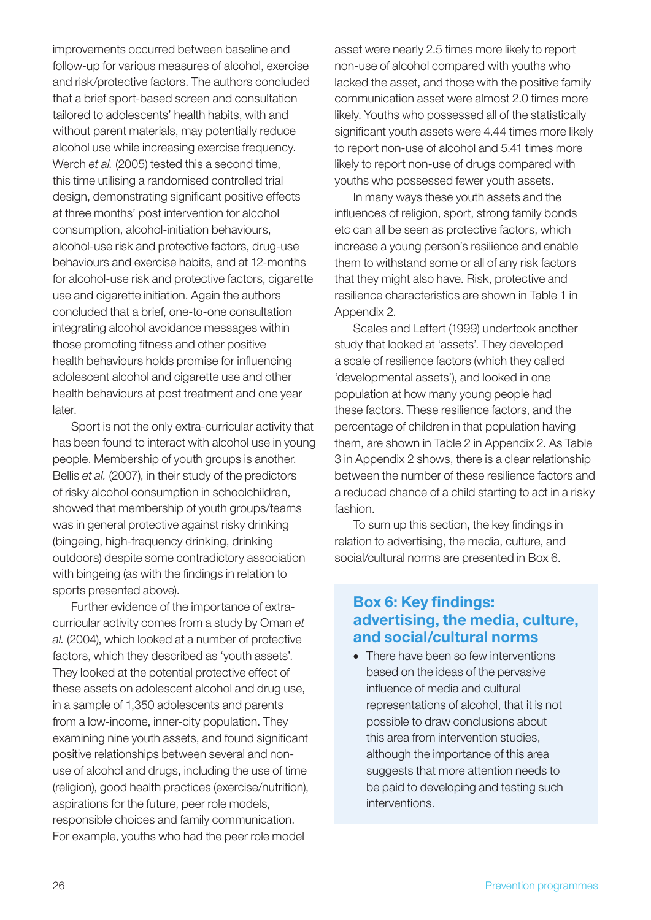improvements occurred between baseline and follow-up for various measures of alcohol, exercise and risk/protective factors. The authors concluded that a brief sport-based screen and consultation tailored to adolescents' health habits, with and without parent materials, may potentially reduce alcohol use while increasing exercise frequency. Werch *et al.* (2005) tested this a second time, this time utilising a randomised controlled trial design, demonstrating significant positive effects at three months' post intervention for alcohol consumption, alcohol-initiation behaviours, alcohol-use risk and protective factors, drug-use behaviours and exercise habits, and at 12-months for alcohol-use risk and protective factors, cigarette use and cigarette initiation. Again the authors concluded that a brief, one-to-one consultation integrating alcohol avoidance messages within those promoting fitness and other positive health behaviours holds promise for influencing adolescent alcohol and cigarette use and other health behaviours at post treatment and one year later.

Sport is not the only extra-curricular activity that has been found to interact with alcohol use in young people. Membership of youth groups is another. Bellis *et al.* (2007), in their study of the predictors of risky alcohol consumption in schoolchildren, showed that membership of youth groups/teams was in general protective against risky drinking (bingeing, high-frequency drinking, drinking outdoors) despite some contradictory association with bingeing (as with the findings in relation to sports presented above).

Further evidence of the importance of extracurricular activity comes from a study by Oman *et al.* (2004), which looked at a number of protective factors, which they described as 'youth assets'. They looked at the potential protective effect of these assets on adolescent alcohol and drug use, in a sample of 1,350 adolescents and parents from a low-income, inner-city population. They examining nine youth assets, and found significant positive relationships between several and nonuse of alcohol and drugs, including the use of time (religion), good health practices (exercise/nutrition), aspirations for the future, peer role models, responsible choices and family communication. For example, youths who had the peer role model

asset were nearly 2.5 times more likely to report non-use of alcohol compared with youths who lacked the asset, and those with the positive family communication asset were almost 2.0 times more likely. Youths who possessed all of the statistically significant youth assets were 4.44 times more likely to report non-use of alcohol and 5.41 times more likely to report non-use of drugs compared with youths who possessed fewer youth assets.

In many ways these youth assets and the influences of religion, sport, strong family bonds etc can all be seen as protective factors, which increase a young person's resilience and enable them to withstand some or all of any risk factors that they might also have. Risk, protective and resilience characteristics are shown in Table 1 in Appendix 2.

Scales and Leffert (1999) undertook another study that looked at 'assets'. They developed a scale of resilience factors (which they called 'developmental assets'), and looked in one population at how many young people had these factors. These resilience factors, and the percentage of children in that population having them, are shown in Table 2 in Appendix 2. As Table 3 in Appendix 2 shows, there is a clear relationship between the number of these resilience factors and a reduced chance of a child starting to act in a risky fashion.

To sum up this section, the key findings in relation to advertising, the media, culture, and social/cultural norms are presented in Box 6.

### Box 6: Key findings: advertising, the media, culture, and social/cultural norms

• There have been so few interventions based on the ideas of the pervasive influence of media and cultural representations of alcohol, that it is not possible to draw conclusions about this area from intervention studies, although the importance of this area suggests that more attention needs to be paid to developing and testing such interventions.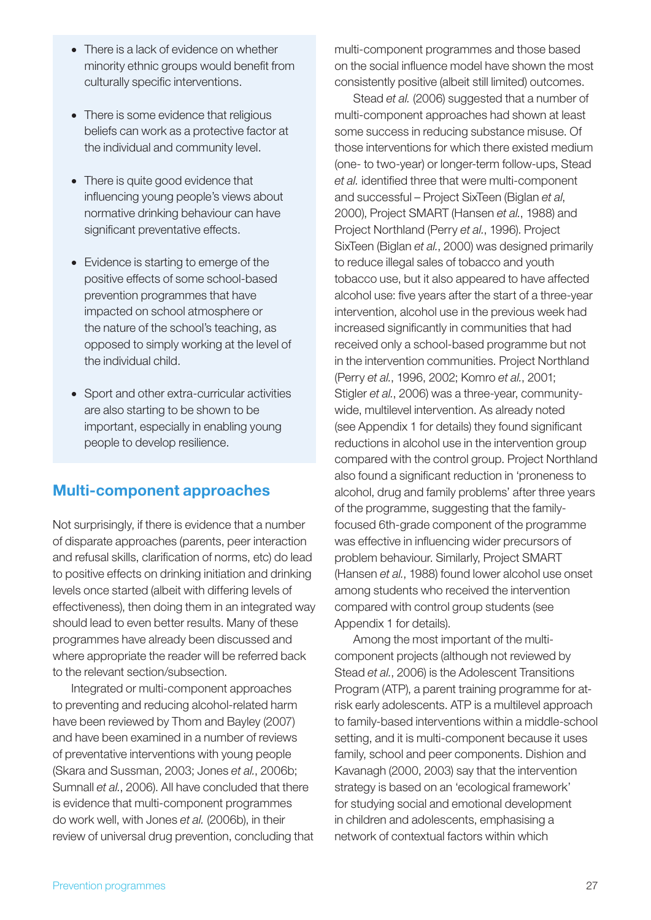- There is a lack of evidence on whether minority ethnic groups would benefit from culturally specific interventions.
- There is some evidence that religious beliefs can work as a protective factor at the individual and community level.
- There is quite good evidence that influencing young people's views about normative drinking behaviour can have significant preventative effects.
- Evidence is starting to emerge of the positive effects of some school-based prevention programmes that have impacted on school atmosphere or the nature of the school's teaching, as opposed to simply working at the level of the individual child.
- Sport and other extra-curricular activities are also starting to be shown to be important, especially in enabling young people to develop resilience.

## Multi-component approaches

Not surprisingly, if there is evidence that a number of disparate approaches (parents, peer interaction and refusal skills, clarification of norms, etc) do lead to positive effects on drinking initiation and drinking levels once started (albeit with differing levels of effectiveness), then doing them in an integrated way should lead to even better results. Many of these programmes have already been discussed and where appropriate the reader will be referred back to the relevant section/subsection.

Integrated or multi-component approaches to preventing and reducing alcohol-related harm have been reviewed by Thom and Bayley (2007) and have been examined in a number of reviews of preventative interventions with young people (Skara and Sussman, 2003; Jones *et al.*, 2006b; Sumnall *et al.*, 2006). All have concluded that there is evidence that multi-component programmes do work well, with Jones *et al.* (2006b), in their review of universal drug prevention, concluding that multi-component programmes and those based on the social influence model have shown the most consistently positive (albeit still limited) outcomes.

Stead *et al.* (2006) suggested that a number of multi-component approaches had shown at least some success in reducing substance misuse. Of those interventions for which there existed medium (one- to two-year) or longer-term follow-ups, Stead *et al.* identified three that were multi-component and successful – Project SixTeen (Biglan *et al*, 2000), Project SMART (Hansen *et al.*, 1988) and Project Northland (Perry *et al.*, 1996). Project SixTeen (Biglan *et al.*, 2000) was designed primarily to reduce illegal sales of tobacco and youth tobacco use, but it also appeared to have affected alcohol use: five years after the start of a three-year intervention, alcohol use in the previous week had increased significantly in communities that had received only a school-based programme but not in the intervention communities. Project Northland (Perry *et al.*, 1996, 2002; Komro *et al.*, 2001; Stigler *et al.*, 2006) was a three-year, communitywide, multilevel intervention. As already noted (see Appendix 1 for details) they found significant reductions in alcohol use in the intervention group compared with the control group. Project Northland also found a significant reduction in 'proneness to alcohol, drug and family problems' after three years of the programme, suggesting that the familyfocused 6th-grade component of the programme was effective in influencing wider precursors of problem behaviour. Similarly, Project SMART (Hansen *et al.*, 1988) found lower alcohol use onset among students who received the intervention compared with control group students (see Appendix 1 for details).

Among the most important of the multicomponent projects (although not reviewed by Stead *et al.*, 2006) is the Adolescent Transitions Program (ATP), a parent training programme for atrisk early adolescents. ATP is a multilevel approach to family-based interventions within a middle-school setting, and it is multi-component because it uses family, school and peer components. Dishion and Kavanagh (2000, 2003) say that the intervention strategy is based on an 'ecological framework' for studying social and emotional development in children and adolescents, emphasising a network of contextual factors within which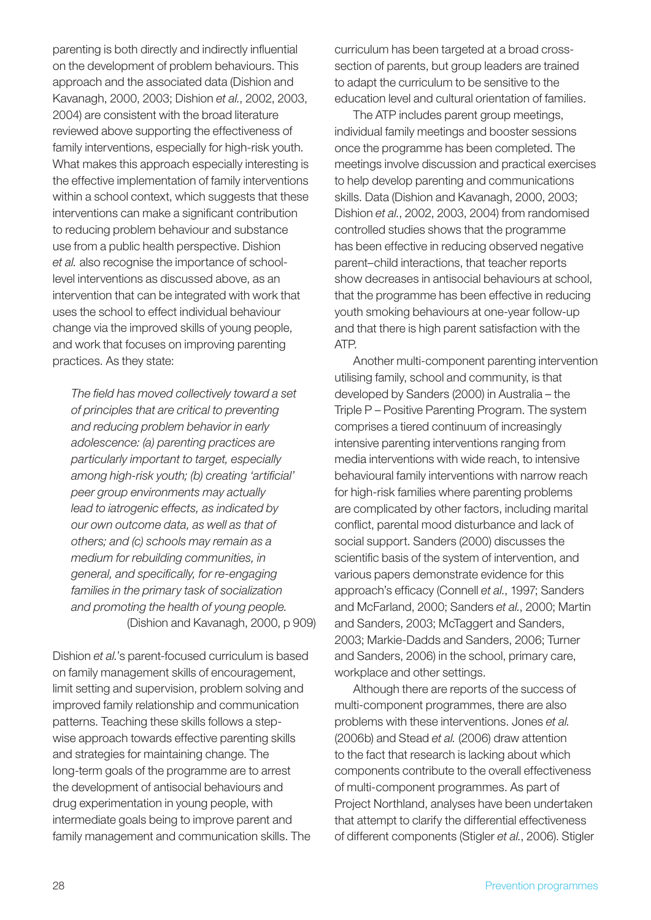parenting is both directly and indirectly influential on the development of problem behaviours. This approach and the associated data (Dishion and Kavanagh, 2000, 2003; Dishion *et al.*, 2002, 2003, 2004) are consistent with the broad literature reviewed above supporting the effectiveness of family interventions, especially for high-risk youth. What makes this approach especially interesting is the effective implementation of family interventions within a school context, which suggests that these interventions can make a significant contribution to reducing problem behaviour and substance use from a public health perspective. Dishion *et al.* also recognise the importance of schoollevel interventions as discussed above, as an intervention that can be integrated with work that uses the school to effect individual behaviour change via the improved skills of young people, and work that focuses on improving parenting practices. As they state:

*The field has moved collectively toward a set of principles that are critical to preventing and reducing problem behavior in early adolescence: (a) parenting practices are particularly important to target, especially among high-risk youth; (b) creating 'artificial' peer group environments may actually lead to iatrogenic effects, as indicated by our own outcome data, as well as that of others; and (c) schools may remain as a medium for rebuilding communities, in general, and specifically, for re-engaging families in the primary task of socialization and promoting the health of young people.* (Dishion and Kavanagh, 2000, p 909)

Dishion *et al.*'s parent-focused curriculum is based on family management skills of encouragement, limit setting and supervision, problem solving and improved family relationship and communication patterns. Teaching these skills follows a stepwise approach towards effective parenting skills and strategies for maintaining change. The long-term goals of the programme are to arrest the development of antisocial behaviours and drug experimentation in young people, with intermediate goals being to improve parent and family management and communication skills. The curriculum has been targeted at a broad crosssection of parents, but group leaders are trained to adapt the curriculum to be sensitive to the education level and cultural orientation of families.

The ATP includes parent group meetings, individual family meetings and booster sessions once the programme has been completed. The meetings involve discussion and practical exercises to help develop parenting and communications skills. Data (Dishion and Kavanagh, 2000, 2003; Dishion *et al.*, 2002, 2003, 2004) from randomised controlled studies shows that the programme has been effective in reducing observed negative parent–child interactions, that teacher reports show decreases in antisocial behaviours at school, that the programme has been effective in reducing youth smoking behaviours at one-year follow-up and that there is high parent satisfaction with the ATP.

Another multi-component parenting intervention utilising family, school and community, is that developed by Sanders (2000) in Australia – the Triple P – Positive Parenting Program. The system comprises a tiered continuum of increasingly intensive parenting interventions ranging from media interventions with wide reach, to intensive behavioural family interventions with narrow reach for high-risk families where parenting problems are complicated by other factors, including marital conflict, parental mood disturbance and lack of social support. Sanders (2000) discusses the scientific basis of the system of intervention, and various papers demonstrate evidence for this approach's efficacy (Connell *et al.*, 1997; Sanders and McFarland, 2000; Sanders *et al.*, 2000; Martin and Sanders, 2003; McTaggert and Sanders, 2003; Markie-Dadds and Sanders, 2006; Turner and Sanders, 2006) in the school, primary care, workplace and other settings.

Although there are reports of the success of multi-component programmes, there are also problems with these interventions. Jones *et al.* (2006b) and Stead *et al.* (2006) draw attention to the fact that research is lacking about which components contribute to the overall effectiveness of multi-component programmes. As part of Project Northland, analyses have been undertaken that attempt to clarify the differential effectiveness of different components (Stigler *et al.*, 2006). Stigler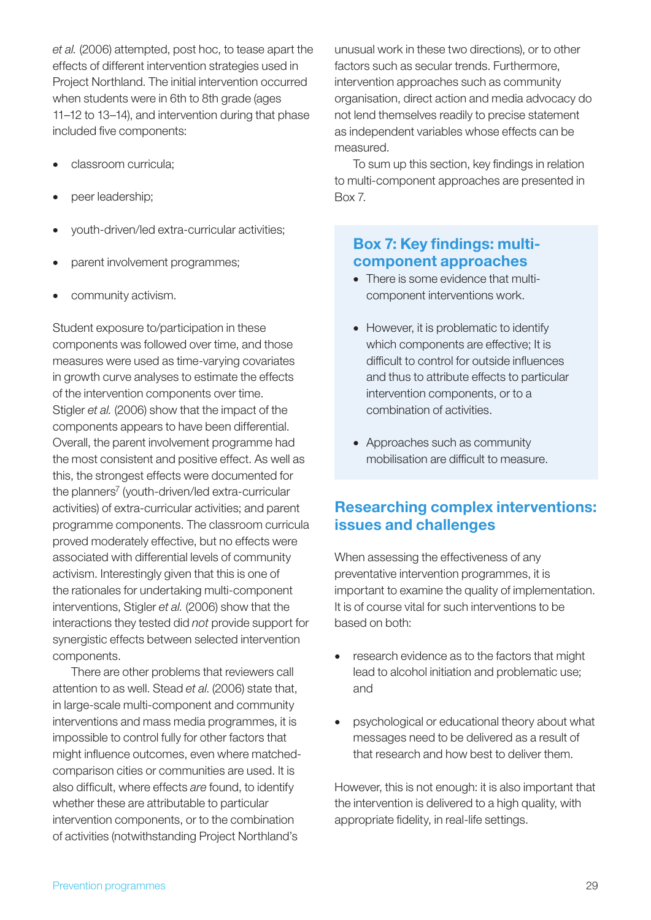*et al.* (2006) attempted, post hoc, to tease apart the effects of different intervention strategies used in Project Northland. The initial intervention occurred when students were in 6th to 8th grade (ages 11–12 to 13–14), and intervention during that phase included five components:

- classroom curricula:
- peer leadership;
- youth-driven/led extra-curricular activities;
- parent involvement programmes;
- community activism.

Student exposure to/participation in these components was followed over time, and those measures were used as time-varying covariates in growth curve analyses to estimate the effects of the intervention components over time. Stigler *et al.* (2006) show that the impact of the components appears to have been differential. Overall, the parent involvement programme had the most consistent and positive effect. As well as this, the strongest effects were documented for the planners<sup>7</sup> (youth-driven/led extra-curricular activities) of extra-curricular activities; and parent programme components. The classroom curricula proved moderately effective, but no effects were associated with differential levels of community activism. Interestingly given that this is one of the rationales for undertaking multi-component interventions, Stigler *et al.* (2006) show that the interactions they tested did *not* provide support for synergistic effects between selected intervention components.

There are other problems that reviewers call attention to as well. Stead *et al*. (2006) state that, in large-scale multi-component and community interventions and mass media programmes, it is impossible to control fully for other factors that might influence outcomes, even where matchedcomparison cities or communities are used. It is also difficult, where effects *are* found, to identify whether these are attributable to particular intervention components, or to the combination of activities (notwithstanding Project Northland's

unusual work in these two directions), or to other factors such as secular trends. Furthermore, intervention approaches such as community organisation, direct action and media advocacy do not lend themselves readily to precise statement as independent variables whose effects can be measured.

To sum up this section, key findings in relation to multi-component approaches are presented in Box 7.

### Box 7: Key findings: multicomponent approaches

- There is some evidence that multicomponent interventions work.
- However, it is problematic to identify which components are effective; It is difficult to control for outside influences and thus to attribute effects to particular intervention components, or to a combination of activities.
- Approaches such as community mobilisation are difficult to measure.

## Researching complex interventions: issues and challenges

When assessing the effectiveness of any preventative intervention programmes, it is important to examine the quality of implementation. It is of course vital for such interventions to be based on both:

- research evidence as to the factors that might lead to alcohol initiation and problematic use; and
- psychological or educational theory about what messages need to be delivered as a result of that research and how best to deliver them.

However, this is not enough: it is also important that the intervention is delivered to a high quality, with appropriate fidelity, in real-life settings.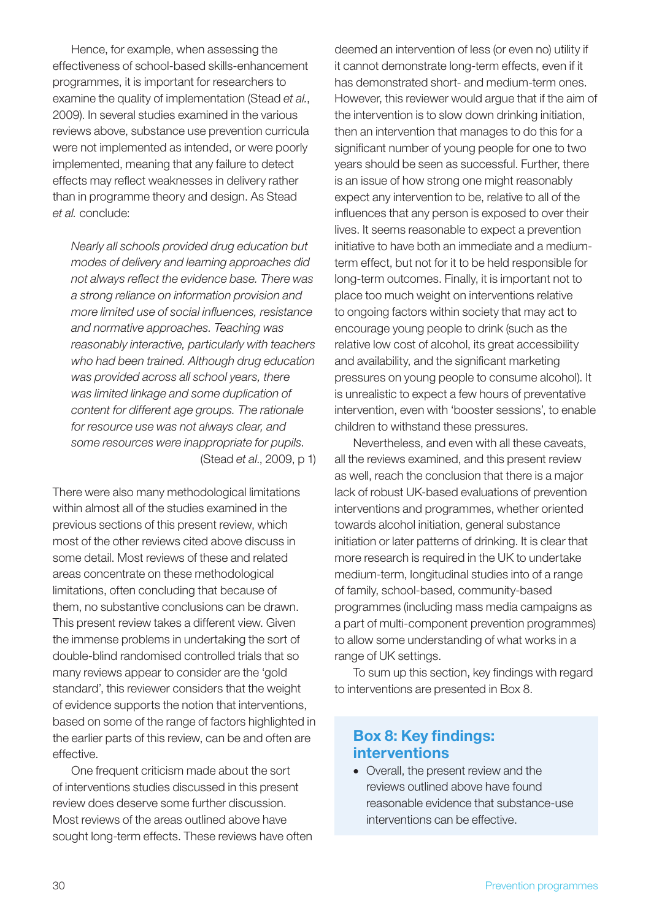Hence, for example, when assessing the effectiveness of school-based skills-enhancement programmes, it is important for researchers to examine the quality of implementation (Stead *et al.*, 2009). In several studies examined in the various reviews above, substance use prevention curricula were not implemented as intended, or were poorly implemented, meaning that any failure to detect effects may reflect weaknesses in delivery rather than in programme theory and design. As Stead *et al.* conclude:

*Nearly all schools provided drug education but modes of delivery and learning approaches did not always reflect the evidence base. There was a strong reliance on information provision and more limited use of social influences, resistance and normative approaches. Teaching was reasonably interactive, particularly with teachers who had been trained. Although drug education was provided across all school years, there was limited linkage and some duplication of content for different age groups. The rationale for resource use was not always clear, and some resources were inappropriate for pupils.* (Stead *et al*., 2009, p 1)

There were also many methodological limitations within almost all of the studies examined in the previous sections of this present review, which most of the other reviews cited above discuss in some detail. Most reviews of these and related areas concentrate on these methodological limitations, often concluding that because of them, no substantive conclusions can be drawn. This present review takes a different view. Given the immense problems in undertaking the sort of double-blind randomised controlled trials that so many reviews appear to consider are the 'gold standard', this reviewer considers that the weight of evidence supports the notion that interventions, based on some of the range of factors highlighted in the earlier parts of this review, can be and often are effective.

One frequent criticism made about the sort of interventions studies discussed in this present review does deserve some further discussion. Most reviews of the areas outlined above have sought long-term effects. These reviews have often deemed an intervention of less (or even no) utility if it cannot demonstrate long-term effects, even if it has demonstrated short- and medium-term ones. However, this reviewer would argue that if the aim of the intervention is to slow down drinking initiation, then an intervention that manages to do this for a significant number of young people for one to two years should be seen as successful. Further, there is an issue of how strong one might reasonably expect any intervention to be, relative to all of the influences that any person is exposed to over their lives. It seems reasonable to expect a prevention initiative to have both an immediate and a mediumterm effect, but not for it to be held responsible for long-term outcomes. Finally, it is important not to place too much weight on interventions relative to ongoing factors within society that may act to encourage young people to drink (such as the relative low cost of alcohol, its great accessibility and availability, and the significant marketing pressures on young people to consume alcohol). It is unrealistic to expect a few hours of preventative intervention, even with 'booster sessions', to enable children to withstand these pressures.

Nevertheless, and even with all these caveats, all the reviews examined, and this present review as well, reach the conclusion that there is a major lack of robust UK-based evaluations of prevention interventions and programmes, whether oriented towards alcohol initiation, general substance initiation or later patterns of drinking. It is clear that more research is required in the UK to undertake medium-term, longitudinal studies into of a range of family, school-based, community-based programmes (including mass media campaigns as a part of multi-component prevention programmes) to allow some understanding of what works in a range of UK settings.

To sum up this section, key findings with regard to interventions are presented in Box 8.

## Box 8: Key findings: interventions

• Overall, the present review and the reviews outlined above have found reasonable evidence that substance-use interventions can be effective.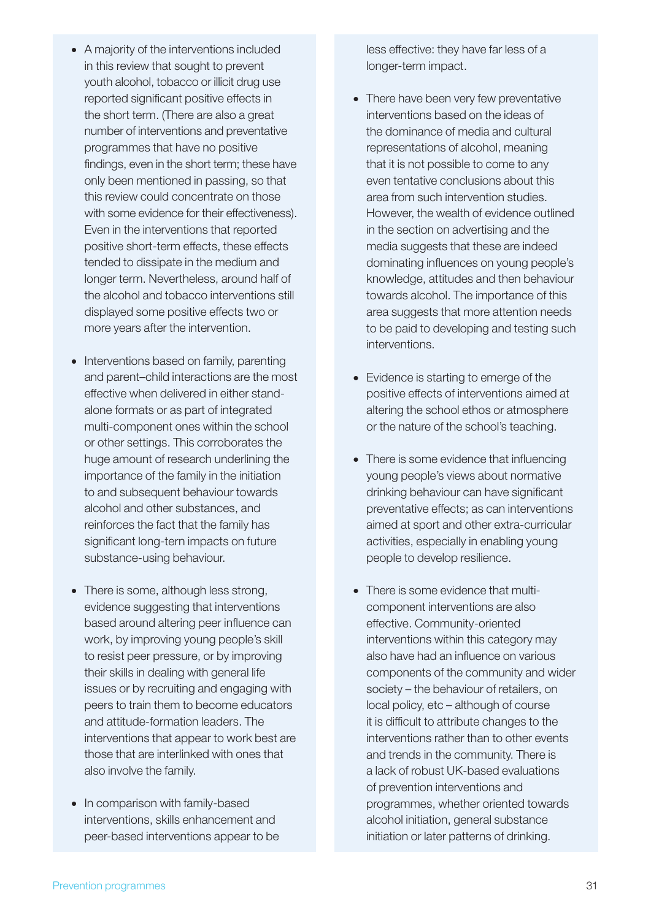- A majority of the interventions included in this review that sought to prevent youth alcohol, tobacco or illicit drug use reported significant positive effects in the short term. (There are also a great number of interventions and preventative programmes that have no positive findings, even in the short term; these have only been mentioned in passing, so that this review could concentrate on those with some evidence for their effectiveness). Even in the interventions that reported positive short-term effects, these effects tended to dissipate in the medium and longer term. Nevertheless, around half of the alcohol and tobacco interventions still displayed some positive effects two or more years after the intervention.
- Interventions based on family, parenting and parent–child interactions are the most effective when delivered in either standalone formats or as part of integrated multi-component ones within the school or other settings. This corroborates the huge amount of research underlining the importance of the family in the initiation to and subsequent behaviour towards alcohol and other substances, and reinforces the fact that the family has significant long-tern impacts on future substance-using behaviour.
- There is some, although less strong, evidence suggesting that interventions based around altering peer influence can work, by improving young people's skill to resist peer pressure, or by improving their skills in dealing with general life issues or by recruiting and engaging with peers to train them to become educators and attitude-formation leaders. The interventions that appear to work best are those that are interlinked with ones that also involve the family.
- In comparison with family-based interventions, skills enhancement and peer-based interventions appear to be

less effective: they have far less of a longer-term impact.

- There have been very few preventative interventions based on the ideas of the dominance of media and cultural representations of alcohol, meaning that it is not possible to come to any even tentative conclusions about this area from such intervention studies. However, the wealth of evidence outlined in the section on advertising and the media suggests that these are indeed dominating influences on young people's knowledge, attitudes and then behaviour towards alcohol. The importance of this area suggests that more attention needs to be paid to developing and testing such interventions.
- Evidence is starting to emerge of the positive effects of interventions aimed at altering the school ethos or atmosphere or the nature of the school's teaching.
- There is some evidence that influencing young people's views about normative drinking behaviour can have significant preventative effects; as can interventions aimed at sport and other extra-curricular activities, especially in enabling young people to develop resilience.
- There is some evidence that multicomponent interventions are also effective. Community-oriented interventions within this category may also have had an influence on various components of the community and wider society – the behaviour of retailers, on local policy, etc – although of course it is difficult to attribute changes to the interventions rather than to other events and trends in the community. There is a lack of robust UK-based evaluations of prevention interventions and programmes, whether oriented towards alcohol initiation, general substance initiation or later patterns of drinking.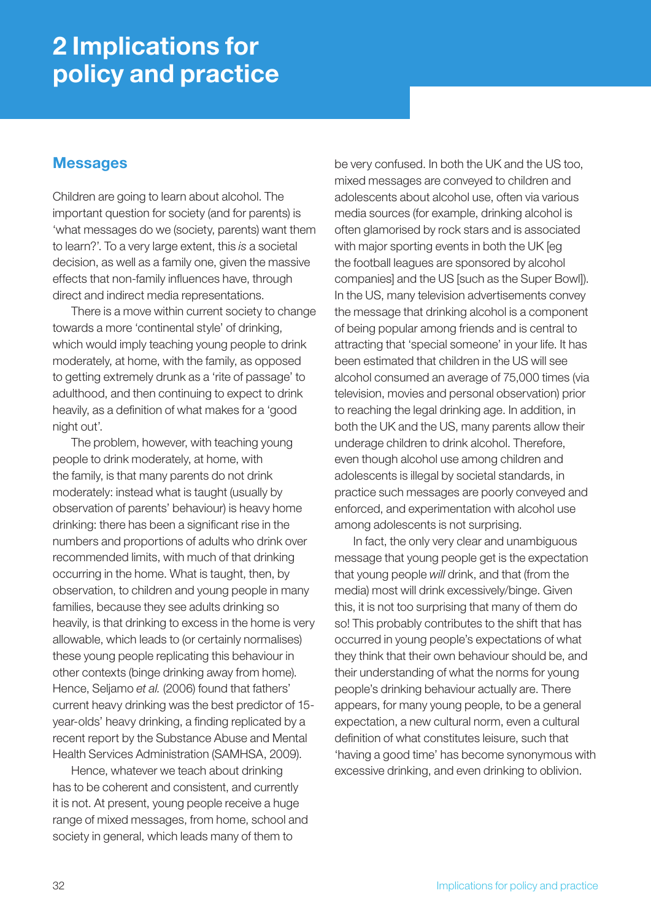## 2 Implications for policy and practice

### **Messages**

Children are going to learn about alcohol. The important question for society (and for parents) is 'what messages do we (society, parents) want them to learn?'. To a very large extent, this *is* a societal decision, as well as a family one, given the massive effects that non-family influences have, through direct and indirect media representations.

There is a move within current society to change towards a more 'continental style' of drinking, which would imply teaching young people to drink moderately, at home, with the family, as opposed to getting extremely drunk as a 'rite of passage' to adulthood, and then continuing to expect to drink heavily, as a definition of what makes for a 'good night out'.

The problem, however, with teaching young people to drink moderately, at home, with the family, is that many parents do not drink moderately: instead what is taught (usually by observation of parents' behaviour) is heavy home drinking: there has been a significant rise in the numbers and proportions of adults who drink over recommended limits, with much of that drinking occurring in the home. What is taught, then, by observation, to children and young people in many families, because they see adults drinking so heavily, is that drinking to excess in the home is very allowable, which leads to (or certainly normalises) these young people replicating this behaviour in other contexts (binge drinking away from home). Hence, Seljamo *et al.* (2006) found that fathers' current heavy drinking was the best predictor of 15 year-olds' heavy drinking, a finding replicated by a recent report by the Substance Abuse and Mental Health Services Administration (SAMHSA, 2009).

Hence, whatever we teach about drinking has to be coherent and consistent, and currently it is not. At present, young people receive a huge range of mixed messages, from home, school and society in general, which leads many of them to

be very confused. In both the UK and the US too, mixed messages are conveyed to children and adolescents about alcohol use, often via various media sources (for example, drinking alcohol is often glamorised by rock stars and is associated with major sporting events in both the UK [eg the football leagues are sponsored by alcohol companies] and the US [such as the Super Bowl]). In the US, many television advertisements convey the message that drinking alcohol is a component of being popular among friends and is central to attracting that 'special someone' in your life. It has been estimated that children in the US will see alcohol consumed an average of 75,000 times (via television, movies and personal observation) prior to reaching the legal drinking age. In addition, in both the UK and the US, many parents allow their underage children to drink alcohol. Therefore, even though alcohol use among children and adolescents is illegal by societal standards, in practice such messages are poorly conveyed and enforced, and experimentation with alcohol use among adolescents is not surprising.

In fact, the only very clear and unambiguous message that young people get is the expectation that young people *will* drink, and that (from the media) most will drink excessively/binge. Given this, it is not too surprising that many of them do so! This probably contributes to the shift that has occurred in young people's expectations of what they think that their own behaviour should be, and their understanding of what the norms for young people's drinking behaviour actually are. There appears, for many young people, to be a general expectation, a new cultural norm, even a cultural definition of what constitutes leisure, such that 'having a good time' has become synonymous with excessive drinking, and even drinking to oblivion.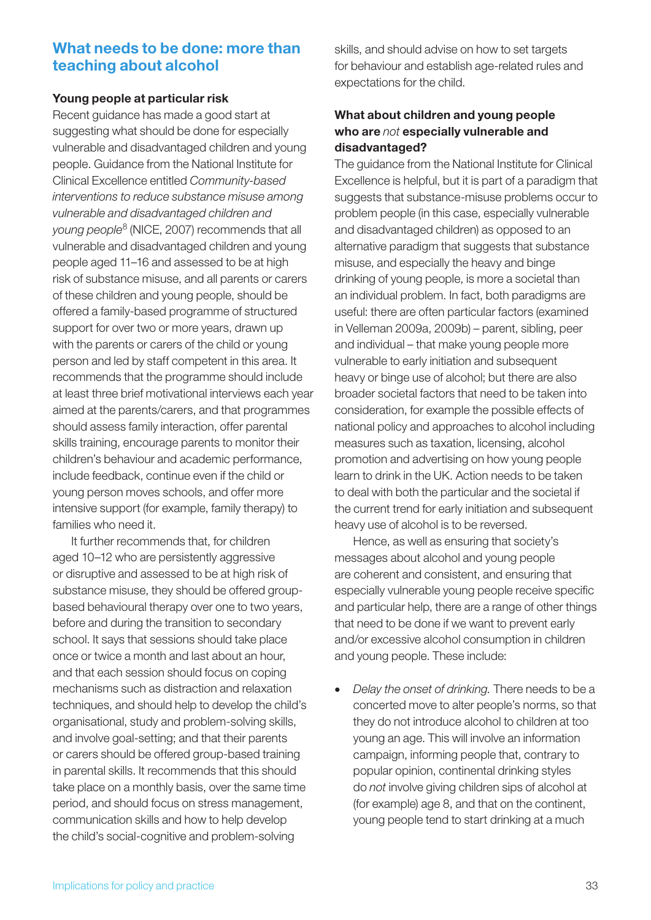## What needs to be done: more than teaching about alcohol

#### Young people at particular risk

Recent guidance has made a good start at suggesting what should be done for especially vulnerable and disadvantaged children and young people. Guidance from the National Institute for Clinical Excellence entitled *Community-based interventions to reduce substance misuse among vulnerable and disadvantaged children and young people*8 (NICE, 2007) recommends that all vulnerable and disadvantaged children and young people aged 11–16 and assessed to be at high risk of substance misuse, and all parents or carers of these children and young people, should be offered a family-based programme of structured support for over two or more years, drawn up with the parents or carers of the child or young person and led by staff competent in this area. It recommends that the programme should include at least three brief motivational interviews each year aimed at the parents/carers, and that programmes should assess family interaction, offer parental skills training, encourage parents to monitor their children's behaviour and academic performance, include feedback, continue even if the child or young person moves schools, and offer more intensive support (for example, family therapy) to families who need it.

It further recommends that, for children aged 10–12 who are persistently aggressive or disruptive and assessed to be at high risk of substance misuse, they should be offered groupbased behavioural therapy over one to two years, before and during the transition to secondary school. It says that sessions should take place once or twice a month and last about an hour, and that each session should focus on coping mechanisms such as distraction and relaxation techniques, and should help to develop the child's organisational, study and problem-solving skills, and involve goal-setting; and that their parents or carers should be offered group-based training in parental skills. It recommends that this should take place on a monthly basis, over the same time period, and should focus on stress management, communication skills and how to help develop the child's social-cognitive and problem-solving

skills, and should advise on how to set targets for behaviour and establish age-related rules and expectations for the child.

### What about children and young people who are *not* especially vulnerable and disadvantaged?

The guidance from the National Institute for Clinical Excellence is helpful, but it is part of a paradigm that suggests that substance-misuse problems occur to problem people (in this case, especially vulnerable and disadvantaged children) as opposed to an alternative paradigm that suggests that substance misuse, and especially the heavy and binge drinking of young people, is more a societal than an individual problem. In fact, both paradigms are useful: there are often particular factors (examined in Velleman 2009a, 2009b) – parent, sibling, peer and individual – that make young people more vulnerable to early initiation and subsequent heavy or binge use of alcohol; but there are also broader societal factors that need to be taken into consideration, for example the possible effects of national policy and approaches to alcohol including measures such as taxation, licensing, alcohol promotion and advertising on how young people learn to drink in the UK. Action needs to be taken to deal with both the particular and the societal if the current trend for early initiation and subsequent heavy use of alcohol is to be reversed.

Hence, as well as ensuring that society's messages about alcohol and young people are coherent and consistent, and ensuring that especially vulnerable young people receive specific and particular help, there are a range of other things that need to be done if we want to prevent early and/or excessive alcohol consumption in children and young people. These include:

Delay the onset of drinking. There needs to be a concerted move to alter people's norms, so that they do not introduce alcohol to children at too young an age. This will involve an information campaign, informing people that, contrary to popular opinion, continental drinking styles do *not* involve giving children sips of alcohol at (for example) age 8, and that on the continent, young people tend to start drinking at a much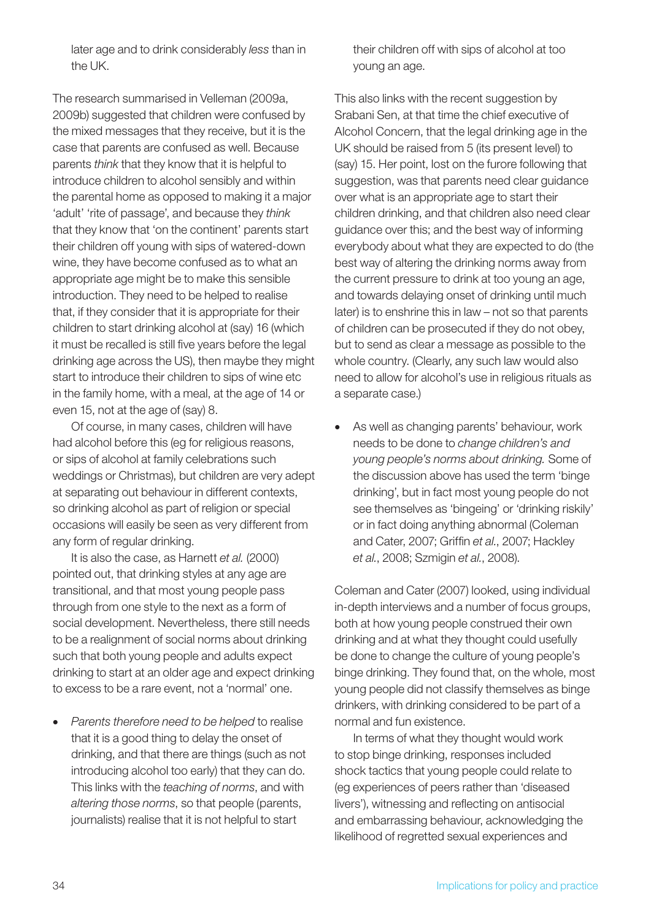later age and to drink considerably *less* than in the UK.

The research summarised in Velleman (2009a, 2009b) suggested that children were confused by the mixed messages that they receive, but it is the case that parents are confused as well. Because parents *think* that they know that it is helpful to introduce children to alcohol sensibly and within the parental home as opposed to making it a major 'adult' 'rite of passage', and because they *think* that they know that 'on the continent' parents start their children off young with sips of watered-down wine, they have become confused as to what an appropriate age might be to make this sensible introduction. They need to be helped to realise that, if they consider that it is appropriate for their children to start drinking alcohol at (say) 16 (which it must be recalled is still five years before the legal drinking age across the US), then maybe they might start to introduce their children to sips of wine etc in the family home, with a meal, at the age of 14 or even 15, not at the age of (say) 8.

Of course, in many cases, children will have had alcohol before this (eg for religious reasons, or sips of alcohol at family celebrations such weddings or Christmas), but children are very adept at separating out behaviour in different contexts, so drinking alcohol as part of religion or special occasions will easily be seen as very different from any form of regular drinking.

It is also the case, as Harnett *et al.* (2000) pointed out, that drinking styles at any age are transitional, and that most young people pass through from one style to the next as a form of social development. Nevertheless, there still needs to be a realignment of social norms about drinking such that both young people and adults expect drinking to start at an older age and expect drinking to excess to be a rare event, not a 'normal' one.

• *Parents therefore need to be helped* to realise that it is a good thing to delay the onset of drinking, and that there are things (such as not introducing alcohol too early) that they can do. This links with the *teaching of norms*, and with *altering those norms*, so that people (parents, journalists) realise that it is not helpful to start

their children off with sips of alcohol at too young an age.

This also links with the recent suggestion by Srabani Sen, at that time the chief executive of Alcohol Concern, that the legal drinking age in the UK should be raised from 5 (its present level) to (say) 15. Her point, lost on the furore following that suggestion, was that parents need clear guidance over what is an appropriate age to start their children drinking, and that children also need clear guidance over this; and the best way of informing everybody about what they are expected to do (the best way of altering the drinking norms away from the current pressure to drink at too young an age, and towards delaying onset of drinking until much later) is to enshrine this in law – not so that parents of children can be prosecuted if they do not obey, but to send as clear a message as possible to the whole country. (Clearly, any such law would also need to allow for alcohol's use in religious rituals as a separate case.)

As well as changing parents' behaviour, work needs to be done to *change children's and young people's norms about drinking.* Some of the discussion above has used the term 'binge drinking', but in fact most young people do not see themselves as 'bingeing' or 'drinking riskily' or in fact doing anything abnormal (Coleman and Cater, 2007; Griffin *et al.*, 2007; Hackley *et al.*, 2008; Szmigin *et al.*, 2008).

Coleman and Cater (2007) looked, using individual in-depth interviews and a number of focus groups, both at how young people construed their own drinking and at what they thought could usefully be done to change the culture of young people's binge drinking. They found that, on the whole, most young people did not classify themselves as binge drinkers, with drinking considered to be part of a normal and fun existence.

In terms of what they thought would work to stop binge drinking, responses included shock tactics that young people could relate to (eg experiences of peers rather than 'diseased livers'), witnessing and reflecting on antisocial and embarrassing behaviour, acknowledging the likelihood of regretted sexual experiences and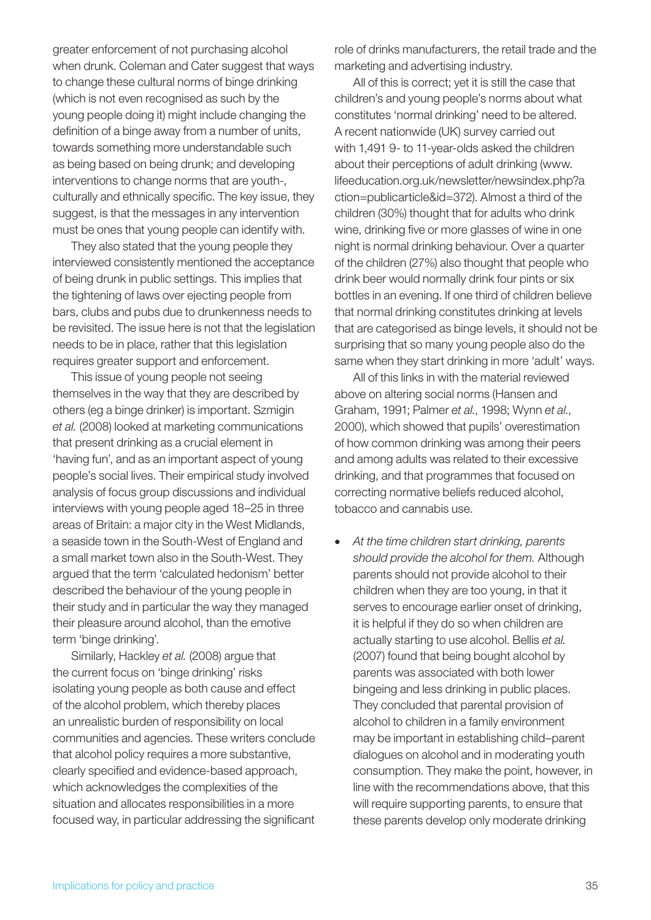greater enforcement of not purchasing alcohol when drunk. Coleman and Cater suggest that ways to change these cultural norms of binge drinking (which is not even recognised as such by the young people doing it) might include changing the definition of a binge away from a number of units, towards something more understandable such as being based on being drunk; and developing interventions to change norms that are youth-, culturally and ethnically specific. The key issue, they suggest, is that the messages in any intervention must be ones that young people can identify with.

They also stated that the young people they interviewed consistently mentioned the acceptance of being drunk in public settings. This implies that the tightening of laws over ejecting people from bars, clubs and pubs due to drunkenness needs to be revisited. The issue here is not that the legislation needs to be in place, rather that this legislation requires greater support and enforcement.

This issue of young people not seeing themselves in the way that they are described by others (eg a binge drinker) is important. Szmigin *et al.* (2008) looked at marketing communications that present drinking as a crucial element in 'having fun', and as an important aspect of young people's social lives. Their empirical study involved analysis of focus group discussions and individual interviews with young people aged 18–25 in three areas of Britain: a major city in the West Midlands, a seaside town in the South-West of England and a small market town also in the South-West. They argued that the term 'calculated hedonism' better described the behaviour of the young people in their study and in particular the way they managed their pleasure around alcohol, than the emotive term 'binge drinking'.

Similarly, Hackley *et al.* (2008) argue that the current focus on 'binge drinking' risks isolating young people as both cause and effect of the alcohol problem, which thereby places an unrealistic burden of responsibility on local communities and agencies. These writers conclude that alcohol policy requires a more substantive, clearly specified and evidence-based approach, which acknowledges the complexities of the situation and allocates responsibilities in a more focused way, in particular addressing the significant role of drinks manufacturers, the retail trade and the marketing and advertising industry.

All of this is correct; yet it is still the case that children's and young people's norms about what constitutes 'normal drinking' need to be altered. A recent nationwide (UK) survey carried out with 1,491 9- to 11-year-olds asked the children about their perceptions of adult drinking (www. lifeeducation.org.uk/newsletter/newsindex.php?a ction=publicarticle&id=372). Almost a third of the children (30%) thought that for adults who drink wine, drinking five or more glasses of wine in one night is normal drinking behaviour. Over a quarter of the children (27%) also thought that people who drink beer would normally drink four pints or six bottles in an evening. If one third of children believe that normal drinking constitutes drinking at levels that are categorised as binge levels, it should not be surprising that so many young people also do the same when they start drinking in more 'adult' ways.

All of this links in with the material reviewed above on altering social norms (Hansen and Graham, 1991; Palmer *et al.*, 1998; Wynn *et al.*, 2000), which showed that pupils' overestimation of how common drinking was among their peers and among adults was related to their excessive drinking, and that programmes that focused on correcting normative beliefs reduced alcohol, tobacco and cannabis use.

• *At the time children start drinking, parents should provide the alcohol for them.* Although parents should not provide alcohol to their children when they are too young, in that it serves to encourage earlier onset of drinking, it is helpful if they do so when children are actually starting to use alcohol. Bellis *et al.* (2007) found that being bought alcohol by parents was associated with both lower bingeing and less drinking in public places. They concluded that parental provision of alcohol to children in a family environment may be important in establishing child–parent dialogues on alcohol and in moderating youth consumption. They make the point, however, in line with the recommendations above, that this will require supporting parents, to ensure that these parents develop only moderate drinking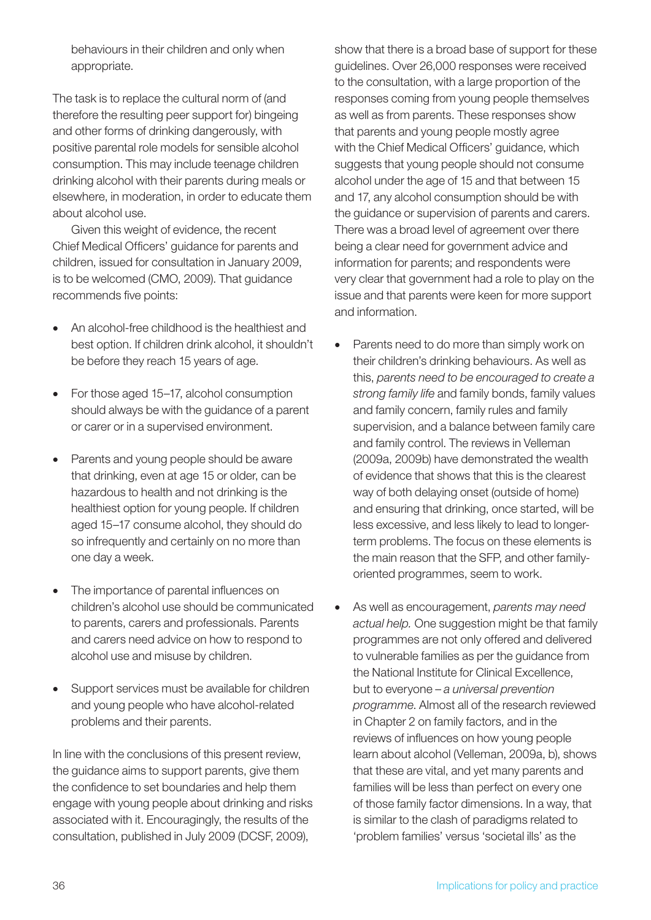behaviours in their children and only when appropriate.

The task is to replace the cultural norm of (and therefore the resulting peer support for) bingeing and other forms of drinking dangerously, with positive parental role models for sensible alcohol consumption. This may include teenage children drinking alcohol with their parents during meals or elsewhere, in moderation, in order to educate them about alcohol use.

Given this weight of evidence, the recent Chief Medical Officers' guidance for parents and children, issued for consultation in January 2009, is to be welcomed (CMO, 2009). That guidance recommends five points:

- An alcohol-free childhood is the healthiest and best option. If children drink alcohol, it shouldn't be before they reach 15 years of age.
- For those aged 15–17, alcohol consumption should always be with the guidance of a parent or carer or in a supervised environment.
- Parents and young people should be aware that drinking, even at age 15 or older, can be hazardous to health and not drinking is the healthiest option for young people. If children aged 15–17 consume alcohol, they should do so infrequently and certainly on no more than one day a week.
- The importance of parental influences on children's alcohol use should be communicated to parents, carers and professionals. Parents and carers need advice on how to respond to alcohol use and misuse by children.
- Support services must be available for children and young people who have alcohol-related problems and their parents.

In line with the conclusions of this present review, the guidance aims to support parents, give them the confidence to set boundaries and help them engage with young people about drinking and risks associated with it. Encouragingly, the results of the consultation, published in July 2009 (DCSF, 2009),

show that there is a broad base of support for these guidelines. Over 26,000 responses were received to the consultation, with a large proportion of the responses coming from young people themselves as well as from parents. These responses show that parents and young people mostly agree with the Chief Medical Officers' guidance, which suggests that young people should not consume alcohol under the age of 15 and that between 15 and 17, any alcohol consumption should be with the guidance or supervision of parents and carers. There was a broad level of agreement over there being a clear need for government advice and information for parents; and respondents were very clear that government had a role to play on the issue and that parents were keen for more support and information.

- Parents need to do more than simply work on their children's drinking behaviours. As well as this, *parents need to be encouraged to create a strong family life* and family bonds, family values and family concern, family rules and family supervision, and a balance between family care and family control. The reviews in Velleman (2009a, 2009b) have demonstrated the wealth of evidence that shows that this is the clearest way of both delaying onset (outside of home) and ensuring that drinking, once started, will be less excessive, and less likely to lead to longerterm problems. The focus on these elements is the main reason that the SFP, and other familyoriented programmes, seem to work.
- As well as encouragement, *parents may need actual help.* One suggestion might be that family programmes are not only offered and delivered to vulnerable families as per the guidance from the National Institute for Clinical Excellence, but to everyone – *a universal prevention programme*. Almost all of the research reviewed in Chapter 2 on family factors, and in the reviews of influences on how young people learn about alcohol (Velleman, 2009a, b), shows that these are vital, and yet many parents and families will be less than perfect on every one of those family factor dimensions. In a way, that is similar to the clash of paradigms related to 'problem families' versus 'societal ills' as the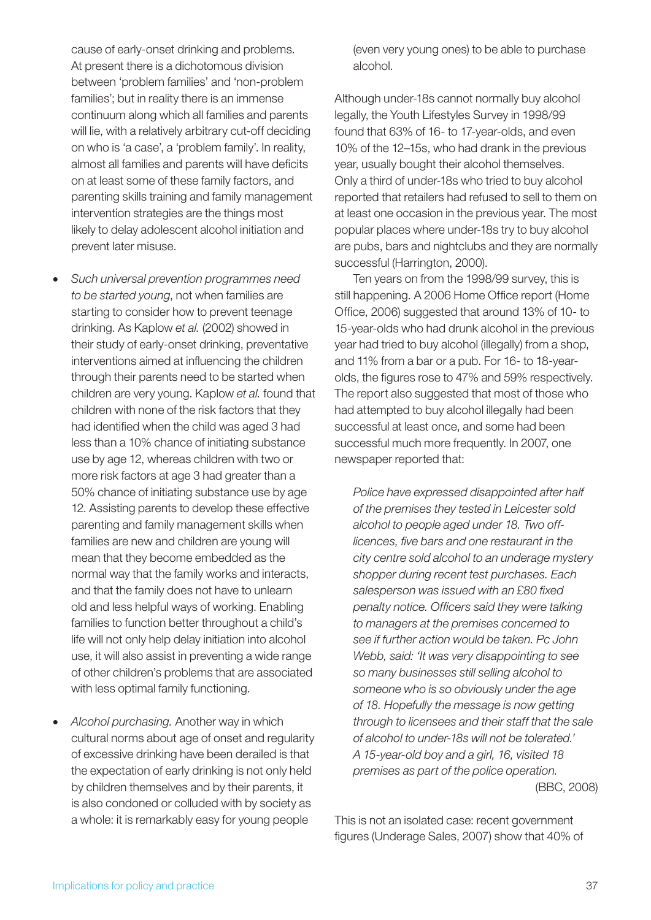**Such universal prevention programmes need** 

families'; but in reality there is an immense continuum along which all families and parents will lie, with a relatively arbitrary cut-off deciding on who is 'a case', a 'problem family'. In reality, almost all families and parents will have deficits on at least some of these family factors, and parenting skills training and family management intervention strategies are the things most

likely to delay adolescent alcohol initiation and

cause of early-onset drinking and problems. At present there is a dichotomous division between 'problem families' and 'non-problem

prevent later misuse.

*to be started young*, not when families are starting to consider how to prevent teenage drinking. As Kaplow *et al.* (2002) showed in their study of early-onset drinking, preventative interventions aimed at influencing the children through their parents need to be started when children are very young. Kaplow *et al.* found that children with none of the risk factors that they had identified when the child was aged 3 had less than a 10% chance of initiating substance use by age 12, whereas children with two or more risk factors at age 3 had greater than a 50% chance of initiating substance use by age 12. Assisting parents to develop these effective parenting and family management skills when families are new and children are young will mean that they become embedded as the normal way that the family works and interacts, and that the family does not have to unlearn old and less helpful ways of working. Enabling

families to function better throughout a child's life will not only help delay initiation into alcohol

reported that retailers had refused to sell to them on at least one occasion in the previous year. The most

popular places where under-18s try to buy alcohol are pubs, bars and nightclubs and they are normally successful (Harrington, 2000). Ten years on from the 1998/99 survey, this is still happening. A 2006 Home Office report (Home Office, 2006) suggested that around 13% of 10- to

15-year-olds who had drunk alcohol in the previous year had tried to buy alcohol (illegally) from a shop, and 11% from a bar or a pub. For 16- to 18-yearolds, the figures rose to 47% and 59% respectively. The report also suggested that most of those who had attempted to buy alcohol illegally had been successful at least once, and some had been successful much more frequently. In 2007, one newspaper reported that:

*Police have expressed disappointed after half of the premises they tested in Leicester sold alcohol to people aged under 18. Two offlicences, five bars and one restaurant in the city centre sold alcohol to an underage mystery shopper during recent test purchases. Each salesperson was issued with an £80 fixed penalty notice. Officers said they were talking to managers at the premises concerned to see if further action would be taken. Pc John Webb, said: 'It was very disappointing to see so many businesses still selling alcohol to someone who is so obviously under the age of 18. Hopefully the message is now getting through to licensees and their staff that the sale of alcohol to under-18s will not be tolerated.' A 15-year-old boy and a girl, 16, visited 18 premises as part of the police operation.* (BBC, 2008)

This is not an isolated case: recent government figures (Underage Sales, 2007) show that 40% of

cultural norms about age of onset and regularity of excessive drinking have been derailed is that the expectation of early drinking is not only held by children themselves and by their parents, it is also condoned or colluded with by society as a whole: it is remarkably easy for young people

use, it will also assist in preventing a wide range of other children's problems that are associated

with less optimal family functioning.

Alcohol purchasing. Another way in which

(even very young ones) to be able to purchase alcohol.

Although under-18s cannot normally buy alcohol legally, the Youth Lifestyles Survey in 1998/99 found that 63% of 16- to 17-year-olds, and even 10% of the 12–15s, who had drank in the previous year, usually bought their alcohol themselves. Only a third of under-18s who tried to buy alcohol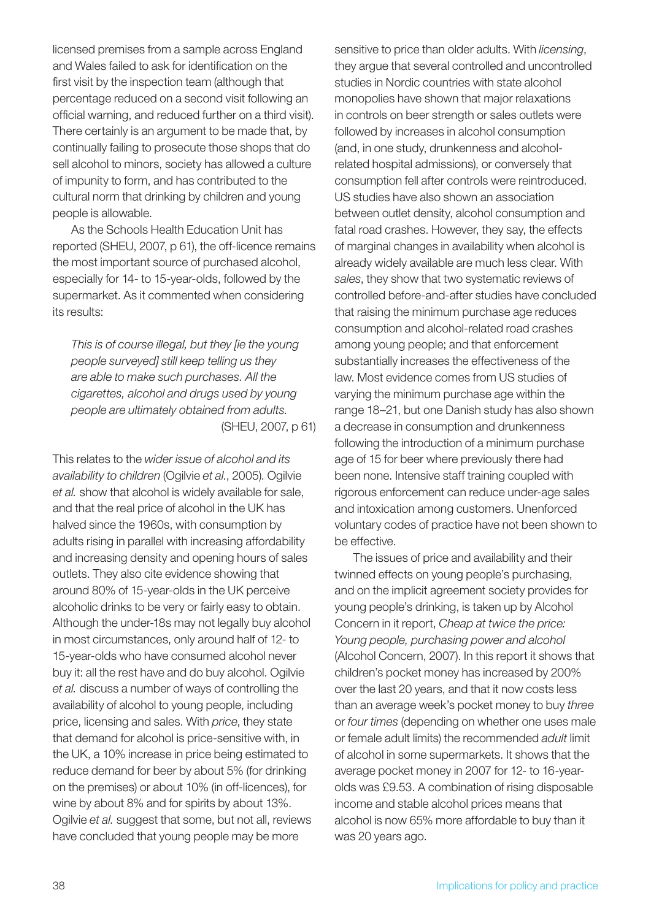licensed premises from a sample across England and Wales failed to ask for identification on the first visit by the inspection team (although that percentage reduced on a second visit following an official warning, and reduced further on a third visit). There certainly is an argument to be made that, by continually failing to prosecute those shops that do sell alcohol to minors, society has allowed a culture of impunity to form, and has contributed to the cultural norm that drinking by children and young people is allowable.

As the Schools Health Education Unit has reported (SHEU, 2007, p 61), the off-licence remains the most important source of purchased alcohol, especially for 14- to 15-year-olds, followed by the supermarket. As it commented when considering its results:

*This is of course illegal, but they [ie the young people surveyed] still keep telling us they are able to make such purchases. All the cigarettes, alcohol and drugs used by young people are ultimately obtained from adults.* (SHEU, 2007, p 61)

This relates to the *wider issue of alcohol and its availability to children* (Ogilvie *et al.*, 2005). Ogilvie *et al.* show that alcohol is widely available for sale, and that the real price of alcohol in the UK has halved since the 1960s, with consumption by adults rising in parallel with increasing affordability and increasing density and opening hours of sales outlets. They also cite evidence showing that around 80% of 15-year-olds in the UK perceive alcoholic drinks to be very or fairly easy to obtain. Although the under-18s may not legally buy alcohol in most circumstances, only around half of 12- to 15-year-olds who have consumed alcohol never buy it: all the rest have and do buy alcohol. Ogilvie *et al.* discuss a number of ways of controlling the availability of alcohol to young people, including price, licensing and sales. With *price*, they state that demand for alcohol is price-sensitive with, in the UK, a 10% increase in price being estimated to reduce demand for beer by about 5% (for drinking on the premises) or about 10% (in off-licences), for wine by about 8% and for spirits by about 13%. Ogilvie *et al.* suggest that some, but not all, reviews have concluded that young people may be more

sensitive to price than older adults. With *licensing*, they argue that several controlled and uncontrolled studies in Nordic countries with state alcohol monopolies have shown that major relaxations in controls on beer strength or sales outlets were followed by increases in alcohol consumption (and, in one study, drunkenness and alcoholrelated hospital admissions), or conversely that consumption fell after controls were reintroduced. US studies have also shown an association between outlet density, alcohol consumption and fatal road crashes. However, they say, the effects of marginal changes in availability when alcohol is already widely available are much less clear. With *sales*, they show that two systematic reviews of controlled before-and-after studies have concluded that raising the minimum purchase age reduces consumption and alcohol-related road crashes among young people; and that enforcement substantially increases the effectiveness of the law. Most evidence comes from US studies of varying the minimum purchase age within the range 18–21, but one Danish study has also shown a decrease in consumption and drunkenness following the introduction of a minimum purchase age of 15 for beer where previously there had been none. Intensive staff training coupled with rigorous enforcement can reduce under-age sales and intoxication among customers. Unenforced voluntary codes of practice have not been shown to be effective.

The issues of price and availability and their twinned effects on young people's purchasing, and on the implicit agreement society provides for young people's drinking, is taken up by Alcohol Concern in it report, *Cheap at twice the price: Young people, purchasing power and alcohol* (Alcohol Concern, 2007). In this report it shows that children's pocket money has increased by 200% over the last 20 years, and that it now costs less than an average week's pocket money to buy *three* or *four times* (depending on whether one uses male or female adult limits) the recommended *adult* limit of alcohol in some supermarkets. It shows that the average pocket money in 2007 for 12- to 16-yearolds was £9.53. A combination of rising disposable income and stable alcohol prices means that alcohol is now 65% more affordable to buy than it was 20 years ago.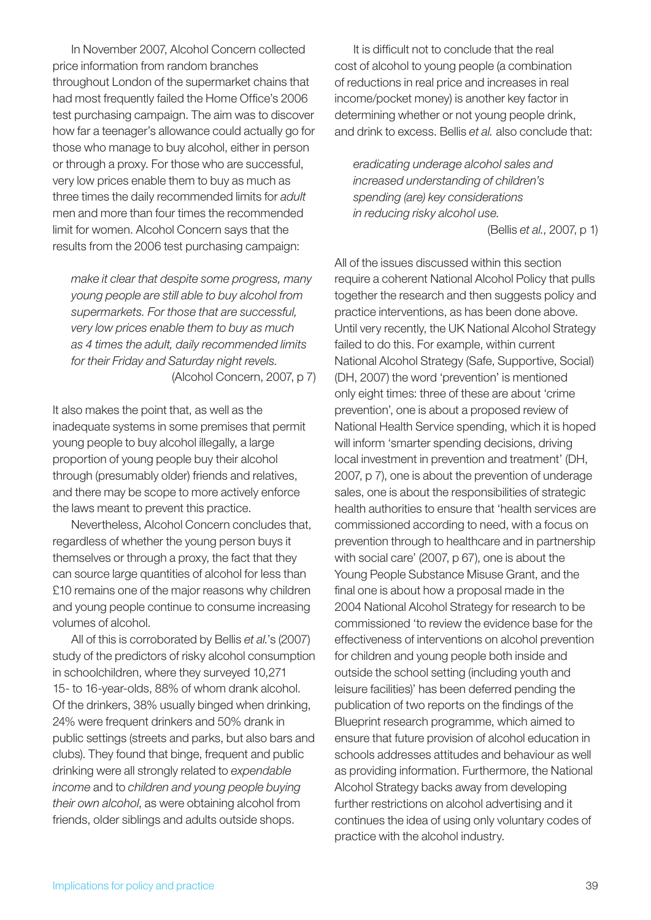In November 2007, Alcohol Concern collected price information from random branches throughout London of the supermarket chains that had most frequently failed the Home Office's 2006 test purchasing campaign. The aim was to discover how far a teenager's allowance could actually go for those who manage to buy alcohol, either in person or through a proxy. For those who are successful, very low prices enable them to buy as much as three times the daily recommended limits for *adult*  men and more than four times the recommended limit for women. Alcohol Concern says that the results from the 2006 test purchasing campaign:

*make it clear that despite some progress, many young people are still able to buy alcohol from supermarkets. For those that are successful, very low prices enable them to buy as much as 4 times the adult, daily recommended limits for their Friday and Saturday night revels.* (Alcohol Concern, 2007, p 7)

It also makes the point that, as well as the inadequate systems in some premises that permit young people to buy alcohol illegally, a large proportion of young people buy their alcohol through (presumably older) friends and relatives, and there may be scope to more actively enforce the laws meant to prevent this practice.

Nevertheless, Alcohol Concern concludes that, regardless of whether the young person buys it themselves or through a proxy, the fact that they can source large quantities of alcohol for less than £10 remains one of the major reasons why children and young people continue to consume increasing volumes of alcohol.

All of this is corroborated by Bellis *et al.*'s (2007) study of the predictors of risky alcohol consumption in schoolchildren, where they surveyed 10,271 15- to 16-year-olds, 88% of whom drank alcohol. Of the drinkers, 38% usually binged when drinking, 24% were frequent drinkers and 50% drank in public settings (streets and parks, but also bars and clubs). They found that binge, frequent and public drinking were all strongly related to *expendable income* and to *children and young people buying their own alcohol*, as were obtaining alcohol from friends, older siblings and adults outside shops.

It is difficult not to conclude that the real cost of alcohol to young people (a combination of reductions in real price and increases in real income/pocket money) is another key factor in determining whether or not young people drink, and drink to excess. Bellis *et al.* also conclude that:

*eradicating underage alcohol sales and increased understanding of children's spending (are) key considerations in reducing risky alcohol use.*

(Bellis *et al.*, 2007, p 1)

All of the issues discussed within this section require a coherent National Alcohol Policy that pulls together the research and then suggests policy and practice interventions, as has been done above. Until very recently, the UK National Alcohol Strategy failed to do this. For example, within current National Alcohol Strategy (Safe, Supportive, Social) (DH, 2007) the word 'prevention' is mentioned only eight times: three of these are about 'crime prevention', one is about a proposed review of National Health Service spending, which it is hoped will inform 'smarter spending decisions, driving local investment in prevention and treatment' (DH, 2007, p 7), one is about the prevention of underage sales, one is about the responsibilities of strategic health authorities to ensure that 'health services are commissioned according to need, with a focus on prevention through to healthcare and in partnership with social care' (2007, p 67), one is about the Young People Substance Misuse Grant, and the final one is about how a proposal made in the 2004 National Alcohol Strategy for research to be commissioned 'to review the evidence base for the effectiveness of interventions on alcohol prevention for children and young people both inside and outside the school setting (including youth and leisure facilities)' has been deferred pending the publication of two reports on the findings of the Blueprint research programme, which aimed to ensure that future provision of alcohol education in schools addresses attitudes and behaviour as well as providing information. Furthermore, the National Alcohol Strategy backs away from developing further restrictions on alcohol advertising and it continues the idea of using only voluntary codes of practice with the alcohol industry.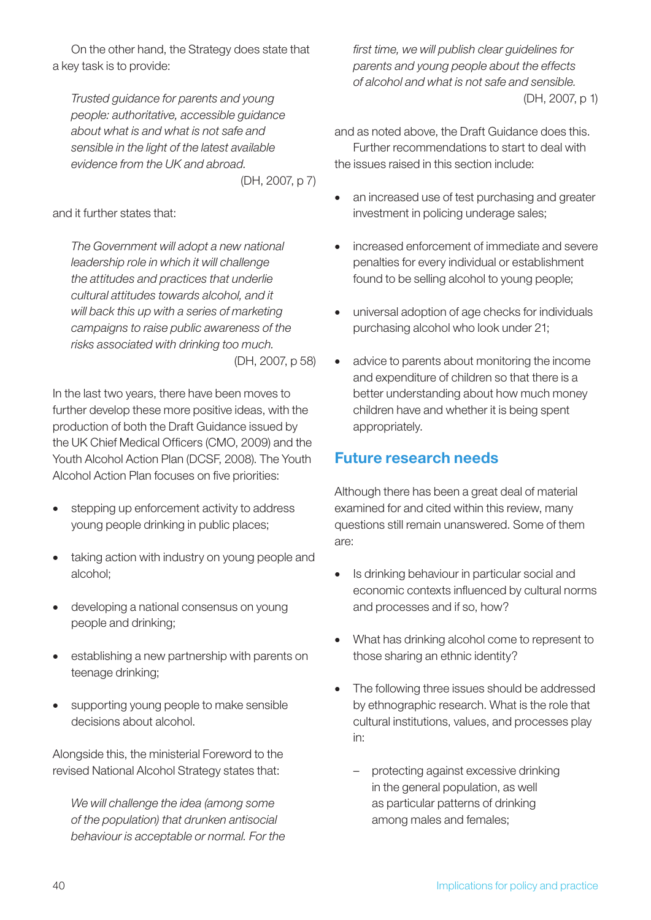On the other hand, the Strategy does state that a key task is to provide:

*Trusted guidance for parents and young people: authoritative, accessible guidance about what is and what is not safe and sensible in the light of the latest available evidence from the UK and abroad.*

(DH, 2007, p 7)

and it further states that:

*The Government will adopt a new national leadership role in which it will challenge the attitudes and practices that underlie cultural attitudes towards alcohol, and it will back this up with a series of marketing campaigns to raise public awareness of the risks associated with drinking too much.* (DH, 2007, p 58)

In the last two years, there have been moves to further develop these more positive ideas, with the production of both the Draft Guidance issued by the UK Chief Medical Officers (CMO, 2009) and the Youth Alcohol Action Plan (DCSF, 2008). The Youth Alcohol Action Plan focuses on five priorities:

- stepping up enforcement activity to address young people drinking in public places;
- taking action with industry on young people and alcohol;
- developing a national consensus on young people and drinking;
- establishing a new partnership with parents on teenage drinking;
- supporting young people to make sensible decisions about alcohol.

Alongside this, the ministerial Foreword to the revised National Alcohol Strategy states that:

*We will challenge the idea (among some of the population) that drunken antisocial behaviour is acceptable or normal. For the* 

*first time, we will publish clear guidelines for parents and young people about the effects of alcohol and what is not safe and sensible.* (DH, 2007, p 1)

and as noted above, the Draft Guidance does this. Further recommendations to start to deal with the issues raised in this section include:

- an increased use of test purchasing and greater investment in policing underage sales;
- increased enforcement of immediate and severe penalties for every individual or establishment found to be selling alcohol to young people;
- • universal adoption of age checks for individuals purchasing alcohol who look under 21;
- advice to parents about monitoring the income and expenditure of children so that there is a better understanding about how much money children have and whether it is being spent appropriately.

## Future research needs

Although there has been a great deal of material examined for and cited within this review, many questions still remain unanswered. Some of them are:

- Is drinking behaviour in particular social and economic contexts influenced by cultural norms and processes and if so, how?
- What has drinking alcohol come to represent to those sharing an ethnic identity?
- The following three issues should be addressed by ethnographic research. What is the role that cultural institutions, values, and processes play in:
	- protecting against excessive drinking in the general population, as well as particular patterns of drinking among males and females;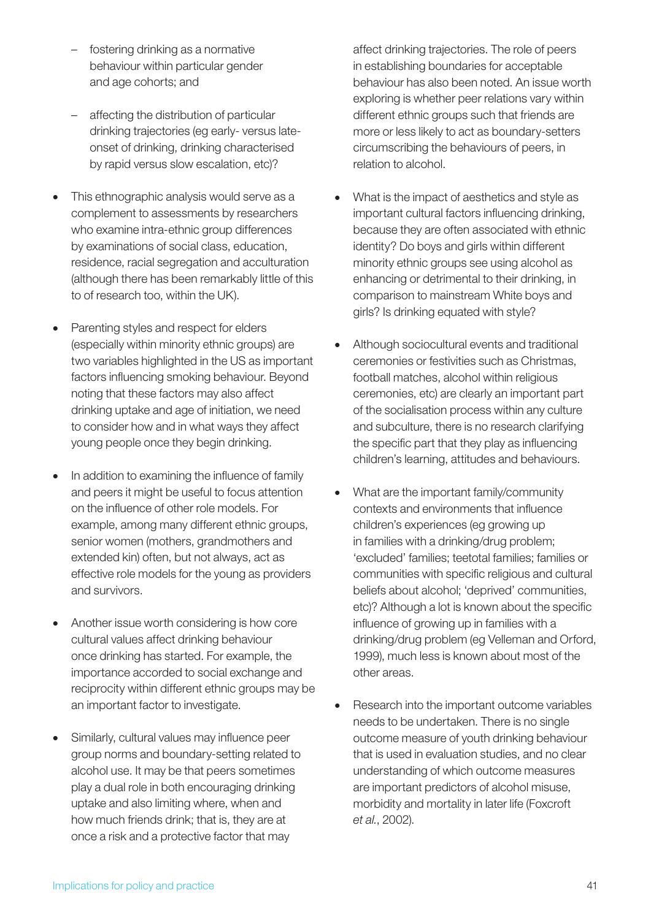- fostering drinking as a normative behaviour within particular gender and age cohorts; and
- affecting the distribution of particular drinking trajectories (eg early- versus lateonset of drinking, drinking characterised by rapid versus slow escalation, etc)?
- This ethnographic analysis would serve as a complement to assessments by researchers who examine intra-ethnic group differences by examinations of social class, education, residence, racial segregation and acculturation (although there has been remarkably little of this to of research too, within the UK).
- Parenting styles and respect for elders (especially within minority ethnic groups) are two variables highlighted in the US as important factors influencing smoking behaviour. Beyond noting that these factors may also affect drinking uptake and age of initiation, we need to consider how and in what ways they affect young people once they begin drinking.
- In addition to examining the influence of family and peers it might be useful to focus attention on the influence of other role models. For example, among many different ethnic groups, senior women (mothers, grandmothers and extended kin) often, but not always, act as effective role models for the young as providers and survivors.
- Another issue worth considering is how core cultural values affect drinking behaviour once drinking has started. For example, the importance accorded to social exchange and reciprocity within different ethnic groups may be an important factor to investigate.
- Similarly, cultural values may influence peer group norms and boundary-setting related to alcohol use. It may be that peers sometimes play a dual role in both encouraging drinking uptake and also limiting where, when and how much friends drink; that is, they are at once a risk and a protective factor that may

affect drinking trajectories. The role of peers in establishing boundaries for acceptable behaviour has also been noted. An issue worth exploring is whether peer relations vary within different ethnic groups such that friends are more or less likely to act as boundary-setters circumscribing the behaviours of peers, in relation to alcohol.

- What is the impact of aesthetics and style as important cultural factors influencing drinking, because they are often associated with ethnic identity? Do boys and girls within different minority ethnic groups see using alcohol as enhancing or detrimental to their drinking, in comparison to mainstream White boys and girls? Is drinking equated with style?
- Although sociocultural events and traditional ceremonies or festivities such as Christmas, football matches, alcohol within religious ceremonies, etc) are clearly an important part of the socialisation process within any culture and subculture, there is no research clarifying the specific part that they play as influencing children's learning, attitudes and behaviours.
- What are the important family/community contexts and environments that influence children's experiences (eg growing up in families with a drinking/drug problem; 'excluded' families; teetotal families; families or communities with specific religious and cultural beliefs about alcohol; 'deprived' communities, etc)? Although a lot is known about the specific influence of growing up in families with a drinking/drug problem (eg Velleman and Orford, 1999), much less is known about most of the other areas.
- Research into the important outcome variables needs to be undertaken. There is no single outcome measure of youth drinking behaviour that is used in evaluation studies, and no clear understanding of which outcome measures are important predictors of alcohol misuse, morbidity and mortality in later life (Foxcroft *et al.*, 2002).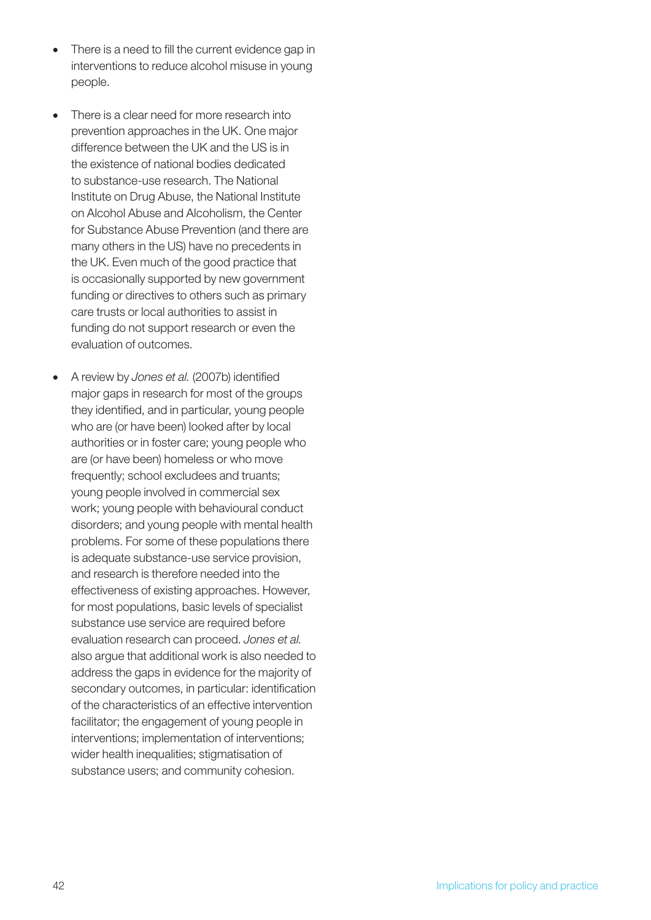- There is a need to fill the current evidence gap in interventions to reduce alcohol misuse in young people.
- There is a clear need for more research into prevention approaches in the UK. One major difference between the UK and the US is in the existence of national bodies dedicated to substance-use research. The National Institute on Drug Abuse, the National Institute on Alcohol Abuse and Alcoholism, the Center for Substance Abuse Prevention (and there are many others in the US) have no precedents in the UK. Even much of the good practice that is occasionally supported by new government funding or directives to others such as primary care trusts or local authorities to assist in funding do not support research or even the evaluation of outcomes.
- • A review by *Jones et al.* (2007b) identified major gaps in research for most of the groups they identified, and in particular, young people who are (or have been) looked after by local authorities or in foster care; young people who are (or have been) homeless or who move frequently; school excludees and truants; young people involved in commercial sex work; young people with behavioural conduct disorders; and young people with mental health problems. For some of these populations there is adequate substance-use service provision, and research is therefore needed into the effectiveness of existing approaches. However, for most populations, basic levels of specialist substance use service are required before evaluation research can proceed. *Jones et al.*  also argue that additional work is also needed to address the gaps in evidence for the majority of secondary outcomes, in particular: identification of the characteristics of an effective intervention facilitator; the engagement of young people in interventions; implementation of interventions; wider health inequalities; stigmatisation of substance users; and community cohesion.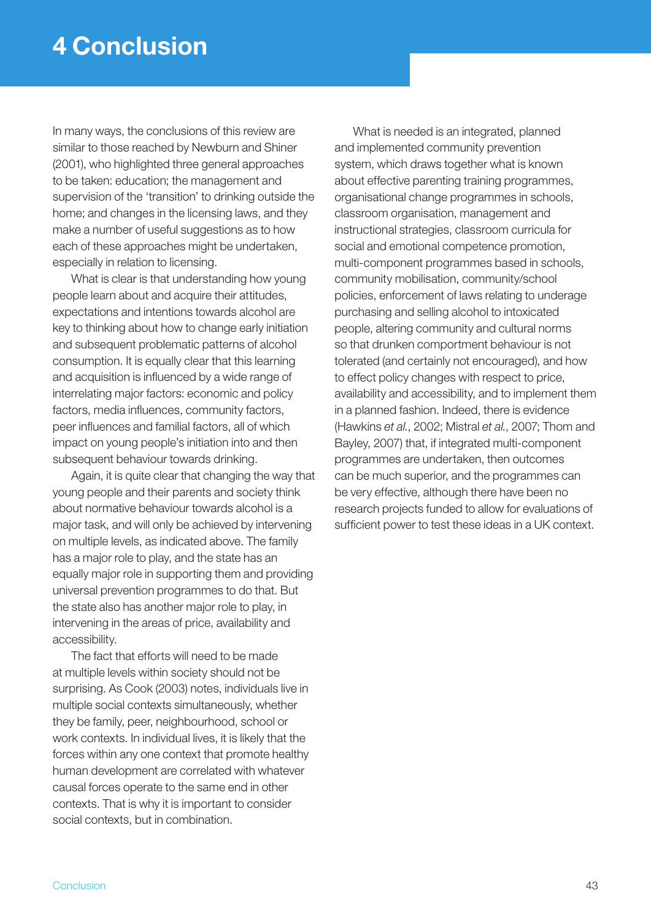In many ways, the conclusions of this review are similar to those reached by Newburn and Shiner (2001), who highlighted three general approaches to be taken: education; the management and supervision of the 'transition' to drinking outside the home; and changes in the licensing laws, and they make a number of useful suggestions as to how each of these approaches might be undertaken, especially in relation to licensing.

What is clear is that understanding how young people learn about and acquire their attitudes, expectations and intentions towards alcohol are key to thinking about how to change early initiation and subsequent problematic patterns of alcohol consumption. It is equally clear that this learning and acquisition is influenced by a wide range of interrelating major factors: economic and policy factors, media influences, community factors, peer influences and familial factors, all of which impact on young people's initiation into and then subsequent behaviour towards drinking.

Again, it is quite clear that changing the way that young people and their parents and society think about normative behaviour towards alcohol is a major task, and will only be achieved by intervening on multiple levels, as indicated above. The family has a major role to play, and the state has an equally major role in supporting them and providing universal prevention programmes to do that. But the state also has another major role to play, in intervening in the areas of price, availability and accessibility.

The fact that efforts will need to be made at multiple levels within society should not be surprising. As Cook (2003) notes, individuals live in multiple social contexts simultaneously, whether they be family, peer, neighbourhood, school or work contexts. In individual lives, it is likely that the forces within any one context that promote healthy human development are correlated with whatever causal forces operate to the same end in other contexts. That is why it is important to consider social contexts, but in combination.

What is needed is an integrated, planned and implemented community prevention system, which draws together what is known about effective parenting training programmes, organisational change programmes in schools, classroom organisation, management and instructional strategies, classroom curricula for social and emotional competence promotion, multi-component programmes based in schools, community mobilisation, community/school policies, enforcement of laws relating to underage purchasing and selling alcohol to intoxicated people, altering community and cultural norms so that drunken comportment behaviour is not tolerated (and certainly not encouraged), and how to effect policy changes with respect to price, availability and accessibility, and to implement them in a planned fashion. Indeed, there is evidence (Hawkins *et al.*, 2002; Mistral *et al.*, 2007; Thom and Bayley, 2007) that, if integrated multi-component programmes are undertaken, then outcomes can be much superior, and the programmes can be very effective, although there have been no research projects funded to allow for evaluations of sufficient power to test these ideas in a UK context.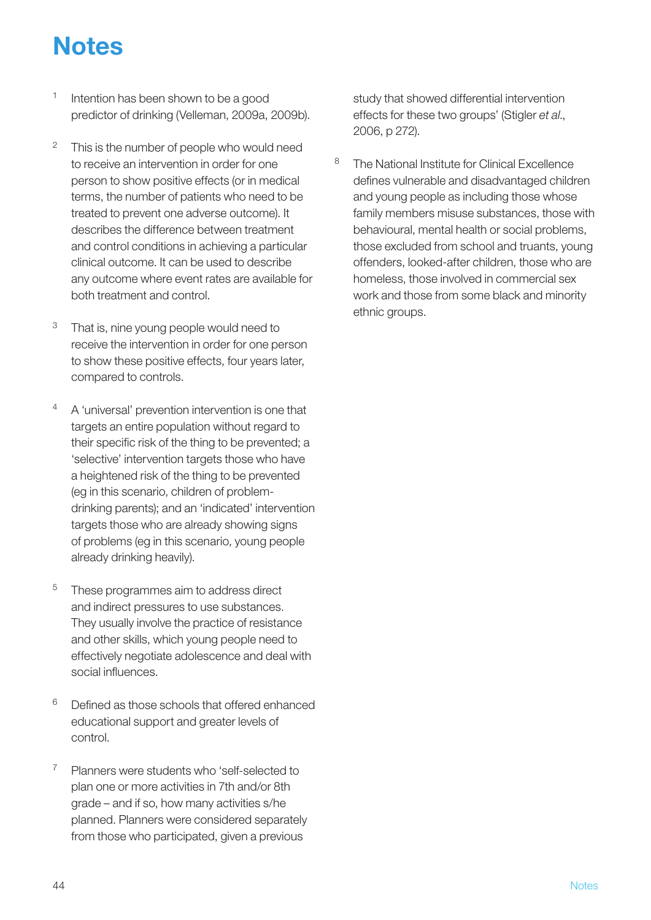## **Notes**

- Intention has been shown to be a good predictor of drinking (Velleman, 2009a, 2009b).
- $2^{\circ}$  This is the number of people who would need to receive an intervention in order for one person to show positive effects (or in medical terms, the number of patients who need to be treated to prevent one adverse outcome). It describes the difference between treatment and control conditions in achieving a particular clinical outcome. It can be used to describe any outcome where event rates are available for both treatment and control.
- <sup>3</sup> That is, nine young people would need to receive the intervention in order for one person to show these positive effects, four years later, compared to controls.
- <sup>4</sup> A 'universal' prevention intervention is one that targets an entire population without regard to their specific risk of the thing to be prevented; a 'selective' intervention targets those who have a heightened risk of the thing to be prevented (eg in this scenario, children of problemdrinking parents); and an 'indicated' intervention targets those who are already showing signs of problems (eg in this scenario, young people already drinking heavily).
- <sup>5</sup> These programmes aim to address direct and indirect pressures to use substances. They usually involve the practice of resistance and other skills, which young people need to effectively negotiate adolescence and deal with social influences.
- $6$  Defined as those schools that offered enhanced educational support and greater levels of control.
- <sup>7</sup> Planners were students who 'self-selected to plan one or more activities in 7th and/or 8th grade – and if so, how many activities s/he planned. Planners were considered separately from those who participated, given a previous

study that showed differential intervention effects for these two groups' (Stigler *et al*., 2006, p 272).

8 The National Institute for Clinical Excellence defines vulnerable and disadvantaged children and young people as including those whose family members misuse substances, those with behavioural, mental health or social problems, those excluded from school and truants, young offenders, looked-after children, those who are homeless, those involved in commercial sex work and those from some black and minority ethnic groups.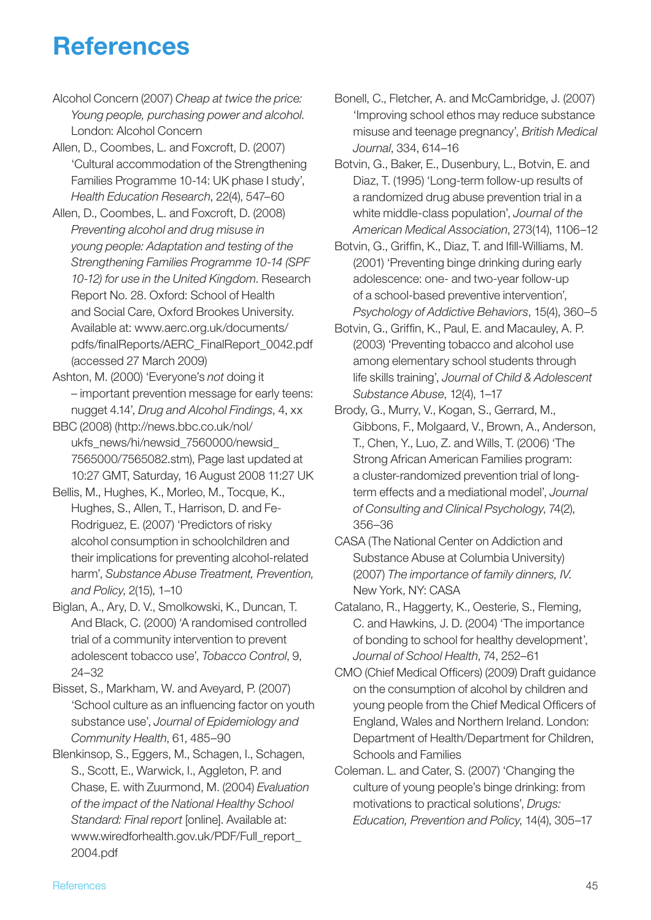## **References**

- Alcohol Concern (2007) *Cheap at twice the price: Young people, purchasing power and alcohol*. London: Alcohol Concern
- Allen, D., Coombes, L. and Foxcroft, D. (2007) 'Cultural accommodation of the Strengthening Families Programme 10-14: UK phase I study', *Health Education Research*, 22(4), 547–60
- Allen, D., Coombes, L. and Foxcroft, D. (2008) *Preventing alcohol and drug misuse in young people: Adaptation and testing of the Strengthening Families Programme 10-14 (SPF 10-12) for use in the United Kingdom*. Research Report No. 28. Oxford: School of Health and Social Care, Oxford Brookes University. Available at: www.aerc.org.uk/documents/ pdfs/finalReports/AERC\_FinalReport\_0042.pdf (accessed 27 March 2009)
- Ashton, M. (2000) 'Everyone's *not* doing it – important prevention message for early teens: nugget 4.14', *Drug and Alcohol Findings*, 4, xx
- BBC (2008) (http://news.bbc.co.uk/nol/ ukfs\_news/hi/newsid\_7560000/newsid\_ 7565000/7565082.stm), Page last updated at 10:27 GMT, Saturday, 16 August 2008 11:27 UK
- Bellis, M., Hughes, K., Morleo, M., Tocque, K., Hughes, S., Allen, T., Harrison, D. and Fe-Rodriguez, E. (2007) 'Predictors of risky alcohol consumption in schoolchildren and their implications for preventing alcohol-related harm', *Substance Abuse Treatment, Prevention, and Policy*, 2(15), 1–10
- Biglan, A., Ary, D. V., Smolkowski, K., Duncan, T. And Black, C. (2000) 'A randomised controlled trial of a community intervention to prevent adolescent tobacco use', *Tobacco Control*, 9, 24–32
- Bisset, S., Markham, W. and Aveyard, P. (2007) 'School culture as an influencing factor on youth substance use', *Journal of Epidemiology and Community Health*, 61, 485–90
- Blenkinsop, S., Eggers, M., Schagen, I., Schagen, S., Scott, E., Warwick, I., Aggleton, P. and Chase, E. with Zuurmond, M. (2004) *Evaluation of the impact of the National Healthy School Standard: Final report* [online]. Available at: www.wiredforhealth.gov.uk/PDF/Full\_report\_ 2004.pdf
- Bonell, C., Fletcher, A. and McCambridge, J. (2007) 'Improving school ethos may reduce substance misuse and teenage pregnancy', *British Medical Journal*, 334, 614–16
- Botvin, G., Baker, E., Dusenbury, L., Botvin, E. and Diaz, T. (1995) 'Long-term follow-up results of a randomized drug abuse prevention trial in a white middle-class population', *Journal of the American Medical Association*, 273(14), 1106–12
- Botvin, G., Griffin, K., Diaz, T. and Ifill-Williams, M. (2001) 'Preventing binge drinking during early adolescence: one- and two-year follow-up of a school-based preventive intervention', *Psychology of Addictive Behaviors*, 15(4), 360–5
- Botvin, G., Griffin, K., Paul, E. and Macauley, A. P. (2003) 'Preventing tobacco and alcohol use among elementary school students through life skills training', *Journal of Child & Adolescent Substance Abuse*, 12(4), 1–17
- Brody, G., Murry, V., Kogan, S., Gerrard, M., Gibbons, F., Molgaard, V., Brown, A., Anderson, T., Chen, Y., Luo, Z. and Wills, T. (2006) 'The Strong African American Families program: a cluster-randomized prevention trial of longterm effects and a mediational model', *Journal of Consulting and Clinical Psychology*, 74(2), 356–36
- CASA (The National Center on Addiction and Substance Abuse at Columbia University) (2007) *The importance of family dinners, IV*. New York, NY: CASA
- Catalano, R., Haggerty, K., Oesterie, S., Fleming, C. and Hawkins, J. D. (2004) 'The importance of bonding to school for healthy development', *Journal of School Health*, 74, 252–61
- CMO (Chief Medical Officers) (2009) Draft guidance on the consumption of alcohol by children and young people from the Chief Medical Officers of England, Wales and Northern Ireland. London: Department of Health/Department for Children, Schools and Families
- Coleman. L. and Cater, S. (2007) 'Changing the culture of young people's binge drinking: from motivations to practical solutions', *Drugs: Education, Prevention and Policy*, 14(4), 305–17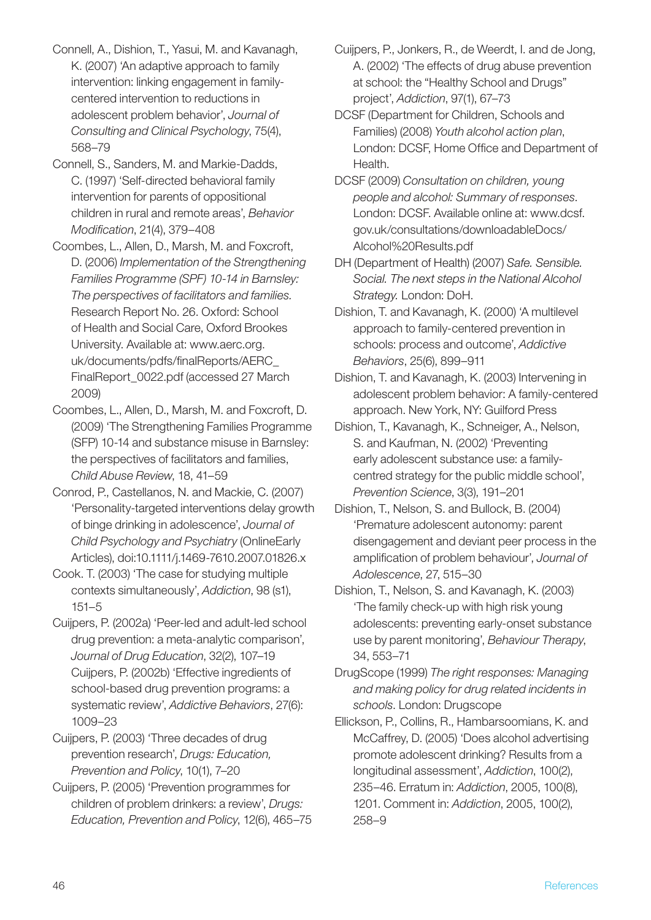- Connell, A., Dishion, T., Yasui, M. and Kavanagh, K. (2007) 'An adaptive approach to family intervention: linking engagement in familycentered intervention to reductions in adolescent problem behavior', *Journal of Consulting and Clinical Psychology*, 75(4), 568–79
- Connell, S., Sanders, M. and Markie-Dadds, C. (1997) 'Self-directed behavioral family intervention for parents of oppositional children in rural and remote areas', *Behavior Modification*, 21(4), 379–408
- Coombes, L., Allen, D., Marsh, M. and Foxcroft, D. (2006) *Implementation of the Strengthening Families Programme (SPF) 10-14 in Barnsley: The perspectives of facilitators and families.*  Research Report No. 26. Oxford: School of Health and Social Care, Oxford Brookes University. Available at: www.aerc.org. uk/documents/pdfs/finalReports/AERC\_ FinalReport\_0022.pdf (accessed 27 March 2009)
- Coombes, L., Allen, D., Marsh, M. and Foxcroft, D. (2009) 'The Strengthening Families Programme (SFP) 10-14 and substance misuse in Barnsley: the perspectives of facilitators and families, *Child Abuse Review*, 18, 41–59
- Conrod, P., Castellanos, N. and Mackie, C. (2007) 'Personality-targeted interventions delay growth of binge drinking in adolescence', *Journal of Child Psychology and Psychiatry* (OnlineEarly Articles), doi:10.1111/j.1469-7610.2007.01826.x
- Cook. T. (2003) 'The case for studying multiple contexts simultaneously', *Addiction*, 98 (s1), 151–5
- Cuijpers, P. (2002a) 'Peer-led and adult-led school drug prevention: a meta-analytic comparison', *Journal of Drug Education*, 32(2), 107–19 Cuijpers, P. (2002b) 'Effective ingredients of school-based drug prevention programs: a systematic review', *Addictive Behaviors*, 27(6): 1009–23
- Cuijpers, P. (2003) 'Three decades of drug prevention research', *Drugs: Education, Prevention and Policy*, 10(1), 7–20
- Cuijpers, P. (2005) 'Prevention programmes for children of problem drinkers: a review', *Drugs: Education, Prevention and Policy*, 12(6), 465–75
- Cuijpers, P., Jonkers, R., de Weerdt, I. and de Jong, A. (2002) 'The effects of drug abuse prevention at school: the "Healthy School and Drugs" project', *Addiction*, 97(1), 67–73
- DCSF (Department for Children, Schools and Families) (2008) *Youth alcohol action plan*, London: DCSF, Home Office and Department of Health.
- DCSF (2009) *Consultation on children, young people and alcohol: Summary of responses*. London: DCSF. Available online at: www.dcsf. gov.uk/consultations/downloadableDocs/ Alcohol%20Results.pdf
- DH (Department of Health) (2007) *Safe. Sensible. Social. The next steps in the National Alcohol Strategy.* London: DoH.
- Dishion, T. and Kavanagh, K. (2000) 'A multilevel approach to family-centered prevention in schools: process and outcome', *Addictive Behaviors*, 25(6), 899–911
- Dishion, T. and Kavanagh, K. (2003) Intervening in adolescent problem behavior: A family-centered approach. New York, NY: Guilford Press
- Dishion, T., Kavanagh, K., Schneiger, A., Nelson, S. and Kaufman, N. (2002) 'Preventing early adolescent substance use: a familycentred strategy for the public middle school', *Prevention Science*, 3(3), 191–201
- Dishion, T., Nelson, S. and Bullock, B. (2004) 'Premature adolescent autonomy: parent disengagement and deviant peer process in the amplification of problem behaviour', *Journal of Adolescence*, 27, 515–30
- Dishion, T., Nelson, S. and Kavanagh, K. (2003) 'The family check-up with high risk young adolescents: preventing early-onset substance use by parent monitoring', *Behaviour Therapy*, 34, 553–71
- DrugScope (1999) *The right responses: Managing and making policy for drug related incidents in schools*. London: Drugscope
- Ellickson, P., Collins, R., Hambarsoomians, K. and McCaffrey, D. (2005) 'Does alcohol advertising promote adolescent drinking? Results from a longitudinal assessment', *Addiction*, 100(2), 235–46. Erratum in: *Addiction*, 2005, 100(8), 1201. Comment in: *Addiction*, 2005, 100(2), 258–9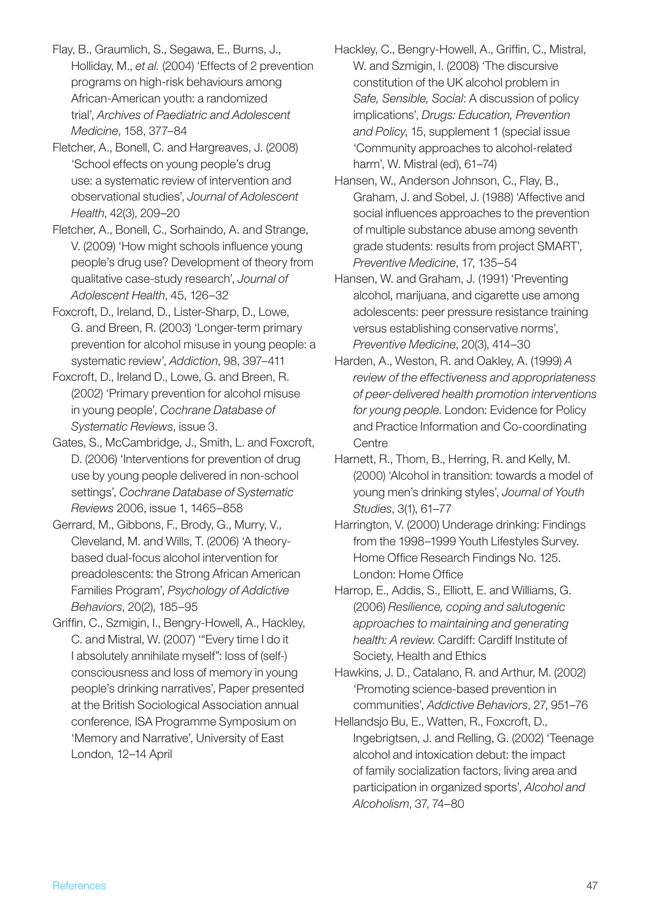- Flay, B., Graumlich, S., Segawa, E., Burns, J., Holliday, M., *et al.* (2004) 'Effects of 2 prevention programs on high-risk behaviours among African-American youth: a randomized trial', *Archives of Paediatric and Adolescent Medicine*, 158, 377–84
- Fletcher, A., Bonell, C. and Hargreaves, J. (2008) 'School effects on young people's drug use: a systematic review of intervention and observational studies', *Journal of Adolescent Health*, 42(3), 209–20
- Fletcher, A., Bonell, C., Sorhaindo, A. and Strange, V. (2009) 'How might schools influence young people's drug use? Development of theory from qualitative case-study research', *Journal of Adolescent Health*, 45, 126–32
- Foxcroft, D., Ireland, D., Lister-Sharp, D., Lowe, G. and Breen, R. (2003) 'Longer-term primary prevention for alcohol misuse in young people: a systematic review', *Addiction*, 98, 397–411
- Foxcroft, D., Ireland D., Lowe, G. and Breen, R. (2002) 'Primary prevention for alcohol misuse in young people', *Cochrane Database of Systematic Reviews*, issue 3.
- Gates, S., McCambridge, J., Smith, L. and Foxcroft, D. (2006) 'Interventions for prevention of drug use by young people delivered in non-school settings', *Cochrane Database of Systematic Reviews* 2006, issue 1, 1465–858
- Gerrard, M., Gibbons, F., Brody, G., Murry, V., Cleveland, M. and Wills, T. (2006) 'A theorybased dual-focus alcohol intervention for preadolescents: the Strong African American Families Program', *Psychology of Addictive Behaviors*, 20(2), 185–95
- Griffin, C., Szmigin, I., Bengry-Howell, A., Hackley, C. and Mistral, W. (2007) '"Every time I do it I absolutely annihilate myself": loss of (self-) consciousness and loss of memory in young people's drinking narratives', Paper presented at the British Sociological Association annual conference, ISA Programme Symposium on 'Memory and Narrative', University of East London, 12–14 April
- Hackley, C., Bengry-Howell, A., Griffin, C., Mistral, W. and Szmigin, I. (2008) 'The discursive constitution of the UK alcohol problem in *Safe, Sensible, Social*: A discussion of policy implications', *Drugs: Education, Prevention and Policy*, 15, supplement 1 (special issue 'Community approaches to alcohol-related harm', W. Mistral (ed), 61–74)
- Hansen, W., Anderson Johnson, C., Flay, B., Graham, J. and Sobel, J. (1988) 'Affective and social influences approaches to the prevention of multiple substance abuse among seventh grade students: results from project SMART', *Preventive Medicine*, 17, 135–54
- Hansen, W. and Graham, J. (1991) 'Preventing alcohol, marijuana, and cigarette use among adolescents: peer pressure resistance training versus establishing conservative norms', *Preventive Medicine*, 20(3), 414–30
- Harden, A., Weston, R. and Oakley, A. (1999) *A review of the effectiveness and appropriateness of peer-delivered health promotion interventions for young people*. London: Evidence for Policy and Practice Information and Co-coordinating **Centre**
- Harnett, R., Thom, B., Herring, R. and Kelly, M. (2000) 'Alcohol in transition: towards a model of young men's drinking styles', *Journal of Youth Studies*, 3(1), 61–77
- Harrington, V. (2000) Underage drinking: Findings from the 1998–1999 Youth Lifestyles Survey. Home Office Research Findings No. 125. London: Home Office
- Harrop, E., Addis, S., Elliott, E. and Williams, G. (2006) *Resilience, coping and salutogenic approaches to maintaining and generating health: A review*. Cardiff: Cardiff Institute of Society, Health and Ethics
- Hawkins, J. D., Catalano, R. and Arthur, M. (2002) 'Promoting science-based prevention in communities', *Addictive Behaviors*, 27, 951–76
- Hellandsjo Bu, E., Watten, R., Foxcroft, D., Ingebrigtsen, J. and Relling, G. (2002) 'Teenage alcohol and intoxication debut: the impact of family socialization factors, living area and participation in organized sports', *Alcohol and Alcoholism*, 37, 74–80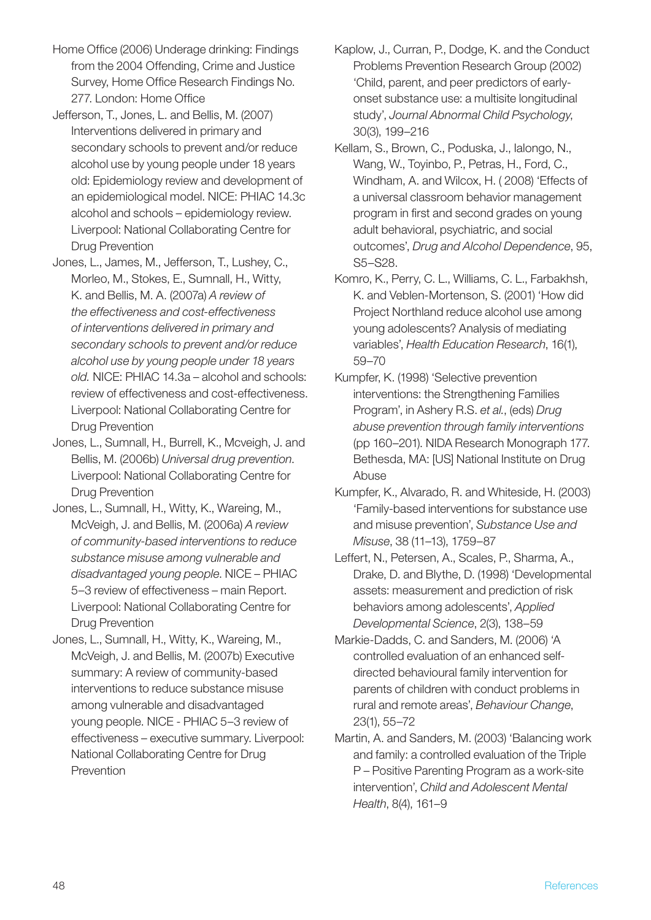- Home Office (2006) Underage drinking: Findings from the 2004 Offending, Crime and Justice Survey, Home Office Research Findings No. 277. London: Home Office
- Jefferson, T., Jones, L. and Bellis, M. (2007) Interventions delivered in primary and secondary schools to prevent and/or reduce alcohol use by young people under 18 years old: Epidemiology review and development of an epidemiological model. NICE: PHIAC 14.3c alcohol and schools – epidemiology review. Liverpool: National Collaborating Centre for Drug Prevention
- Jones, L., James, M., Jefferson, T., Lushey, C., Morleo, M., Stokes, E., Sumnall, H., Witty, K. and Bellis, M. A. (2007a) *A review of the effectiveness and cost-effectiveness of interventions delivered in primary and secondary schools to prevent and/or reduce alcohol use by young people under 18 years old.* NICE: PHIAC 14.3a – alcohol and schools: review of effectiveness and cost-effectiveness. Liverpool: National Collaborating Centre for Drug Prevention
- Jones, L., Sumnall, H., Burrell, K., Mcveigh, J. and Bellis, M. (2006b) *Universal drug prevention*. Liverpool: National Collaborating Centre for Drug Prevention
- Jones, L., Sumnall, H., Witty, K., Wareing, M., McVeigh, J. and Bellis, M. (2006a) *A review of community-based interventions to reduce substance misuse among vulnerable and disadvantaged young people*. NICE – PHIAC 5–3 review of effectiveness – main Report. Liverpool: National Collaborating Centre for Drug Prevention
- Jones, L., Sumnall, H., Witty, K., Wareing, M., McVeigh, J. and Bellis, M. (2007b) Executive summary: A review of community-based interventions to reduce substance misuse among vulnerable and disadvantaged young people. NICE - PHIAC 5–3 review of effectiveness – executive summary. Liverpool: National Collaborating Centre for Drug Prevention
- Kaplow, J., Curran, P., Dodge, K. and the Conduct Problems Prevention Research Group (2002) 'Child, parent, and peer predictors of earlyonset substance use: a multisite longitudinal study', *Journal Abnormal Child Psychology*, 30(3), 199–216
- Kellam, S., Brown, C., Poduska, J., Ialongo, N., Wang, W., Toyinbo, P., Petras, H., Ford, C., Windham, A. and Wilcox, H. ( 2008) 'Effects of a universal classroom behavior management program in first and second grades on young adult behavioral, psychiatric, and social outcomes', *Drug and Alcohol Dependence*, 95, S5–S28.
- Komro, K., Perry, C. L., Williams, C. L., Farbakhsh, K. and Veblen-Mortenson, S. (2001) 'How did Project Northland reduce alcohol use among young adolescents? Analysis of mediating variables', *Health Education Research*, 16(1), 59–70
- Kumpfer, K. (1998) 'Selective prevention interventions: the Strengthening Families Program', in Ashery R.S. *et al.*, (eds) *Drug abuse prevention through family interventions* (pp 160–201). NIDA Research Monograph 177. Bethesda, MA: [US] National Institute on Drug Abuse
- Kumpfer, K., Alvarado, R. and Whiteside, H. (2003) 'Family-based interventions for substance use and misuse prevention', *Substance Use and Misuse*, 38 (11–13), 1759–87
- Leffert, N., Petersen, A., Scales, P., Sharma, A., Drake, D. and Blythe, D. (1998) 'Developmental assets: measurement and prediction of risk behaviors among adolescents', *Applied Developmental Science*, 2(3), 138–59
- Markie-Dadds, C. and Sanders, M. (2006) 'A controlled evaluation of an enhanced selfdirected behavioural family intervention for parents of children with conduct problems in rural and remote areas', *Behaviour Change*, 23(1), 55–72
- Martin, A. and Sanders, M. (2003) 'Balancing work and family: a controlled evaluation of the Triple P – Positive Parenting Program as a work-site intervention', *Child and Adolescent Mental Health*, 8(4), 161–9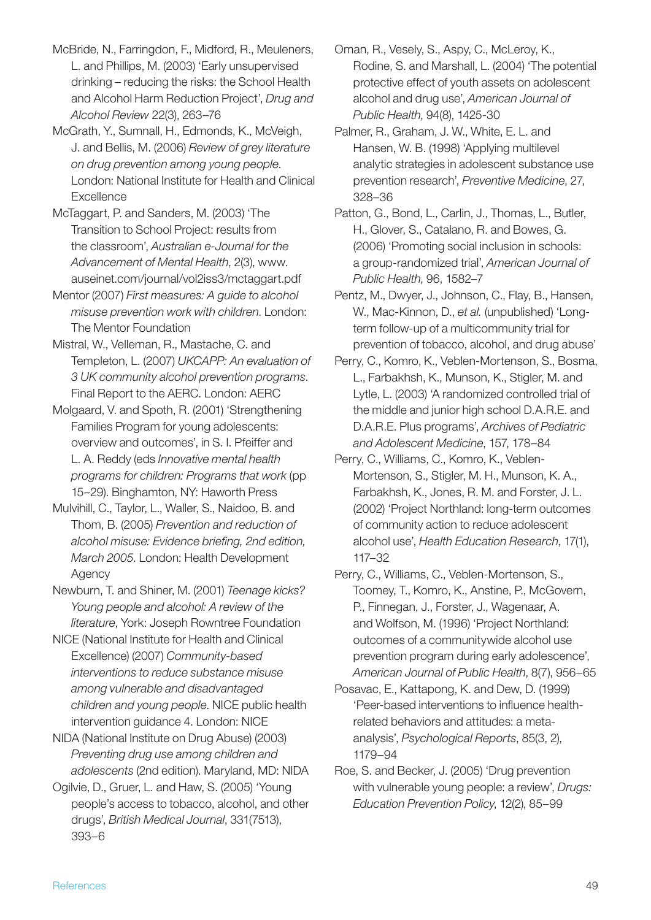- McBride, N., Farringdon, F., Midford, R., Meuleners, L. and Phillips, M. (2003) 'Early unsupervised drinking – reducing the risks: the School Health and Alcohol Harm Reduction Project', *Drug and Alcohol Review* 22(3), 263–76
- McGrath, Y., Sumnall, H., Edmonds, K., McVeigh, J. and Bellis, M. (2006) *Review of grey literature on drug prevention among young people*. London: National Institute for Health and Clinical **Excellence**
- McTaggart, P. and Sanders, M. (2003) 'The Transition to School Project: results from the classroom', *Australian e-Journal for the Advancement of Mental Health*, 2(3), www. auseinet.com/journal/vol2iss3/mctaggart.pdf
- Mentor (2007) *First measures: A guide to alcohol misuse prevention work with children*. London: The Mentor Foundation
- Mistral, W., Velleman, R., Mastache, C. and Templeton, L. (2007) *UKCAPP: An evaluation of 3 UK community alcohol prevention programs*. Final Report to the AERC. London: AERC
- Molgaard, V. and Spoth, R. (2001) 'Strengthening Families Program for young adolescents: overview and outcomes', in S. I. Pfeiffer and L. A. Reddy (eds *Innovative mental health programs for children: Programs that work* (pp 15–29). Binghamton, NY: Haworth Press
- Mulvihill, C., Taylor, L., Waller, S., Naidoo, B. and Thom, B. (2005) *Prevention and reduction of alcohol misuse: Evidence briefing, 2nd edition, March 2005*. London: Health Development Agency
- Newburn, T. and Shiner, M. (2001) *Teenage kicks? Young people and alcohol: A review of the literature*, York: Joseph Rowntree Foundation
- NICE (National Institute for Health and Clinical Excellence) (2007) *Community-based interventions to reduce substance misuse among vulnerable and disadvantaged children and young people*. NICE public health intervention guidance 4. London: NICE
- NIDA (National Institute on Drug Abuse) (2003) *Preventing drug use among children and adolescents* (2nd edition). Maryland, MD: NIDA
- Ogilvie, D., Gruer, L. and Haw, S. (2005) 'Young people's access to tobacco, alcohol, and other drugs', *British Medical Journal*, 331(7513), 393–6
- Oman, R., Vesely, S., Aspy, C., McLeroy, K., Rodine, S. and Marshall, L. (2004) 'The potential protective effect of youth assets on adolescent alcohol and drug use', *American Journal of Public Health*, 94(8), 1425-30
- Palmer, R., Graham, J. W., White, E. L. and Hansen, W. B. (1998) 'Applying multilevel analytic strategies in adolescent substance use prevention research', *Preventive Medicine*, 27, 328–36
- Patton, G., Bond, L., Carlin, J., Thomas, L., Butler, H., Glover, S., Catalano, R. and Bowes, G. (2006) 'Promoting social inclusion in schools: a group-randomized trial', *American Journal of Public Health*, 96, 1582–7
- Pentz, M., Dwyer, J., Johnson, C., Flay, B., Hansen, W., Mac-Kinnon, D., *et al.* (unpublished) 'Longterm follow-up of a multicommunity trial for prevention of tobacco, alcohol, and drug abuse'
- Perry, C., Komro, K., Veblen-Mortenson, S., Bosma, L., Farbakhsh, K., Munson, K., Stigler, M. and Lytle, L. (2003) 'A randomized controlled trial of the middle and junior high school D.A.R.E. and D.A.R.E. Plus programs', *Archives of Pediatric and Adolescent Medicine*, 157, 178–84
- Perry, C., Williams, C., Komro, K., Veblen-Mortenson, S., Stigler, M. H., Munson, K. A., Farbakhsh, K., Jones, R. M. and Forster, J. L. (2002) 'Project Northland: long-term outcomes of community action to reduce adolescent alcohol use', *Health Education Research*, 17(1), 117–32
- Perry, C., Williams, C., Veblen-Mortenson, S., Toomey, T., Komro, K., Anstine, P., McGovern, P., Finnegan, J., Forster, J., Wagenaar, A. and Wolfson, M. (1996) 'Project Northland: outcomes of a communitywide alcohol use prevention program during early adolescence', *American Journal of Public Health*, 8(7), 956–65
- Posavac, E., Kattapong, K. and Dew, D. (1999) 'Peer-based interventions to influence healthrelated behaviors and attitudes: a metaanalysis', *Psychological Reports*, 85(3, 2), 1179–94
- Roe, S. and Becker, J. (2005) 'Drug prevention with vulnerable young people: a review', *Drugs: Education Prevention Policy*, 12(2), 85–99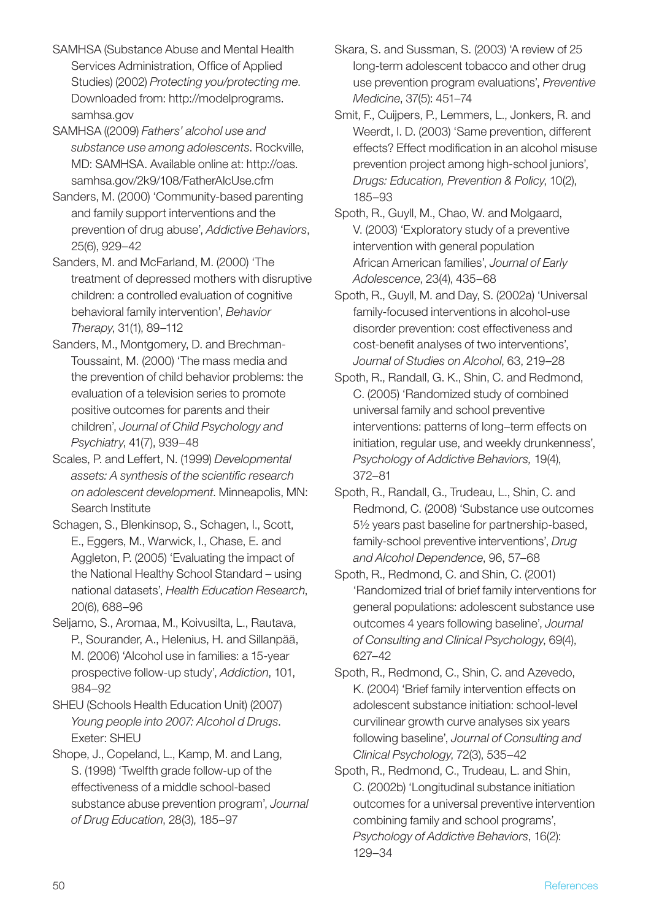SAMHSA (Substance Abuse and Mental Health Services Administration, Office of Applied Studies) (2002) *Protecting you/protecting me*. Downloaded from: http://modelprograms. samhsa.gov

SAMHSA ((2009) *Fathers' alcohol use and substance use among adolescents*. Rockville, MD: SAMHSA. Available online at: http://oas. samhsa.gov/2k9/108/FatherAlcUse.cfm

Sanders, M. (2000) 'Community-based parenting and family support interventions and the prevention of drug abuse', *Addictive Behaviors*, 25(6), 929–42

Sanders, M. and McFarland, M. (2000) 'The treatment of depressed mothers with disruptive children: a controlled evaluation of cognitive behavioral family intervention', *Behavior Therapy*, 31(1), 89–112

Sanders, M., Montgomery, D. and Brechman-Toussaint, M. (2000) 'The mass media and the prevention of child behavior problems: the evaluation of a television series to promote positive outcomes for parents and their children', *Journal of Child Psychology and Psychiatry*, 41(7), 939–48

Scales, P. and Leffert, N. (1999) *Developmental assets: A synthesis of the scientific research on adolescent development*. Minneapolis, MN: Search Institute

Schagen, S., Blenkinsop, S., Schagen, I., Scott, E., Eggers, M., Warwick, I., Chase, E. and Aggleton, P. (2005) 'Evaluating the impact of the National Healthy School Standard – using national datasets', *Health Education Research*, 20(6), 688–96

Seljamo, S., Aromaa, M., Koivusilta, L., Rautava, P., Sourander, A., Helenius, H. and Sillanpää, M. (2006) 'Alcohol use in families: a 15-year prospective follow-up study', *Addiction*, 101, 984–92

SHEU (Schools Health Education Unit) (2007) *Young people into 2007: Alcohol d Drugs*. Exeter: SHEU

Shope, J., Copeland, L., Kamp, M. and Lang, S. (1998) 'Twelfth grade follow-up of the effectiveness of a middle school-based substance abuse prevention program', *Journal of Drug Education*, 28(3), 185–97

Skara, S. and Sussman, S. (2003) 'A review of 25 long-term adolescent tobacco and other drug use prevention program evaluations', *Preventive Medicine*, 37(5): 451–74

Smit, F., Cuijpers, P., Lemmers, L., Jonkers, R. and Weerdt, I. D. (2003) 'Same prevention, different effects? Effect modification in an alcohol misuse prevention project among high-school juniors', *Drugs: Education, Prevention & Policy*, 10(2), 185–93

Spoth, R., Guyll, M., Chao, W. and Molgaard, V. (2003) 'Exploratory study of a preventive intervention with general population African American families', *Journal of Early Adolescence*, 23(4), 435–68

Spoth, R., Guyll, M. and Day, S. (2002a) 'Universal family-focused interventions in alcohol-use disorder prevention: cost effectiveness and cost-benefit analyses of two interventions', *Journal of Studies on Alcohol*, 63, 219–28

Spoth, R., Randall, G. K., Shin, C. and Redmond, C. (2005) 'Randomized study of combined universal family and school preventive interventions: patterns of long–term effects on initiation, regular use, and weekly drunkenness', *Psychology of Addictive Behaviors,* 19(4), 372–81

Spoth, R., Randall, G., Trudeau, L., Shin, C. and Redmond, C. (2008) 'Substance use outcomes 5½ years past baseline for partnership-based, family-school preventive interventions', *Drug and Alcohol Dependence*, 96, 57–68

Spoth, R., Redmond, C. and Shin, C. (2001) 'Randomized trial of brief family interventions for general populations: adolescent substance use outcomes 4 years following baseline', *Journal of Consulting and Clinical Psychology*, 69(4), 627–42

Spoth, R., Redmond, C., Shin, C. and Azevedo, K. (2004) 'Brief family intervention effects on adolescent substance initiation: school-level curvilinear growth curve analyses six years following baseline', *Journal of Consulting and Clinical Psychology*, 72(3), 535–42

Spoth, R., Redmond, C., Trudeau, L. and Shin, C. (2002b) 'Longitudinal substance initiation outcomes for a universal preventive intervention combining family and school programs', *Psychology of Addictive Behaviors*, 16(2): 129–34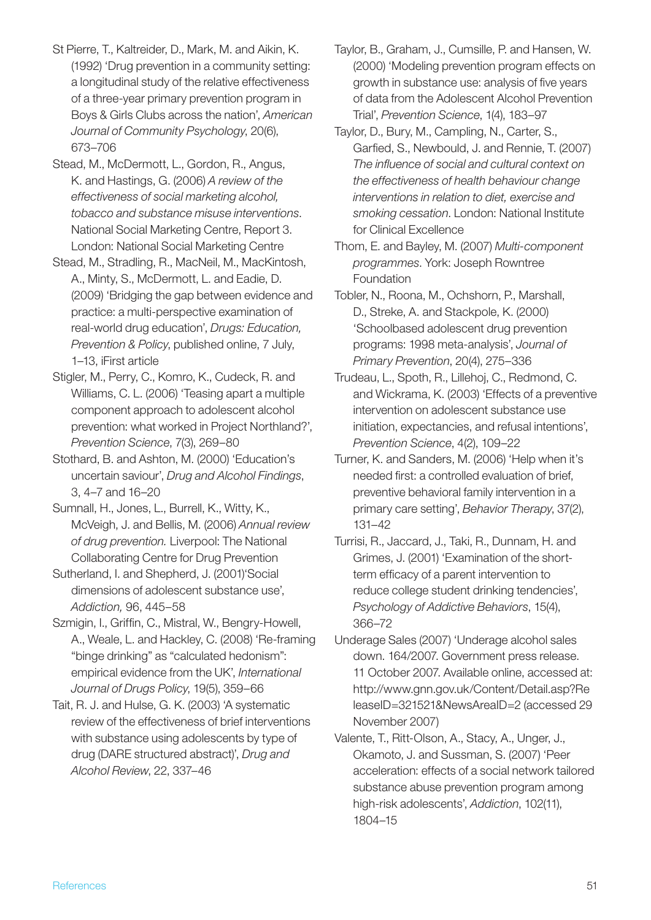- St Pierre, T., Kaltreider, D., Mark, M. and Aikin, K. (1992) 'Drug prevention in a community setting: a longitudinal study of the relative effectiveness of a three-year primary prevention program in Boys & Girls Clubs across the nation', *American Journal of Community Psychology*, 20(6), 673–706
- Stead, M., McDermott, L., Gordon, R., Angus, K. and Hastings, G. (2006) *A review of the effectiveness of social marketing alcohol, tobacco and substance misuse interventions*. National Social Marketing Centre, Report 3. London: National Social Marketing Centre
- Stead, M., Stradling, R., MacNeil, M., MacKintosh, A., Minty, S., McDermott, L. and Eadie, D. (2009) 'Bridging the gap between evidence and practice: a multi-perspective examination of real-world drug education', *Drugs: Education, Prevention & Policy*, published online, 7 July, 1–13, iFirst article
- Stigler, M., Perry, C., Komro, K., Cudeck, R. and Williams, C. L. (2006) 'Teasing apart a multiple component approach to adolescent alcohol prevention: what worked in Project Northland?', *Prevention Science*, 7(3), 269–80
- Stothard, B. and Ashton, M. (2000) 'Education's uncertain saviour', *Drug and Alcohol Findings*, 3, 4–7 and 16–20
- Sumnall, H., Jones, L., Burrell, K., Witty, K., McVeigh, J. and Bellis, M. (2006) *Annual review of drug prevention.* Liverpool: The National Collaborating Centre for Drug Prevention
- Sutherland, I. and Shepherd, J. (2001)'Social dimensions of adolescent substance use', *Addiction,* 96, 445–58
- Szmigin, I., Griffin, C., Mistral, W., Bengry-Howell, A., Weale, L. and Hackley, C. (2008) 'Re-framing "binge drinking" as "calculated hedonism": empirical evidence from the UK', *International Journal of Drugs Policy*, 19(5), 359–66
- Tait, R. J. and Hulse, G. K. (2003) 'A systematic review of the effectiveness of brief interventions with substance using adolescents by type of drug (DARE structured abstract)', *Drug and Alcohol Review*, 22, 337–46
- Taylor, B., Graham, J., Cumsille, P. and Hansen, W. (2000) 'Modeling prevention program effects on growth in substance use: analysis of five years of data from the Adolescent Alcohol Prevention Trial', *Prevention Science*, 1(4), 183–97
- Taylor, D., Bury, M., Campling, N., Carter, S., Garfied, S., Newbould, J. and Rennie, T. (2007) *The influence of social and cultural context on the effectiveness of health behaviour change interventions in relation to diet, exercise and smoking cessation*. London: National Institute for Clinical Excellence
- Thom, E. and Bayley, M. (2007) *Multi-component programmes*. York: Joseph Rowntree Foundation
- Tobler, N., Roona, M., Ochshorn, P., Marshall, D., Streke, A. and Stackpole, K. (2000) 'Schoolbased adolescent drug prevention programs: 1998 meta-analysis', *Journal of Primary Prevention*, 20(4), 275–336
- Trudeau, L., Spoth, R., Lillehoj, C., Redmond, C. and Wickrama, K. (2003) 'Effects of a preventive intervention on adolescent substance use initiation, expectancies, and refusal intentions', *Prevention Science*, 4(2), 109–22
- Turner, K. and Sanders, M. (2006) 'Help when it's needed first: a controlled evaluation of brief, preventive behavioral family intervention in a primary care setting', *Behavior Therapy*, 37(2), 131–42
- Turrisi, R., Jaccard, J., Taki, R., Dunnam, H. and Grimes, J. (2001) 'Examination of the shortterm efficacy of a parent intervention to reduce college student drinking tendencies', *Psychology of Addictive Behaviors*, 15(4), 366–72
- Underage Sales (2007) 'Underage alcohol sales down. 164/2007. Government press release. 11 October 2007. Available online, accessed at: http://www.gnn.gov.uk/Content/Detail.asp?Re leaseID=321521&NewsAreaID=2 (accessed 29 November 2007)
- Valente, T., Ritt-Olson, A., Stacy, A., Unger, J., Okamoto, J. and Sussman, S. (2007) 'Peer acceleration: effects of a social network tailored substance abuse prevention program among high-risk adolescents', *Addiction*, 102(11), 1804–15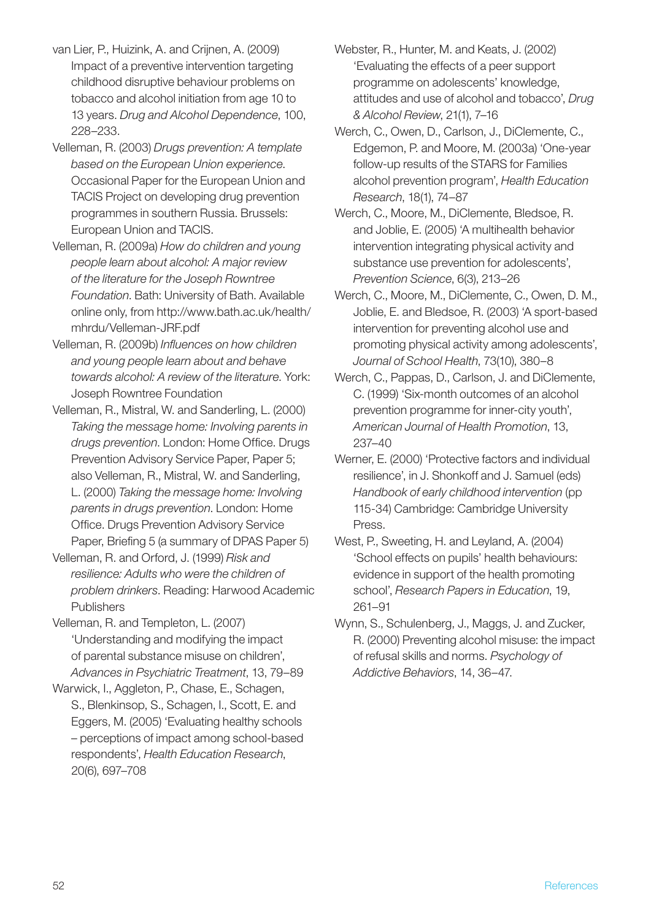- van Lier, P., Huizink, A. and Crijnen, A. (2009) Impact of a preventive intervention targeting childhood disruptive behaviour problems on tobacco and alcohol initiation from age 10 to 13 years. *Drug and Alcohol Dependence*, 100, 228–233.
- Velleman, R. (2003) *Drugs prevention: A template based on the European Union experience*. Occasional Paper for the European Union and TACIS Project on developing drug prevention programmes in southern Russia. Brussels: European Union and TACIS.
- Velleman, R. (2009a) *How do children and young people learn about alcohol: A major review of the literature for the Joseph Rowntree Foundation*. Bath: University of Bath. Available online only, from http://www.bath.ac.uk/health/ mhrdu/Velleman-JRF.pdf
- Velleman, R. (2009b) *Influences on how children and young people learn about and behave towards alcohol: A review of the literature*. York: Joseph Rowntree Foundation
- Velleman, R., Mistral, W. and Sanderling, L. (2000) *Taking the message home: Involving parents in drugs prevention*. London: Home Office. Drugs Prevention Advisory Service Paper, Paper 5; also Velleman, R., Mistral, W. and Sanderling, L. (2000) *Taking the message home: Involving parents in drugs prevention*. London: Home Office. Drugs Prevention Advisory Service Paper, Briefing 5 (a summary of DPAS Paper 5)
- Velleman, R. and Orford, J. (1999) *Risk and resilience: Adults who were the children of problem drinkers*. Reading: Harwood Academic **Publishers**
- Velleman, R. and Templeton, L. (2007) 'Understanding and modifying the impact of parental substance misuse on children', *Advances in Psychiatric Treatment*, 13, 79–89
- Warwick, I., Aggleton, P., Chase, E., Schagen, S., Blenkinsop, S., Schagen, I., Scott, E. and Eggers, M. (2005) 'Evaluating healthy schools – perceptions of impact among school-based respondents', *Health Education Research*, 20(6), 697–708
- Webster, R., Hunter, M. and Keats, J. (2002) 'Evaluating the effects of a peer support programme on adolescents' knowledge, attitudes and use of alcohol and tobacco', *Drug & Alcohol Review*, 21(1), 7–16
- Werch, C., Owen, D., Carlson, J., DiClemente, C., Edgemon, P. and Moore, M. (2003a) 'One-year follow-up results of the STARS for Families alcohol prevention program', *Health Education Research*, 18(1), 74–87
- Werch, C., Moore, M., DiClemente, Bledsoe, R. and Joblie, E. (2005) 'A multihealth behavior intervention integrating physical activity and substance use prevention for adolescents', *Prevention Science*, 6(3), 213–26
- Werch, C., Moore, M., DiClemente, C., Owen, D. M., Joblie, E. and Bledsoe, R. (2003) 'A sport-based intervention for preventing alcohol use and promoting physical activity among adolescents', *Journal of School Health*, 73(10), 380–8
- Werch, C., Pappas, D., Carlson, J. and DiClemente, C. (1999) 'Six-month outcomes of an alcohol prevention programme for inner-city youth', *American Journal of Health Promotion*, 13, 237–40
- Werner, E. (2000) 'Protective factors and individual resilience', in J. Shonkoff and J. Samuel (eds) *Handbook of early childhood intervention* (pp 115-34) Cambridge: Cambridge University Press.
- West, P., Sweeting, H. and Leyland, A. (2004) 'School effects on pupils' health behaviours: evidence in support of the health promoting school', *Research Papers in Education*, 19, 261–91
- Wynn, S., Schulenberg, J., Maggs, J. and Zucker, R. (2000) Preventing alcohol misuse: the impact of refusal skills and norms. *Psychology of Addictive Behaviors*, 14, 36–47.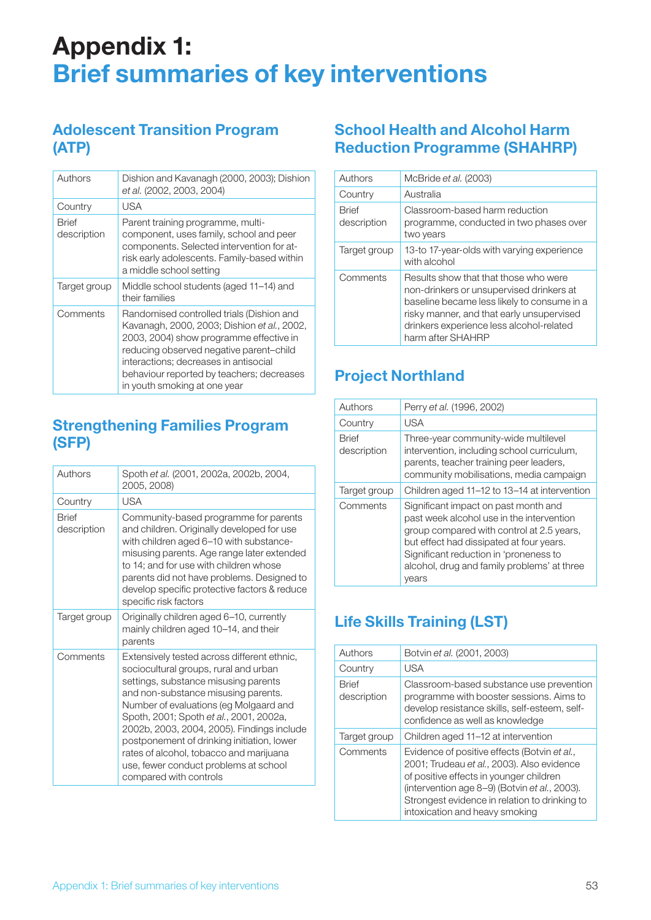## Appendix 1: Brief summaries of key interventions

## Adolescent Transition Program (ATP)

| Authors                     | Dishion and Kavanagh (2000, 2003); Dishion<br>et al. (2002, 2003, 2004)                                                                                                                                                                                                                              |
|-----------------------------|------------------------------------------------------------------------------------------------------------------------------------------------------------------------------------------------------------------------------------------------------------------------------------------------------|
| Country                     | USA                                                                                                                                                                                                                                                                                                  |
| <b>Rrief</b><br>description | Parent training programme, multi-<br>component, uses family, school and peer<br>components. Selected intervention for at-<br>risk early adolescents. Family-based within<br>a middle school setting                                                                                                  |
| Target group                | Middle school students (aged 11–14) and<br>their families                                                                                                                                                                                                                                            |
| Comments                    | Randomised controlled trials (Dishion and<br>Kavanagh, 2000, 2003; Dishion et al., 2002,<br>2003, 2004) show programme effective in<br>reducing observed negative parent-child<br>interactions; decreases in antisocial<br>behaviour reported by teachers; decreases<br>in youth smoking at one year |

## Strengthening Families Program (SFP)

| Authors              | Spoth et al. (2001, 2002a, 2002b, 2004,<br>2005, 2008)                                                                                                                                                                                                                                                                                                                                                                                                             |
|----------------------|--------------------------------------------------------------------------------------------------------------------------------------------------------------------------------------------------------------------------------------------------------------------------------------------------------------------------------------------------------------------------------------------------------------------------------------------------------------------|
| Country              | <b>USA</b>                                                                                                                                                                                                                                                                                                                                                                                                                                                         |
| Brief<br>description | Community-based programme for parents<br>and children. Originally developed for use<br>with children aged 6-10 with substance-<br>misusing parents. Age range later extended<br>to 14; and for use with children whose<br>parents did not have problems. Designed to<br>develop specific protective factors & reduce<br>specific risk factors                                                                                                                      |
| Target group         | Originally children aged 6-10, currently<br>mainly children aged 10-14, and their<br>parents                                                                                                                                                                                                                                                                                                                                                                       |
| Comments             | Extensively tested across different ethnic,<br>sociocultural groups, rural and urban<br>settings, substance misusing parents<br>and non-substance misusing parents.<br>Number of evaluations (eg Molgaard and<br>Spoth, 2001; Spoth et al., 2001, 2002a,<br>2002b, 2003, 2004, 2005). Findings include<br>postponement of drinking initiation, lower<br>rates of alcohol, tobacco and marijuana<br>use, fewer conduct problems at school<br>compared with controls |

## School Health and Alcohol Harm Reduction Programme (SHAHRP)

| Authors                     | McBride et al. (2003)                                                                                                                                                                                                                          |  |  |  |
|-----------------------------|------------------------------------------------------------------------------------------------------------------------------------------------------------------------------------------------------------------------------------------------|--|--|--|
| Country                     | Australia                                                                                                                                                                                                                                      |  |  |  |
| <b>Rrief</b><br>description | Classroom-based harm reduction<br>programme, conducted in two phases over<br>two years                                                                                                                                                         |  |  |  |
| Target group                | 13-to 17-year-olds with varying experience<br>with alcohol                                                                                                                                                                                     |  |  |  |
| Comments                    | Results show that that those who were<br>non-drinkers or unsupervised drinkers at<br>baseline became less likely to consume in a<br>risky manner, and that early unsupervised<br>drinkers experience less alcohol-related<br>harm after SHAHRP |  |  |  |

## Project Northland

| Authors                     | Perry et al. (1996, 2002)                                                                                                                                                                                                                                                    |
|-----------------------------|------------------------------------------------------------------------------------------------------------------------------------------------------------------------------------------------------------------------------------------------------------------------------|
| Country                     | USA                                                                                                                                                                                                                                                                          |
| <b>Brief</b><br>description | Three-year community-wide multilevel<br>intervention, including school curriculum,<br>parents, teacher training peer leaders,<br>community mobilisations, media campaign                                                                                                     |
| Target group                | Children aged 11–12 to 13–14 at intervention                                                                                                                                                                                                                                 |
| Comments                    | Significant impact on past month and<br>past week alcohol use in the intervention<br>group compared with control at 2.5 years,<br>but effect had dissipated at four years.<br>Significant reduction in 'proneness to<br>alcohol, drug and family problems' at three<br>vears |

## Life Skills Training (LST)

| Authors                     | Botvin et al. (2001, 2003)                                                                                                                                                                                                                                                |
|-----------------------------|---------------------------------------------------------------------------------------------------------------------------------------------------------------------------------------------------------------------------------------------------------------------------|
| Country                     | <b>USA</b>                                                                                                                                                                                                                                                                |
| <b>Rrief</b><br>description | Classroom-based substance use prevention<br>programme with booster sessions. Aims to<br>develop resistance skills, self-esteem, self-<br>confidence as well as knowledge                                                                                                  |
| Target group                | Children aged 11-12 at intervention                                                                                                                                                                                                                                       |
| Comments                    | Evidence of positive effects (Botvin et al.,<br>2001; Trudeau et al., 2003). Also evidence<br>of positive effects in younger children<br>(intervention age 8–9) (Botvin et al., 2003).<br>Strongest evidence in relation to drinking to<br>intoxication and heavy smoking |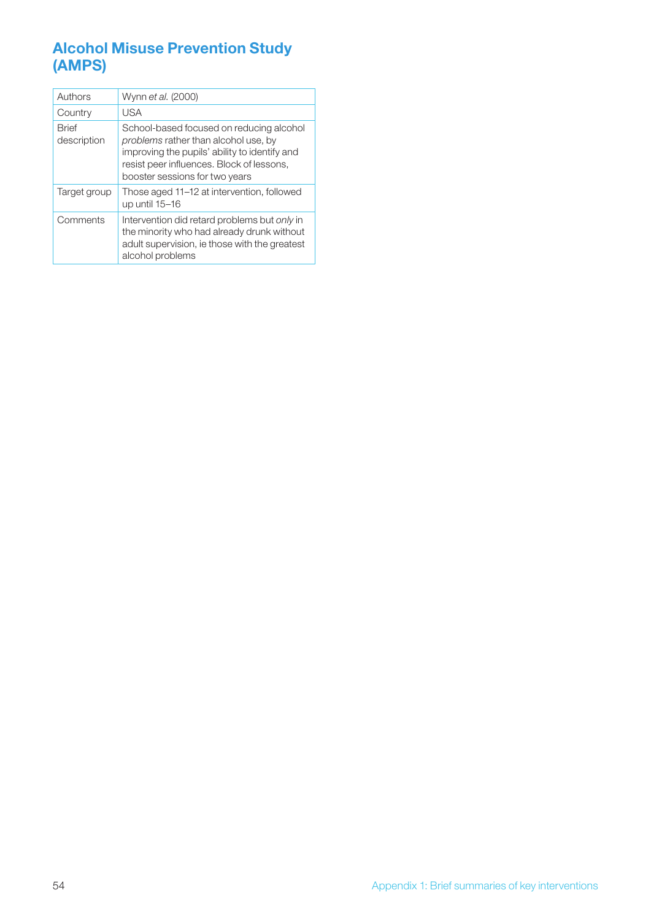## Alcohol Misuse Prevention Study (AMPS)

| Authors                     | Wynn et al. (2000)                                                                                                                                                                                               |  |  |  |
|-----------------------------|------------------------------------------------------------------------------------------------------------------------------------------------------------------------------------------------------------------|--|--|--|
| Country                     | <b>USA</b>                                                                                                                                                                                                       |  |  |  |
| <b>Rrief</b><br>description | School-based focused on reducing alcohol<br>problems rather than alcohol use, by<br>improving the pupils' ability to identify and<br>resist peer influences. Block of lessons,<br>booster sessions for two years |  |  |  |
| Target group                | Those aged 11–12 at intervention, followed<br>up until 15-16                                                                                                                                                     |  |  |  |
| Comments                    | Intervention did retard problems but only in<br>the minority who had already drunk without<br>adult supervision, ie those with the greatest<br>alcohol problems                                                  |  |  |  |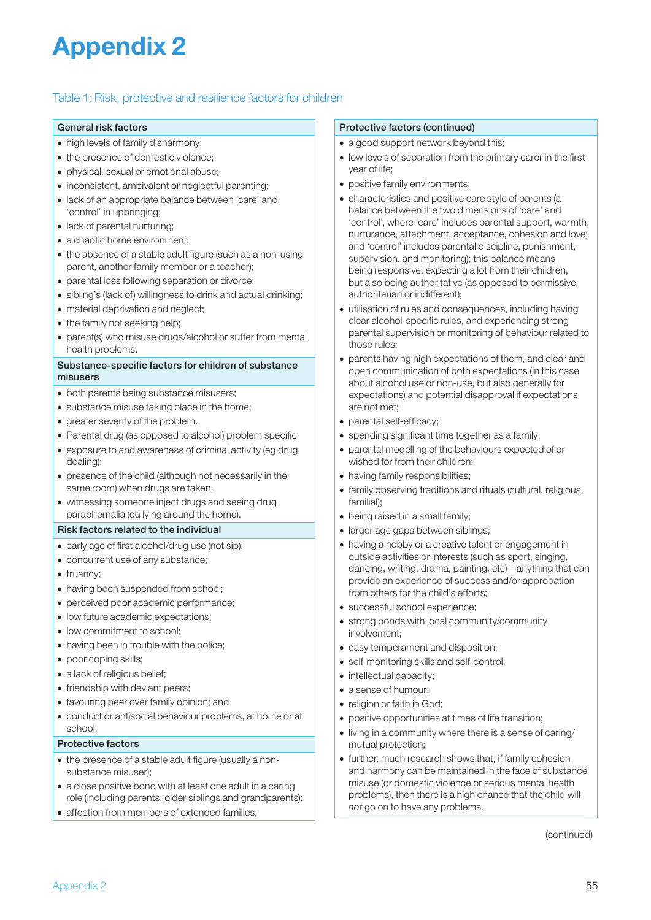## Appendix 2

#### Table 1: Risk, protective and resilience factors for children

#### General risk factors

- high levels of family disharmony;
- the presence of domestic violence;
- physical, sexual or emotional abuse;
- inconsistent, ambivalent or neglectful parenting;
- lack of an appropriate balance between 'care' and 'control' in upbringing;
- lack of parental nurturing;
- a chaotic home environment;
- the absence of a stable adult figure (such as a non-using parent, another family member or a teacher);
- parental loss following separation or divorce;
- sibling's (lack of) willingness to drink and actual drinking;
- material deprivation and neglect;
- the family not seeking help;
- parent(s) who misuse drugs/alcohol or suffer from mental health problems.

#### Substance-specific factors for children of substance misusers

- both parents being substance misusers;
- substance misuse taking place in the home;
- greater severity of the problem.
- Parental drug (as opposed to alcohol) problem specific
- exposure to and awareness of criminal activity (eg drug dealing);
- presence of the child (although not necessarily in the same room) when drugs are taken;
- witnessing someone inject drugs and seeing drug paraphernalia (eg lying around the home).

#### Risk factors related to the individual

- early age of first alcohol/drug use (not sip);
- concurrent use of any substance;
- truancy:
- having been suspended from school;
- perceived poor academic performance;
- low future academic expectations;
- low commitment to school;
- having been in trouble with the police;
- poor coping skills;
- a lack of religious belief;
- friendship with deviant peers;
- favouring peer over family opinion; and
- conduct or antisocial behaviour problems, at home or at school.

#### Protective factors

- the presence of a stable adult figure (usually a nonsubstance misuser);
- a close positive bond with at least one adult in a caring role (including parents, older siblings and grandparents);
- affection from members of extended families;

#### Protective factors (continued)

- a good support network beyond this;
- low levels of separation from the primary carer in the first year of life;
- positive family environments;
- characteristics and positive care style of parents (a balance between the two dimensions of 'care' and 'control', where 'care' includes parental support, warmth, nurturance, attachment, acceptance, cohesion and love; and 'control' includes parental discipline, punishment, supervision, and monitoring); this balance means being responsive, expecting a lot from their children, but also being authoritative (as opposed to permissive, authoritarian or indifferent);
- utilisation of rules and consequences, including having clear alcohol-specific rules, and experiencing strong parental supervision or monitoring of behaviour related to those rules;
- parents having high expectations of them, and clear and open communication of both expectations (in this case about alcohol use or non-use, but also generally for expectations) and potential disapproval if expectations are not met;
- parental self-efficacy;
- spending significant time together as a family;
- parental modelling of the behaviours expected of or wished for from their children;
- having family responsibilities:
- family observing traditions and rituals (cultural, religious, familial);
- being raised in a small family:
- larger age gaps between siblings;
- having a hobby or a creative talent or engagement in outside activities or interests (such as sport, singing, dancing, writing, drama, painting, etc) – anything that can provide an experience of success and/or approbation from others for the child's efforts;
- successful school experience;
- strong bonds with local community/community involvement;
- easy temperament and disposition:
- self-monitoring skills and self-control;
- intellectual capacity;
- a sense of humour;
- religion or faith in God;
- positive opportunities at times of life transition;
- living in a community where there is a sense of caring/ mutual protection;
- further, much research shows that, if family cohesion and harmony can be maintained in the face of substance misuse (or domestic violence or serious mental health problems), then there is a high chance that the child will *not* go on to have any problems.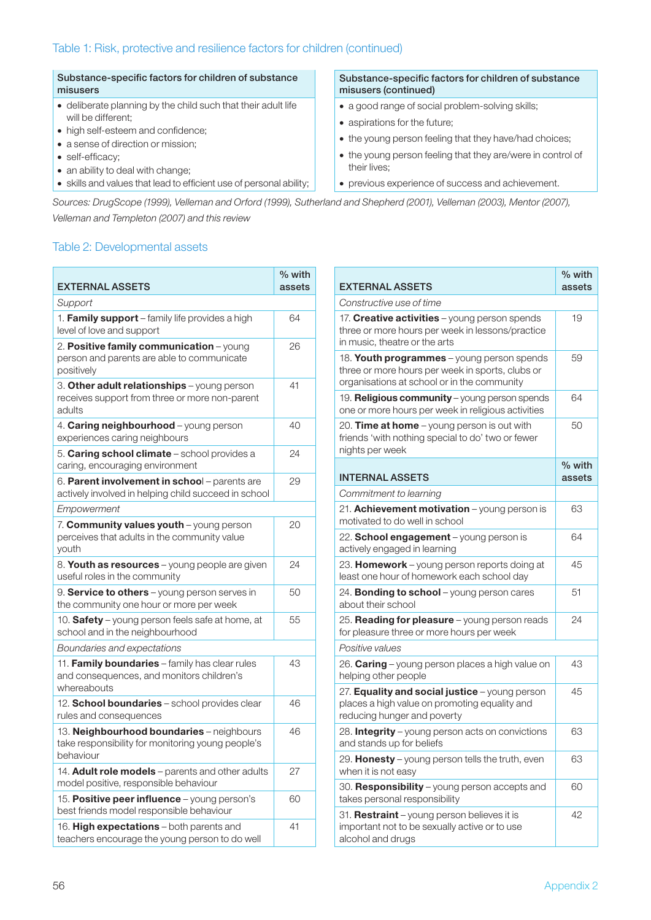#### Substance-specific factors for children of substance misusers

- deliberate planning by the child such that their adult life will be different;
- high self-esteem and confidence;
- a sense of direction or mission;
- self-efficacy;
- an ability to deal with change;
- skills and values that lead to efficient use of personal ability;

#### Substance-specific factors for children of substance misusers (continued)

- a good range of social problem-solving skills;
- aspirations for the future;
- the young person feeling that they have/had choices;
- the young person feeling that they are/were in control of their lives;
- previous experience of success and achievement.

*Sources: DrugScope (1999), Velleman and Orford (1999), Sutherland and Shepherd (2001), Velleman (2003), Mentor (2007), Velleman and Templeton (2007) and this review*

#### Table 2: Developmental assets

| <b>EXTERNAL ASSETS</b>                                                                                      | % with<br>assets |
|-------------------------------------------------------------------------------------------------------------|------------------|
| Support                                                                                                     |                  |
| 1. Family support - family life provides a high<br>level of love and support                                | 64               |
| 2. Positive family communication - young<br>person and parents are able to communicate<br>positively        | 26               |
| 3. Other adult relationships - young person<br>receives support from three or more non-parent<br>adults     | 41               |
| 4. Caring neighbourhood - young person<br>experiences caring neighbours                                     | 40               |
| 5. Caring school climate - school provides a<br>caring, encouraging environment                             | 24               |
| 6. Parent involvement in school - parents are<br>actively involved in helping child succeed in school       | 29               |
| Empowerment                                                                                                 |                  |
| 7. Community values youth - young person<br>perceives that adults in the community value<br>youth           | 20               |
| 8. Youth as resources - young people are given<br>useful roles in the community                             | 24               |
| 9. <b>Service to others</b> – young person serves in<br>the community one hour or more per week             | 50               |
| 10. Safety - young person feels safe at home, at<br>school and in the neighbourhood                         | 55               |
| Boundaries and expectations                                                                                 |                  |
| 11. Family boundaries - family has clear rules<br>and consequences, and monitors children's<br>whereabouts  | 43               |
| 12. School boundaries - school provides clear<br>rules and consequences                                     | 46               |
| 13. Neighbourhood boundaries - neighbours<br>take responsibility for monitoring young people's<br>behaviour | 46               |
| 14. Adult role models - parents and other adults<br>model positive, responsible behaviour                   | 27               |
| 15. Positive peer influence - young person's<br>best friends model responsible behaviour                    | 60               |
| 16. High expectations - both parents and<br>teachers encourage the young person to do well                  | 41               |

| <b>EXTERNAL ASSETS</b>                                                                                                                        | 70 WILII<br>assets |
|-----------------------------------------------------------------------------------------------------------------------------------------------|--------------------|
| Constructive use of time                                                                                                                      |                    |
| 17. Creative activities - young person spends<br>three or more hours per week in lessons/practice<br>in music, theatre or the arts            | 19                 |
| 18. Youth programmes - young person spends<br>three or more hours per week in sports, clubs or<br>organisations at school or in the community | 59                 |
| 19. Religious community - young person spends<br>one or more hours per week in religious activities                                           | 64                 |
| 20. Time at home - young person is out with<br>friends 'with nothing special to do' two or fewer<br>nights per week                           | 50                 |
| <b>INTERNAL ASSETS</b>                                                                                                                        | % with<br>assets   |
| Commitment to learning                                                                                                                        |                    |
| 21. Achievement motivation - young person is<br>motivated to do well in school                                                                | 63                 |
| 22. School engagement - young person is<br>actively engaged in learning                                                                       | 64                 |
| 23. Homework - young person reports doing at<br>least one hour of homework each school day                                                    | 45                 |
| 24. Bonding to school - young person cares<br>about their school                                                                              | 51                 |
| 25. Reading for pleasure - young person reads<br>for pleasure three or more hours per week                                                    | 24                 |
| Positive values                                                                                                                               |                    |
| 26. Caring - young person places a high value on<br>helping other people                                                                      | 43                 |
| 27. <b>Equality and social justice</b> – young person<br>places a high value on promoting equality and<br>reducing hunger and poverty         | 45                 |
| 28. Integrity - young person acts on convictions<br>and stands up for beliefs                                                                 | 63                 |
| 29. Honesty - young person tells the truth, even<br>when it is not easy                                                                       | 63                 |
| 30. Responsibility - young person accepts and<br>takes personal responsibility                                                                | 60                 |
| 31. Restraint - young person believes it is<br>important not to be sexually active or to use<br>alcohol and drugs                             | 42                 |

 $\left| \right|$   $\frac{0}{\sqrt{1 + \frac{1}{2}}\sqrt{1 + \frac{1}{2}}\sqrt{1 + \frac{1}{2}}\sqrt{1 + \frac{1}{2}}\sqrt{1 + \frac{1}{2}}\sqrt{1 + \frac{1}{2}}\sqrt{1 + \frac{1}{2}}\sqrt{1 + \frac{1}{2}}\sqrt{1 + \frac{1}{2}}\sqrt{1 + \frac{1}{2}}\sqrt{1 + \frac{1}{2}}\sqrt{1 + \frac{1}{2}}\sqrt{1 + \frac{1}{2}}\sqrt{1 + \frac{1}{2}}\sqrt{1 + \frac{1}{2}}\sqrt{1 + \frac{1}{2}}\sqrt{1 + \frac{1}{2}}\sqrt$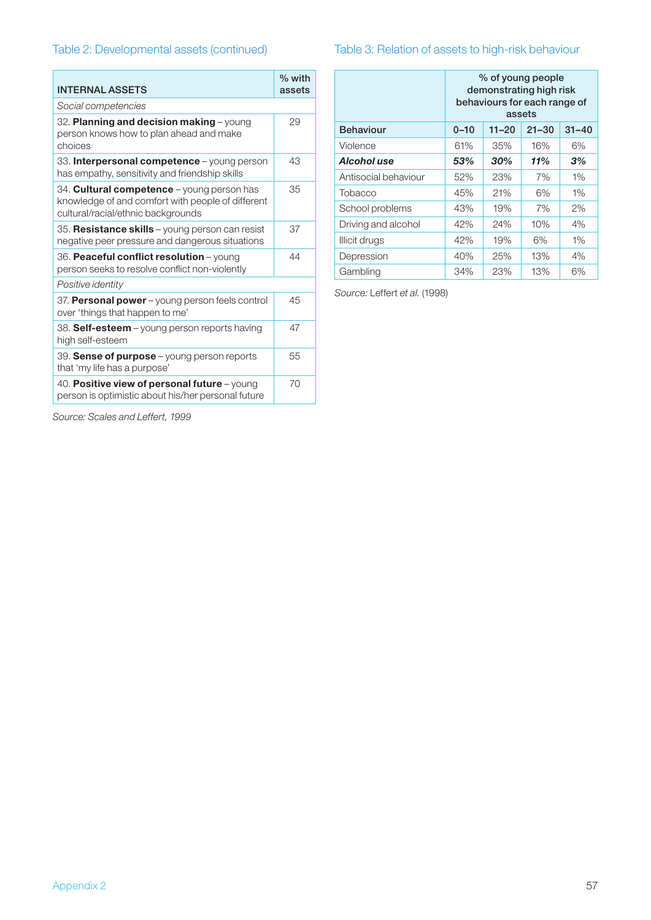## Table 2: Developmental assets (continued)

| <b>INTERNAL ASSETS</b>                                                                                                                       | % with<br>assets |
|----------------------------------------------------------------------------------------------------------------------------------------------|------------------|
| Social competencies                                                                                                                          |                  |
| 32. Planning and decision making - young<br>person knows how to plan ahead and make<br>choices                                               | 29               |
| 33. Interpersonal competence - young person<br>has empathy, sensitivity and friendship skills                                                | 43               |
| 34. <b>Cultural competence</b> – young person has<br>knowledge of and comfort with people of different<br>cultural/racial/ethnic backgrounds | 35               |
| 35. Resistance skills - young person can resist<br>negative peer pressure and dangerous situations                                           | 37               |
| 36. Peaceful conflict resolution - young<br>person seeks to resolve conflict non-violently                                                   | 44               |
| Positive identity                                                                                                                            |                  |
| 37. Personal power - young person feels control<br>over 'things that happen to me'                                                           | 45               |
| 38. Self-esteem – young person reports having<br>high self-esteem                                                                            | 47               |
| 39. Sense of purpose - young person reports<br>that 'my life has a purpose'                                                                  | 55               |
| 40. Positive view of personal future - young<br>person is optimistic about his/her personal future                                           | 70               |

## Table 3: Relation of assets to high-risk behaviour

|                      | % of young people<br>demonstrating high risk<br>behaviours for each range of<br>assets |           |           |           |
|----------------------|----------------------------------------------------------------------------------------|-----------|-----------|-----------|
| <b>Behaviour</b>     | $0 - 10$                                                                               | $11 - 20$ | $21 - 30$ | $31 - 40$ |
| Violence             | 61%                                                                                    | 35%       | 16%       | 6%        |
| Alcohol use          | 53%                                                                                    | 30%       | 11%       | 3%        |
| Antisocial behaviour | 52%                                                                                    | 23%       | 7%        | $1\%$     |
| Tobacco              | 45%                                                                                    | 21%       | 6%        | $1\%$     |
| School problems      | 43%                                                                                    | 19%       | 7%        | $2\%$     |
| Driving and alcohol  | 42%                                                                                    | 24%       | 10%       | 4%        |
| Illicit drugs        | 42%                                                                                    | 19%       | 6%        | $1\%$     |
| Depression           | 40%                                                                                    | 25%       | 13%       | 4%        |
| Gambling             | 34%                                                                                    | 23%       | 13%       | 6%        |

*Source:* Leffert *et al.* (1998)

*Source: Scales and Leffert, 1999*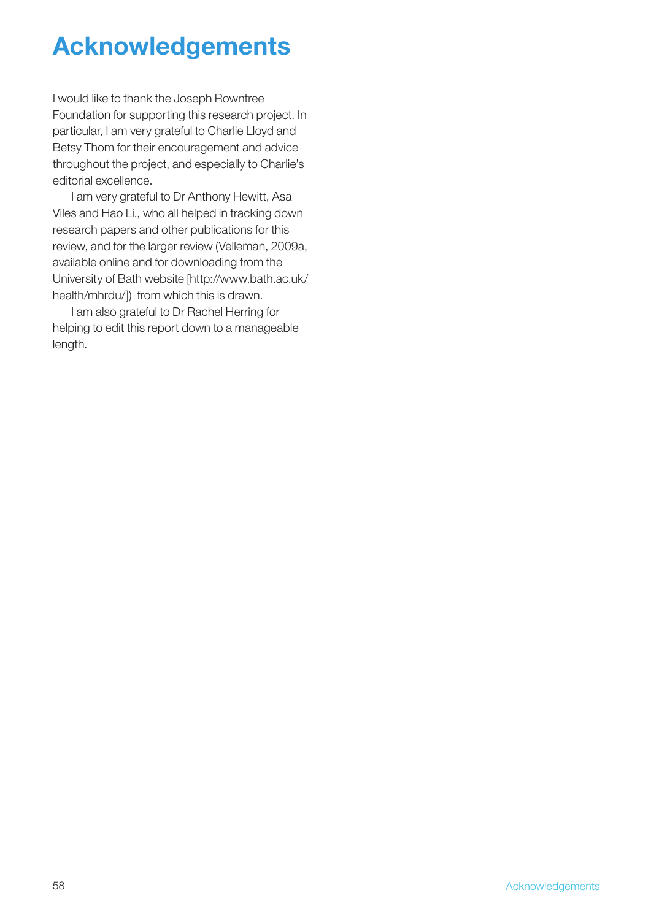## Acknowledgements

I would like to thank the Joseph Rowntree Foundation for supporting this research project. In particular, I am very grateful to Charlie Lloyd and Betsy Thom for their encouragement and advice throughout the project, and especially to Charlie's editorial excellence.

I am very grateful to Dr Anthony Hewitt, Asa Viles and Hao Li., who all helped in tracking down research papers and other publications for this review, and for the larger review (Velleman, 2009a, available online and for downloading from the University of Bath website [http://www.bath.ac.uk/ health/mhrdu/]) from which this is drawn.

I am also grateful to Dr Rachel Herring for helping to edit this report down to a manageable length.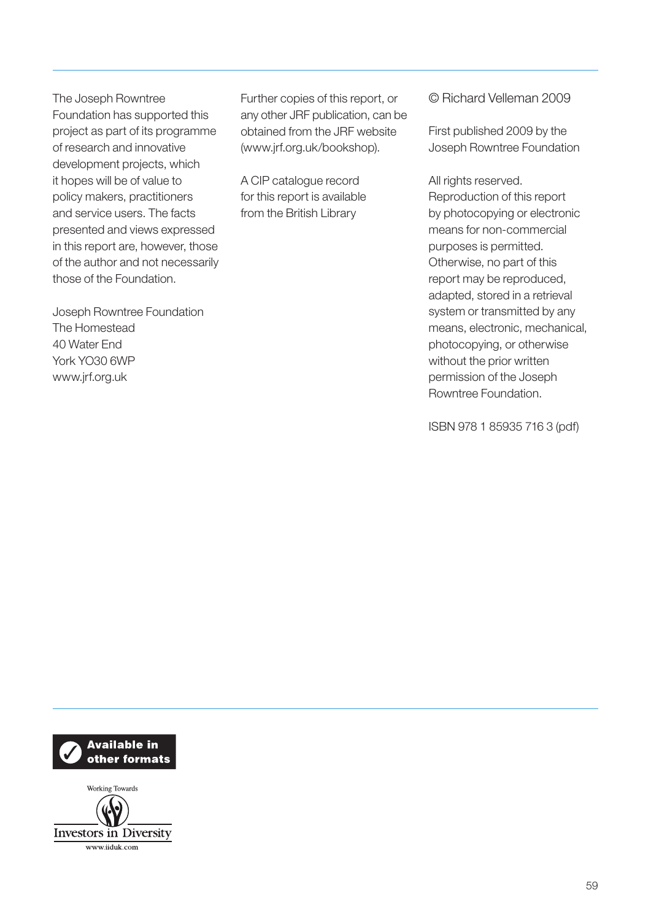The Joseph Rowntree Foundation has supported this project as part of its programme of research and innovative development projects, which it hopes will be of value to policy makers, practitioners and service users. The facts presented and views expressed in this report are, however, those of the author and not necessarily those of the Foundation.

Joseph Rowntree Foundation The Homestead 40 Water End York YO30 6WP www.jrf.org.uk

Further copies of this report, or any other JRF publication, can be obtained from the JRF website (www.jrf.org.uk/bookshop).

A CIP catalogue record for this report is available from the British Library

© Richard Velleman 2009

First published 2009 by the Joseph Rowntree Foundation

All rights reserved. Reproduction of this report by photocopying or electronic means for non-commercial purposes is permitted. Otherwise, no part of this report may be reproduced, adapted, stored in a retrieval system or transmitted by any means, electronic, mechanical, photocopying, or otherwise without the prior written permission of the Joseph Rowntree Foundation.

ISBN 978 1 85935 716 3 (pdf)